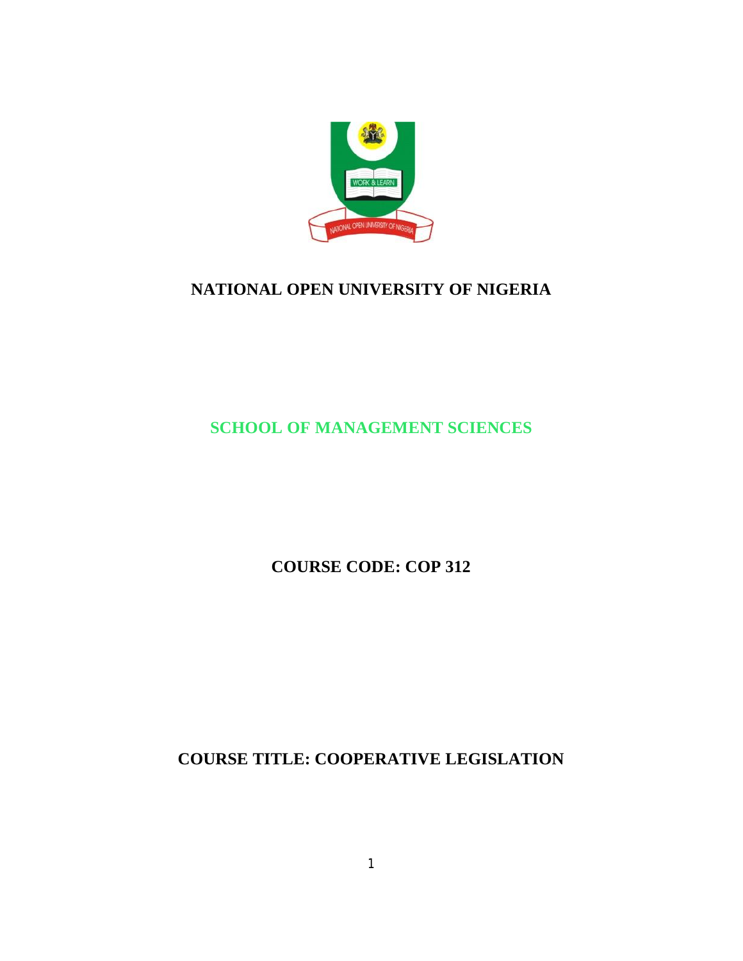

# **NATIONAL OPEN UNIVERSITY OF NIGERIA**

# **SCHOOL OF MANAGEMENT SCIENCES**

**COURSE CODE: COP 312**

**COURSE TITLE: COOPERATIVE LEGISLATION**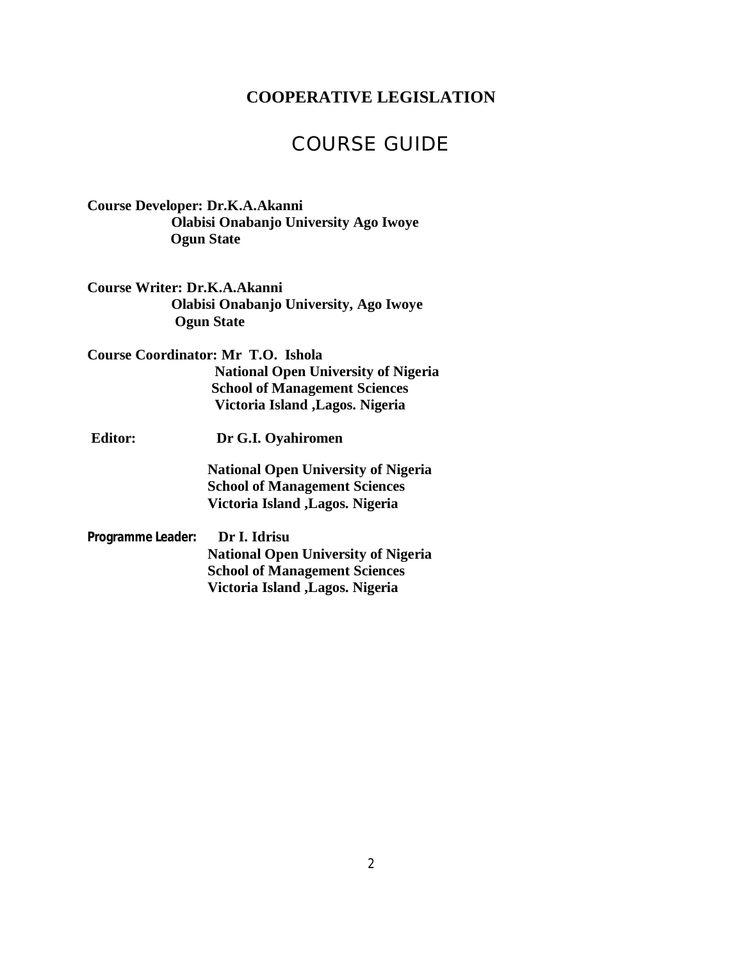## **COOPERATIVE LEGISLATION**

# COURSE GUIDE

**Course Developer: Dr.K.A.Akanni Olabisi Onabanjo University Ago Iwoye Ogun State**

**Course Writer: Dr.K.A.Akanni Olabisi Onabanjo University, Ago Iwoye Ogun State** 

**Course Coordinator: Mr T.O. Ishola National Open University of Nigeria School of Management Sciences Victoria Island ,Lagos. Nigeria**

**Editor: Dr G.I. Oyahiromen** 

 **National Open University of Nigeria School of Management Sciences Victoria Island ,Lagos. Nigeria**

**Programme Leader: Dr I. Idrisu National Open University of Nigeria School of Management Sciences Victoria Island ,Lagos. Nigeria**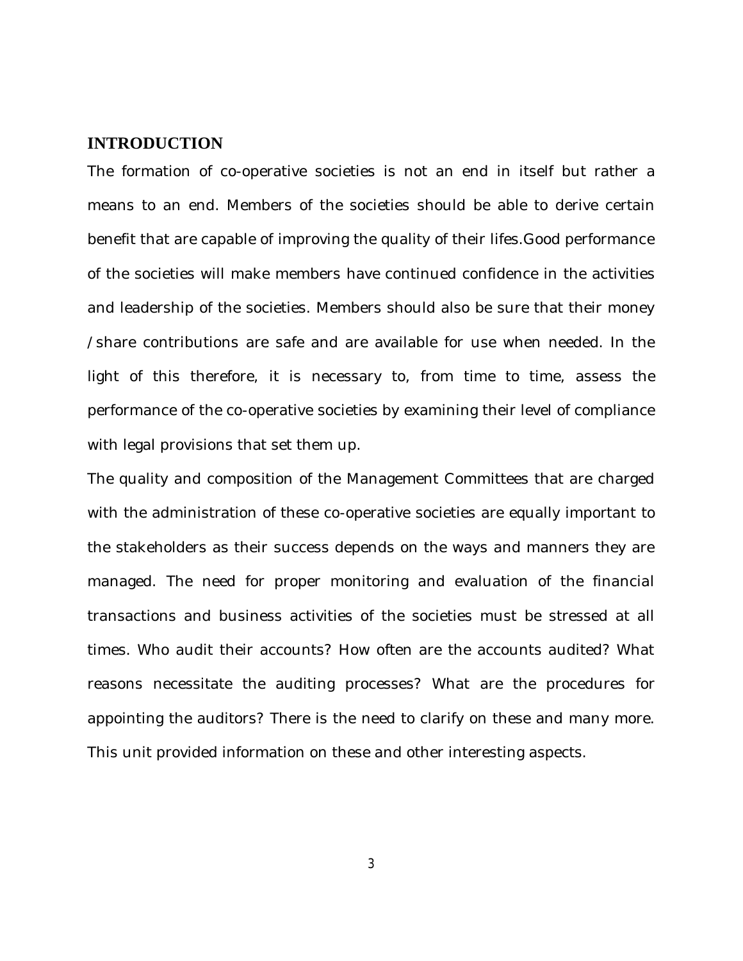### **INTRODUCTION**

The formation of co-operative societies is not an end in itself but rather a means to an end. Members of the societies should be able to derive certain benefit that are capable of improving the quality of their lifes.Good performance of the societies will make members have continued confidence in the activities and leadership of the societies. Members should also be sure that their money /share contributions are safe and are available for use when needed. In the light of this therefore, it is necessary to, from time to time, assess the performance of the co-operative societies by examining their level of compliance with legal provisions that set them up.

The quality and composition of the Management Committees that are charged with the administration of these co-operative societies are equally important to the stakeholders as their success depends on the ways and manners they are managed. The need for proper monitoring and evaluation of the financial transactions and business activities of the societies must be stressed at all times. Who audit their accounts? How often are the accounts audited? What reasons necessitate the auditing processes? What are the procedures for appointing the auditors? There is the need to clarify on these and many more. This unit provided information on these and other interesting aspects.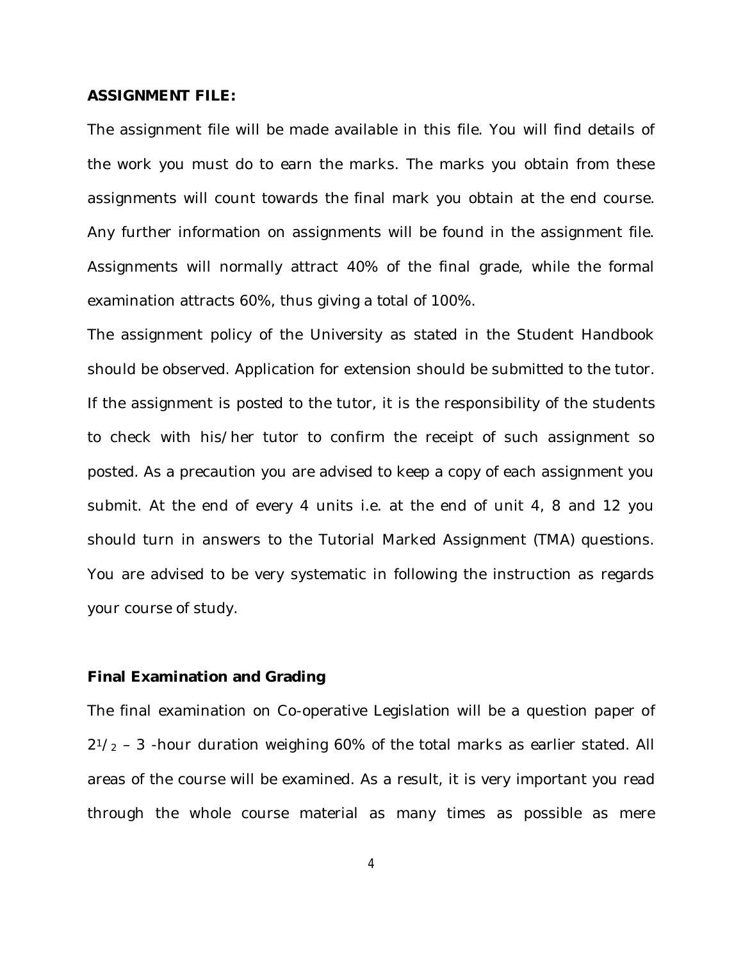#### **ASSIGNMENT FILE:**

The assignment file will be made available in this file. You will find details of the work you must do to earn the marks. The marks you obtain from these assignments will count towards the final mark you obtain at the end course. Any further information on assignments will be found in the assignment file. Assignments will normally attract 40% of the final grade, while the formal examination attracts 60%, thus giving a total of 100%.

The assignment policy of the University as stated in the Student Handbook should be observed. Application for extension should be submitted to the tutor. If the assignment is posted to the tutor, it is the responsibility of the students to check with his/her tutor to confirm the receipt of such assignment so posted. As a precaution you are advised to keep a copy of each assignment you submit. At the end of every 4 units i.e. at the end of unit 4, 8 and 12 you should turn in answers to the Tutorial Marked Assignment (TMA) questions. You are advised to be very systematic in following the instruction as regards your course of study.

#### **Final Examination and Grading**

The final examination on Co-operative Legislation will be a question paper of  $2^{1}/_{2}$  – 3 -hour duration weighing 60% of the total marks as earlier stated. All areas of the course will be examined. As a result, it is very important you read through the whole course material as many times as possible as mere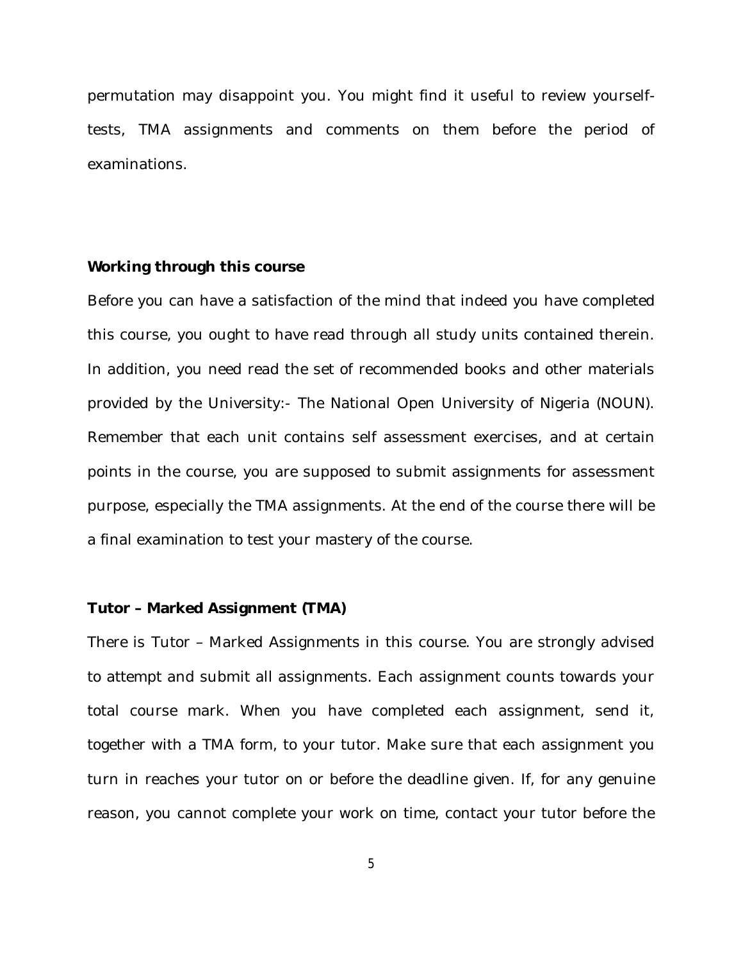permutation may disappoint you. You might find it useful to review yourselftests, TMA assignments and comments on them before the period of examinations.

### **Working through this course**

Before you can have a satisfaction of the mind that indeed you have completed this course, you ought to have read through all study units contained therein. In addition, you need read the set of recommended books and other materials provided by the University:- The National Open University of Nigeria (NOUN). Remember that each unit contains self assessment exercises, and at certain points in the course, you are supposed to submit assignments for assessment purpose, especially the TMA assignments. At the end of the course there will be a final examination to test your mastery of the course.

#### **Tutor – Marked Assignment (TMA)**

There is Tutor – Marked Assignments in this course. You are strongly advised to attempt and submit all assignments. Each assignment counts towards your total course mark. When you have completed each assignment, send it, together with a TMA form, to your tutor. Make sure that each assignment you turn in reaches your tutor on or before the deadline given. If, for any genuine reason, you cannot complete your work on time, contact your tutor before the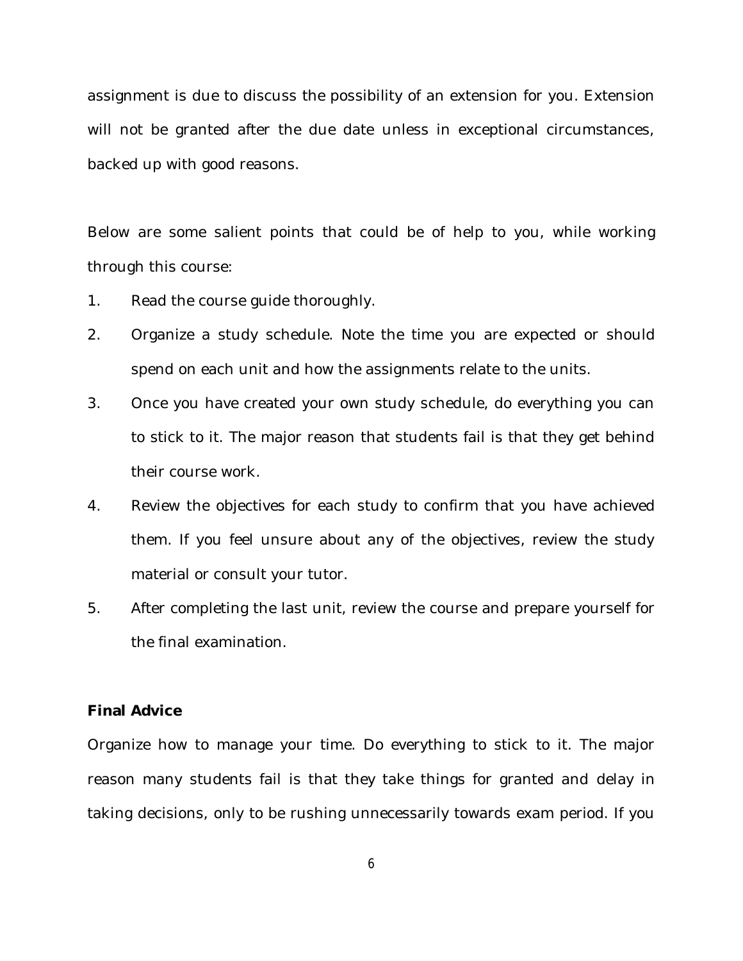assignment is due to discuss the possibility of an extension for you. Extension will not be granted after the due date unless in exceptional circumstances, backed up with good reasons.

Below are some salient points that could be of help to you, while working through this course:

- 1. Read the course guide thoroughly.
- 2. Organize a study schedule. Note the time you are expected or should spend on each unit and how the assignments relate to the units.
- 3. Once you have created your own study schedule, do everything you can to stick to it. The major reason that students fail is that they get behind their course work.
- 4. Review the objectives for each study to confirm that you have achieved them. If you feel unsure about any of the objectives, review the study material or consult your tutor.
- 5. After completing the last unit, review the course and prepare yourself for the final examination.

### **Final Advice**

Organize how to manage your time. Do everything to stick to it. The major reason many students fail is that they take things for granted and delay in taking decisions, only to be rushing unnecessarily towards exam period. If you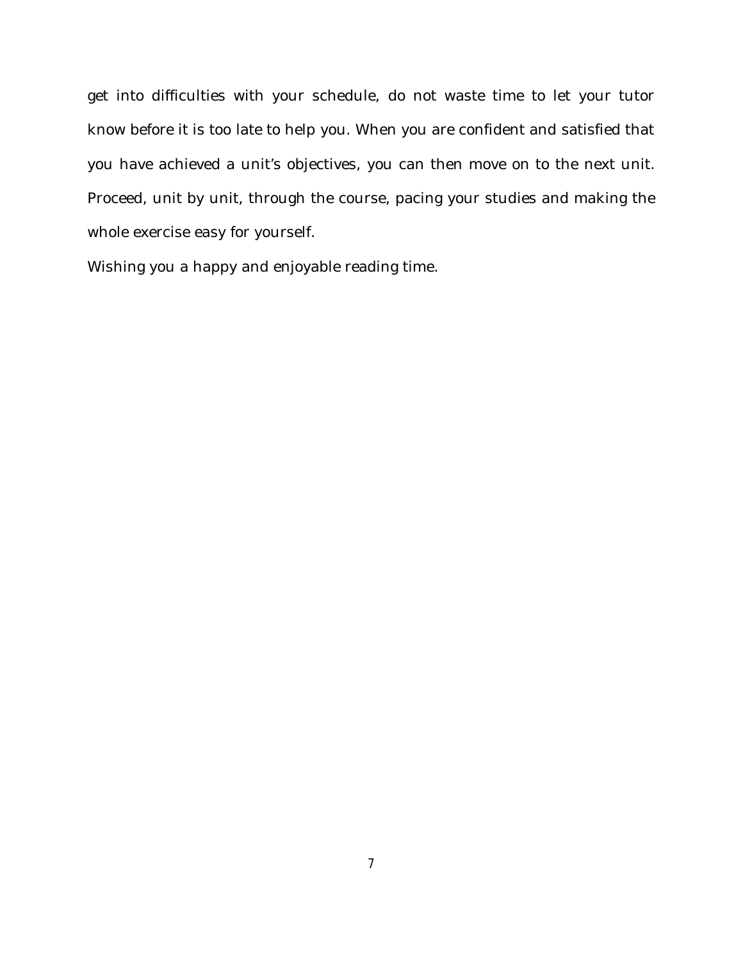get into difficulties with your schedule, do not waste time to let your tutor know before it is too late to help you. When you are confident and satisfied that you have achieved a unit's objectives, you can then move on to the next unit. Proceed, unit by unit, through the course, pacing your studies and making the whole exercise easy for yourself.

Wishing you a happy and enjoyable reading time.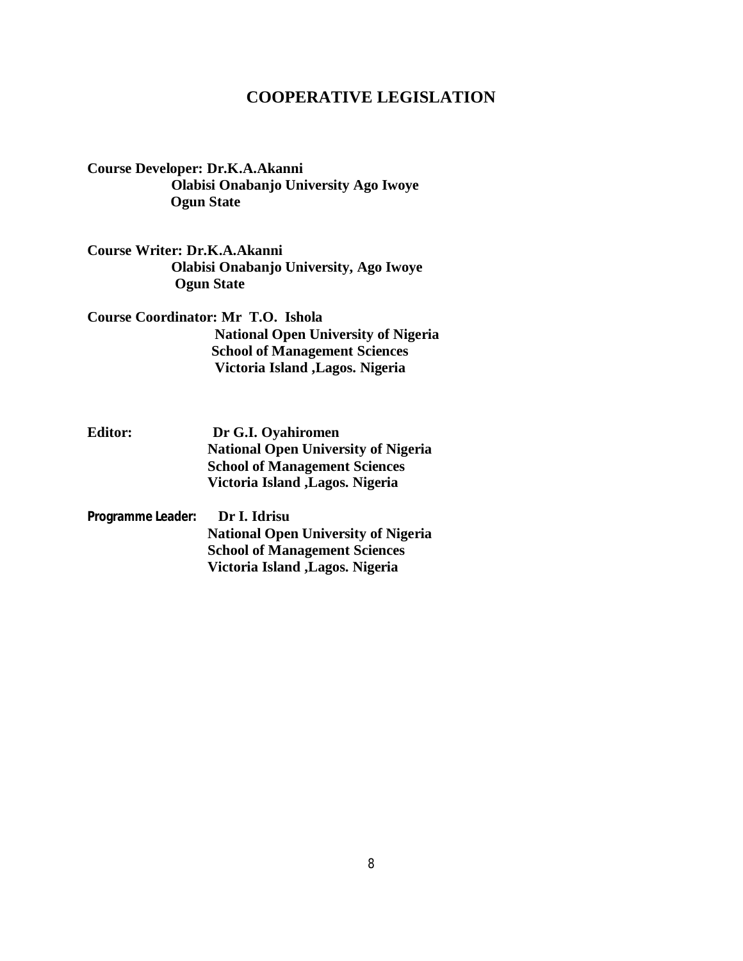### **COOPERATIVE LEGISLATION**

**Course Developer: Dr.K.A.Akanni Olabisi Onabanjo University Ago Iwoye Ogun State**

**Course Writer: Dr.K.A.Akanni Olabisi Onabanjo University, Ago Iwoye Ogun State** 

**Course Coordinator: Mr T.O. Ishola National Open University of Nigeria School of Management Sciences Victoria Island ,Lagos. Nigeria**

**Editor: Dr G.I. Oyahiromen National Open University of Nigeria School of Management Sciences Victoria Island ,Lagos. Nigeria**

**Programme Leader: Dr I. Idrisu National Open University of Nigeria School of Management Sciences Victoria Island ,Lagos. Nigeria**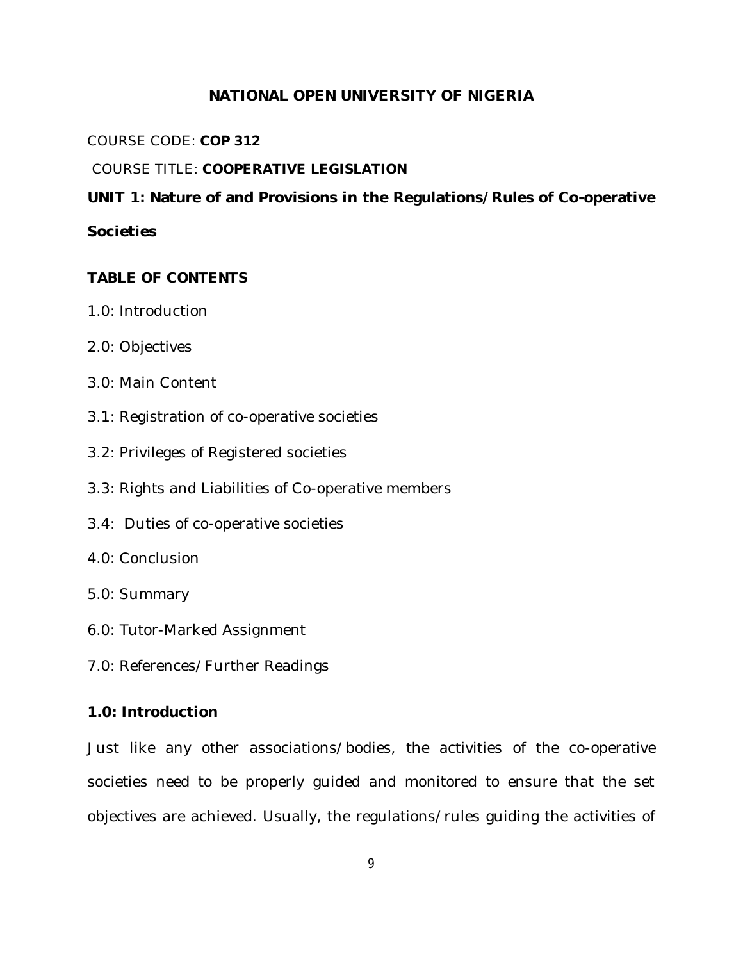# **NATIONAL OPEN UNIVERSITY OF NIGERIA**

COURSE CODE: **COP 312**

# COURSE TITLE: **COOPERATIVE LEGISLATION**

# **UNIT 1: Nature of and Provisions in the Regulations/Rules of Co-operative**

# **Societies**

# **TABLE OF CONTENTS**

- 1.0: Introduction
- 2.0: Objectives
- 3.0: Main Content
- 3.1: Registration of co-operative societies
- 3.2: Privileges of Registered societies
- 3.3: Rights and Liabilities of Co-operative members
- 3.4: Duties of co-operative societies
- 4.0: Conclusion
- 5.0: Summary
- 6.0: Tutor-Marked Assignment
- 7.0: References/Further Readings

# **1.0: Introduction**

Just like any other associations/bodies, the activities of the co-operative societies need to be properly guided and monitored to ensure that the set objectives are achieved. Usually, the regulations/rules guiding the activities of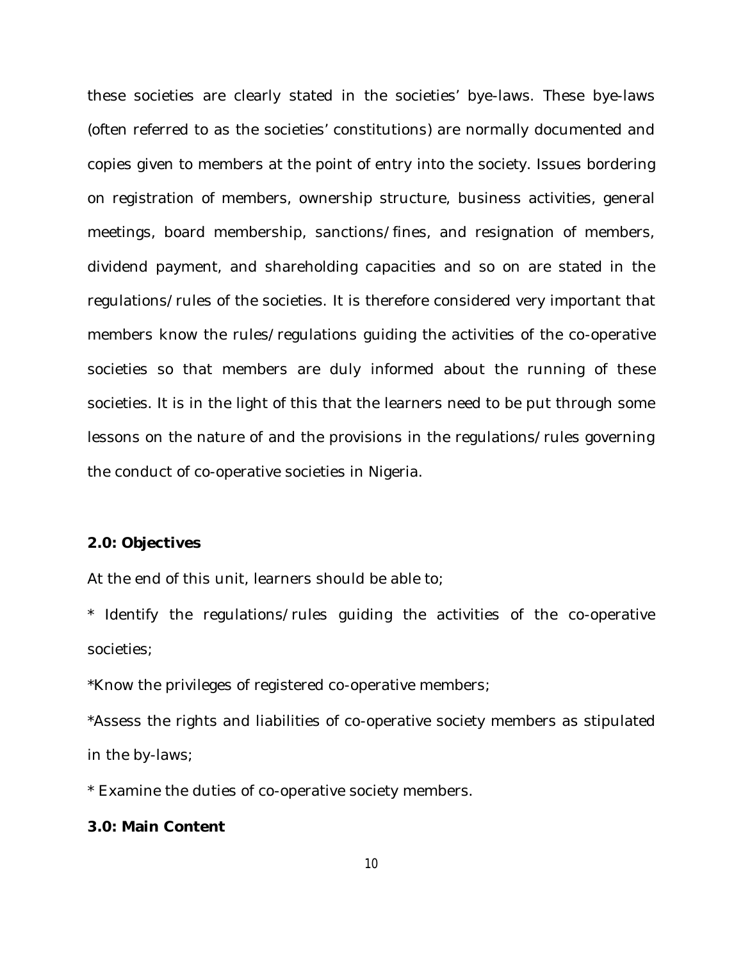these societies are clearly stated in the societies' bye-laws. These bye-laws (often referred to as the societies' constitutions) are normally documented and copies given to members at the point of entry into the society. Issues bordering on registration of members, ownership structure, business activities, general meetings, board membership, sanctions/fines, and resignation of members, dividend payment, and shareholding capacities and so on are stated in the regulations/rules of the societies. It is therefore considered very important that members know the rules/regulations guiding the activities of the co-operative societies so that members are duly informed about the running of these societies. It is in the light of this that the learners need to be put through some lessons on the nature of and the provisions in the regulations/rules governing the conduct of co-operative societies in Nigeria.

### **2.0: Objectives**

At the end of this unit, learners should be able to;

\* Identify the regulations/rules guiding the activities of the co-operative societies;

\*Know the privileges of registered co-operative members;

\*Assess the rights and liabilities of co-operative society members as stipulated in the by-laws;

\* Examine the duties of co-operative society members.

### **3.0: Main Content**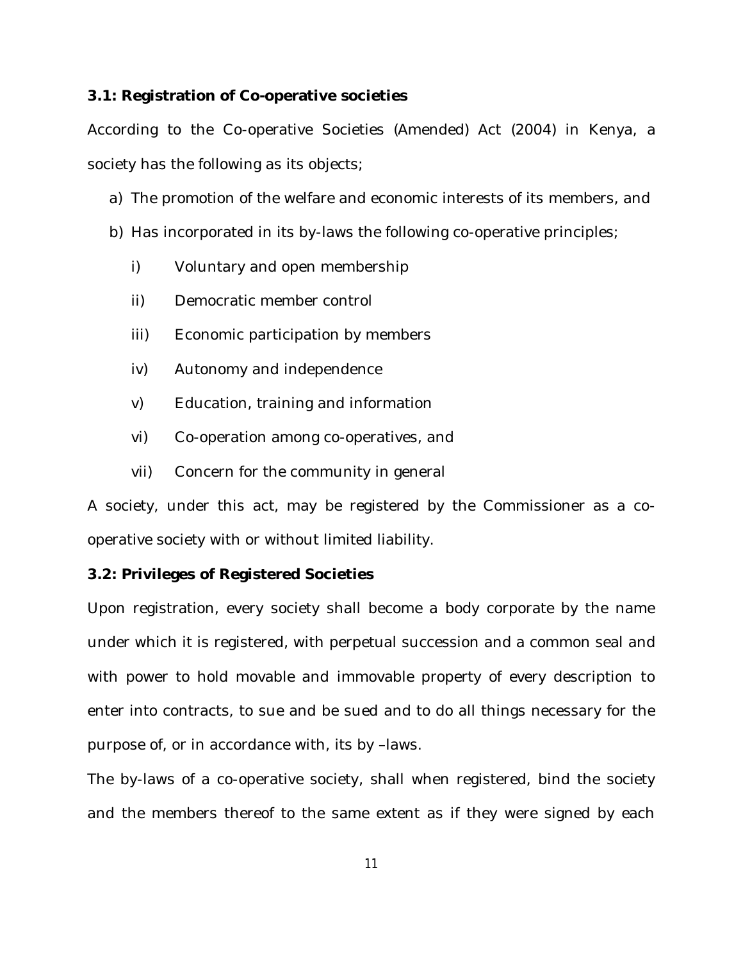### **3.1: Registration of Co-operative societies**

According to the Co-operative Societies (Amended) Act (2004) in Kenya, a society has the following as its objects;

- a) The promotion of the welfare and economic interests of its members, and
- b) Has incorporated in its by-laws the following co-operative principles;
	- i) Voluntary and open membership
	- ii) Democratic member control
	- iii) Economic participation by members
	- iv) Autonomy and independence
	- v) Education, training and information
	- vi) Co-operation among co-operatives, and
	- vii) Concern for the community in general

A society, under this act, may be registered by the Commissioner as a cooperative society with or without limited liability.

#### **3.2: Privileges of Registered Societies**

Upon registration, every society shall become a body corporate by the name under which it is registered, with perpetual succession and a common seal and with power to hold movable and immovable property of every description to enter into contracts, to sue and be sued and to do all things necessary for the purpose of, or in accordance with, its by –laws.

The by-laws of a co-operative society, shall when registered, bind the society and the members thereof to the same extent as if they were signed by each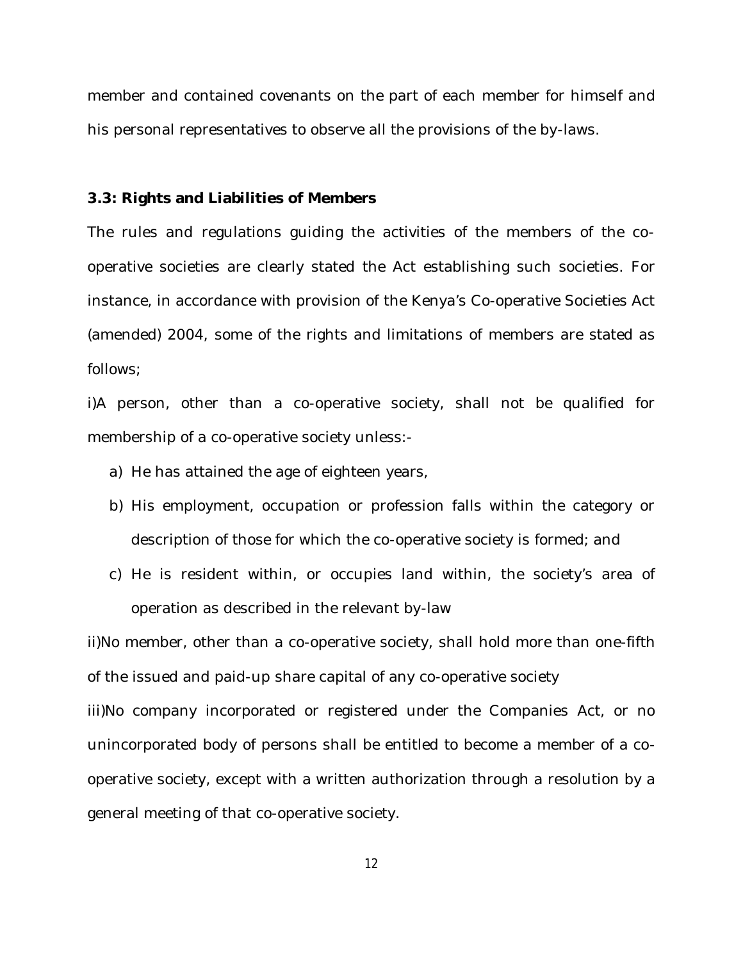member and contained covenants on the part of each member for himself and his personal representatives to observe all the provisions of the by-laws.

### **3.3: Rights and Liabilities of Members**

The rules and regulations guiding the activities of the members of the cooperative societies are clearly stated the Act establishing such societies. For instance, in accordance with provision of the Kenya's Co-operative Societies Act (amended) 2004, some of the rights and limitations of members are stated as follows;

i)A person, other than a co-operative society, shall not be qualified for membership of a co-operative society unless:-

- a) He has attained the age of eighteen years,
- b) His employment, occupation or profession falls within the category or description of those for which the co-operative society is formed; and
- c) He is resident within, or occupies land within, the society's area of operation as described in the relevant by-law

ii)No member, other than a co-operative society, shall hold more than one-fifth of the issued and paid-up share capital of any co-operative society iii)No company incorporated or registered under the Companies Act, or no unincorporated body of persons shall be entitled to become a member of a cooperative society, except with a written authorization through a resolution by a general meeting of that co-operative society.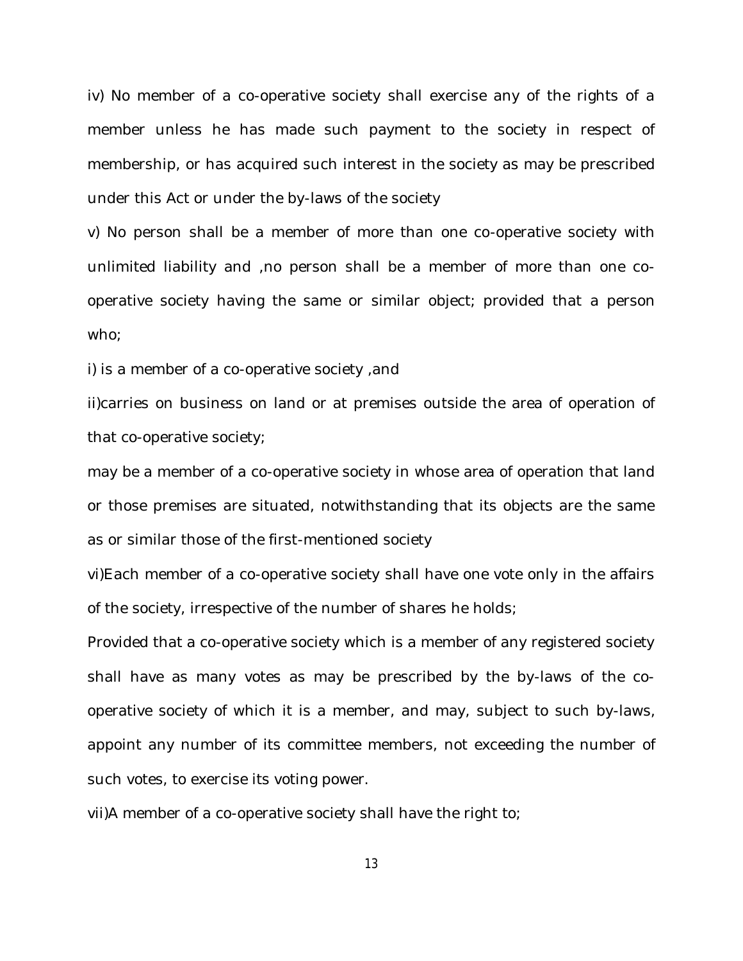iv) No member of a co-operative society shall exercise any of the rights of a member unless he has made such payment to the society in respect of membership, or has acquired such interest in the society as may be prescribed under this Act or under the by-laws of the society

v) No person shall be a member of more than one co-operative society with unlimited liability and ,no person shall be a member of more than one cooperative society having the same or similar object; provided that a person who;

i) is a member of a co-operative society ,and

ii)carries on business on land or at premises outside the area of operation of that co-operative society;

may be a member of a co-operative society in whose area of operation that land or those premises are situated, notwithstanding that its objects are the same as or similar those of the first-mentioned society

vi)Each member of a co-operative society shall have one vote only in the affairs of the society, irrespective of the number of shares he holds;

Provided that a co-operative society which is a member of any registered society shall have as many votes as may be prescribed by the by-laws of the cooperative society of which it is a member, and may, subject to such by-laws, appoint any number of its committee members, not exceeding the number of such votes, to exercise its voting power.

vii)A member of a co-operative society shall have the right to;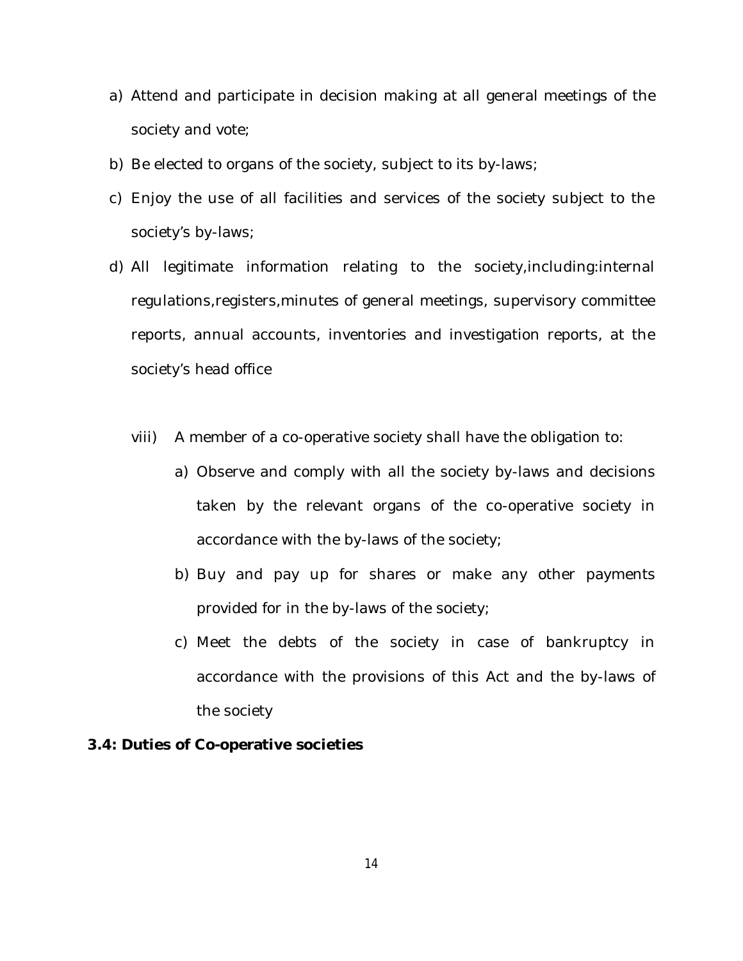- a) Attend and participate in decision making at all general meetings of the society and vote;
- b) Be elected to organs of the society, subject to its by-laws;
- c) Enjoy the use of all facilities and services of the society subject to the society's by-laws;
- d) All legitimate information relating to the society,including:internal regulations,registers,minutes of general meetings, supervisory committee reports, annual accounts, inventories and investigation reports, at the society's head office
	- viii) A member of a co-operative society shall have the obligation to:
		- a) Observe and comply with all the society by-laws and decisions taken by the relevant organs of the co-operative society in accordance with the by-laws of the society;
		- b) Buy and pay up for shares or make any other payments provided for in the by-laws of the society;
		- c) Meet the debts of the society in case of bankruptcy in accordance with the provisions of this Act and the by-laws of the society

### **3.4: Duties of Co-operative societies**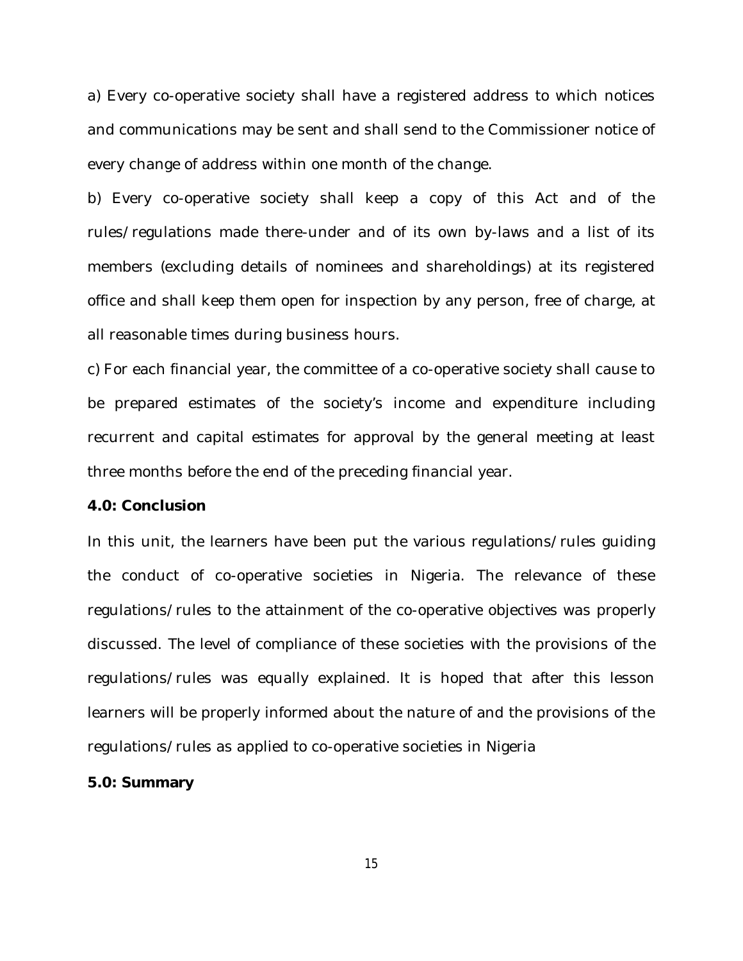a) Every co-operative society shall have a registered address to which notices and communications may be sent and shall send to the Commissioner notice of every change of address within one month of the change.

b) Every co-operative society shall keep a copy of this Act and of the rules/regulations made there-under and of its own by-laws and a list of its members (excluding details of nominees and shareholdings) at its registered office and shall keep them open for inspection by any person, free of charge, at all reasonable times during business hours.

c) For each financial year, the committee of a co-operative society shall cause to be prepared estimates of the society's income and expenditure including recurrent and capital estimates for approval by the general meeting at least three months before the end of the preceding financial year.

#### **4.0: Conclusion**

In this unit, the learners have been put the various regulations/rules guiding the conduct of co-operative societies in Nigeria. The relevance of these regulations/rules to the attainment of the co-operative objectives was properly discussed. The level of compliance of these societies with the provisions of the regulations/rules was equally explained. It is hoped that after this lesson learners will be properly informed about the nature of and the provisions of the regulations/rules as applied to co-operative societies in Nigeria

#### **5.0: Summary**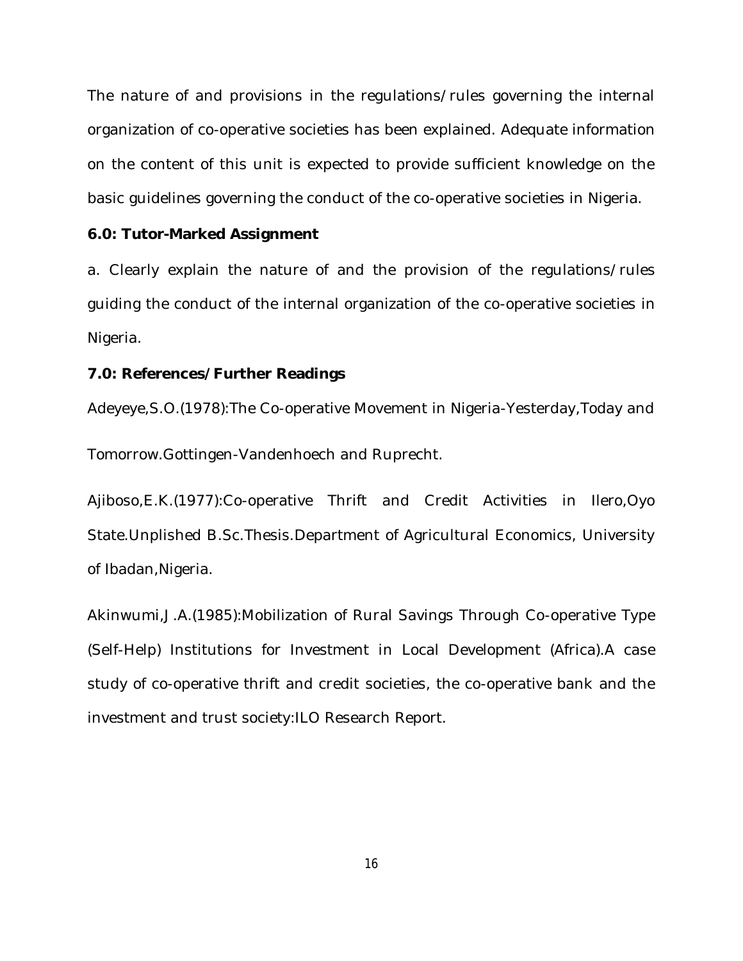The nature of and provisions in the regulations/rules governing the internal organization of co-operative societies has been explained. Adequate information on the content of this unit is expected to provide sufficient knowledge on the basic guidelines governing the conduct of the co-operative societies in Nigeria.

### **6.0: Tutor-Marked Assignment**

a. Clearly explain the nature of and the provision of the regulations/rules guiding the conduct of the internal organization of the co-operative societies in Nigeria.

### **7.0: References/Further Readings**

Adeyeye,S.O.(1978):The Co-operative Movement in Nigeria-Yesterday,Today and

Tomorrow.Gottingen-Vandenhoech and Ruprecht.

Ajiboso,E.K.(1977):Co-operative Thrift and Credit Activities in Ilero,Oyo State.Unplished B.Sc.Thesis.Department of Agricultural Economics, University of Ibadan,Nigeria.

Akinwumi,J.A.(1985):Mobilization of Rural Savings Through Co-operative Type (Self-Help) Institutions for Investment in Local Development (Africa).A case study of co-operative thrift and credit societies, the co-operative bank and the investment and trust society:ILO Research Report.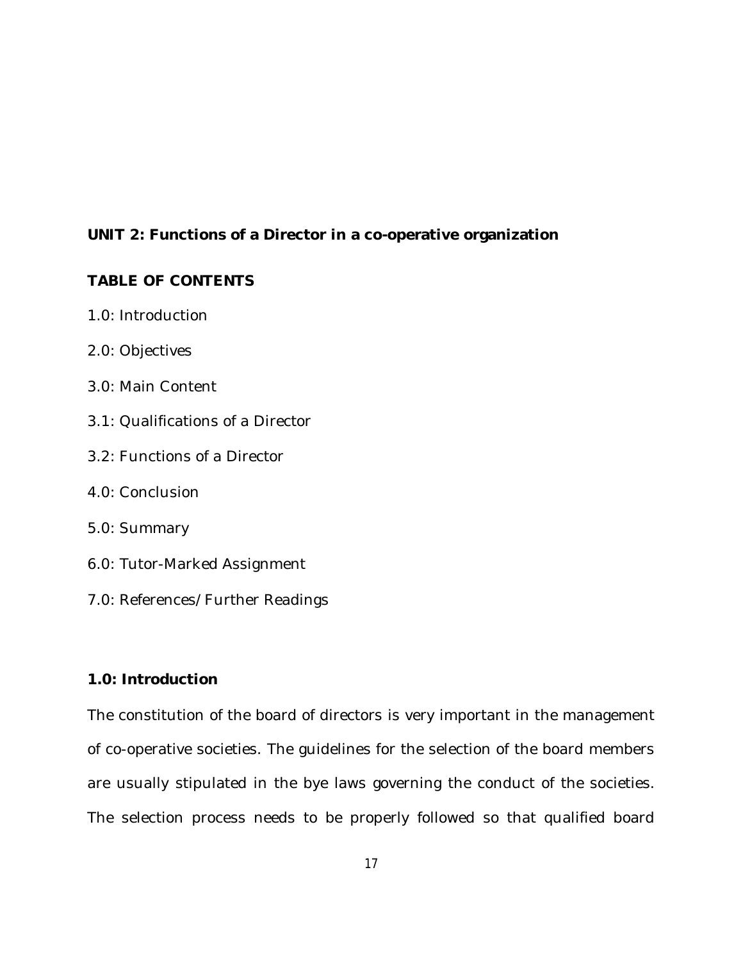# **UNIT 2: Functions of a Director in a co-operative organization**

# **TABLE OF CONTENTS**

- 1.0: Introduction
- 2.0: Objectives
- 3.0: Main Content
- 3.1: Qualifications of a Director
- 3.2: Functions of a Director
- 4.0: Conclusion
- 5.0: Summary
- 6.0: Tutor-Marked Assignment
- 7.0: References/Further Readings

# **1.0: Introduction**

The constitution of the board of directors is very important in the management of co-operative societies. The guidelines for the selection of the board members are usually stipulated in the bye laws governing the conduct of the societies. The selection process needs to be properly followed so that qualified board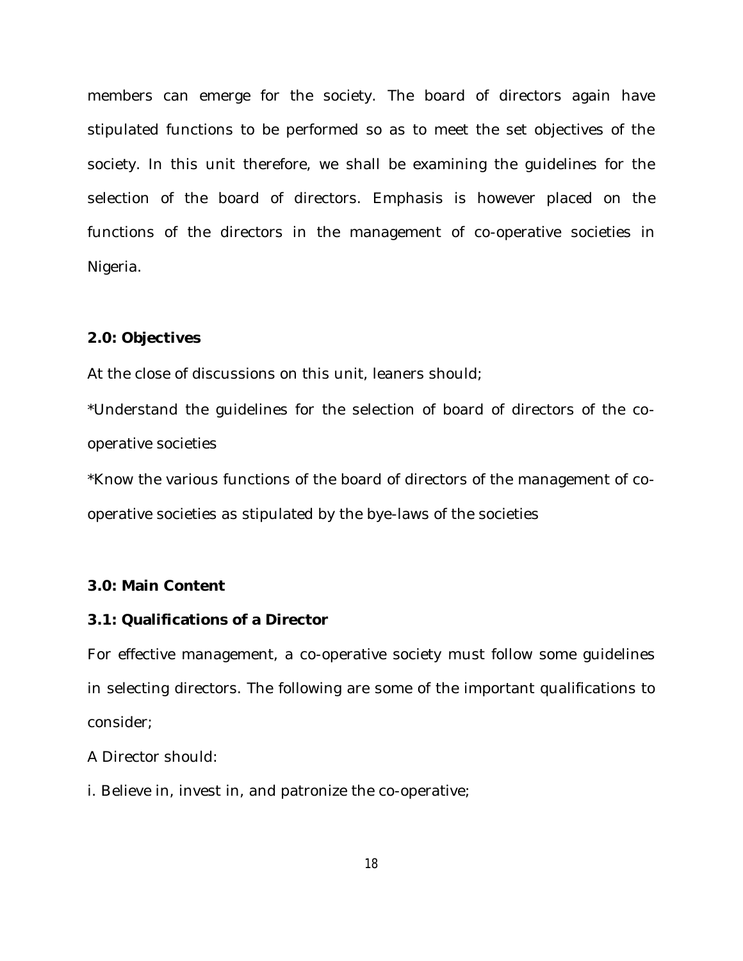members can emerge for the society. The board of directors again have stipulated functions to be performed so as to meet the set objectives of the society. In this unit therefore, we shall be examining the guidelines for the selection of the board of directors. Emphasis is however placed on the functions of the directors in the management of co-operative societies in Nigeria.

### **2.0: Objectives**

At the close of discussions on this unit, leaners should;

\*Understand the guidelines for the selection of board of directors of the cooperative societies

\*Know the various functions of the board of directors of the management of cooperative societies as stipulated by the bye-laws of the societies

#### **3.0: Main Content**

### **3.1: Qualifications of a Director**

For effective management, a co-operative society must follow some guidelines in selecting directors. The following are some of the important qualifications to consider;

A Director should:

i. Believe in, invest in, and patronize the co-operative;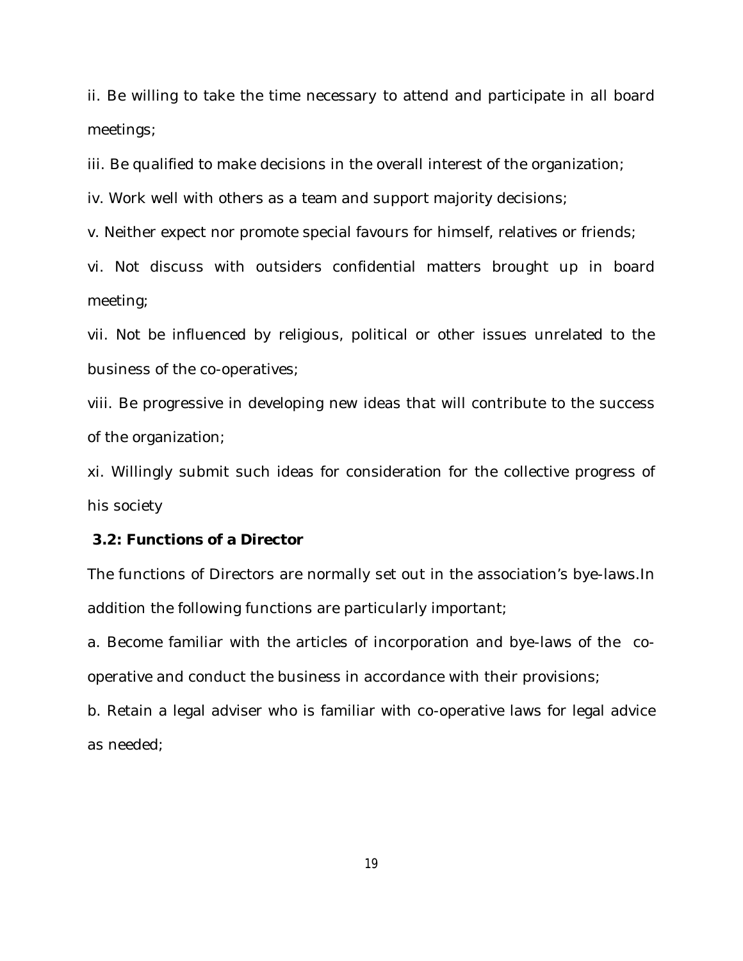ii. Be willing to take the time necessary to attend and participate in all board meetings;

iii. Be qualified to make decisions in the overall interest of the organization;

iv. Work well with others as a team and support majority decisions;

v. Neither expect nor promote special favours for himself, relatives or friends;

vi. Not discuss with outsiders confidential matters brought up in board meeting;

vii. Not be influenced by religious, political or other issues unrelated to the business of the co-operatives;

viii. Be progressive in developing new ideas that will contribute to the success of the organization;

xi. Willingly submit such ideas for consideration for the collective progress of his society

### **3.2: Functions of a Director**

The functions of Directors are normally set out in the association's bye-laws.In addition the following functions are particularly important;

a. Become familiar with the articles of incorporation and bye-laws of the cooperative and conduct the business in accordance with their provisions;

b. Retain a legal adviser who is familiar with co-operative laws for legal advice as needed;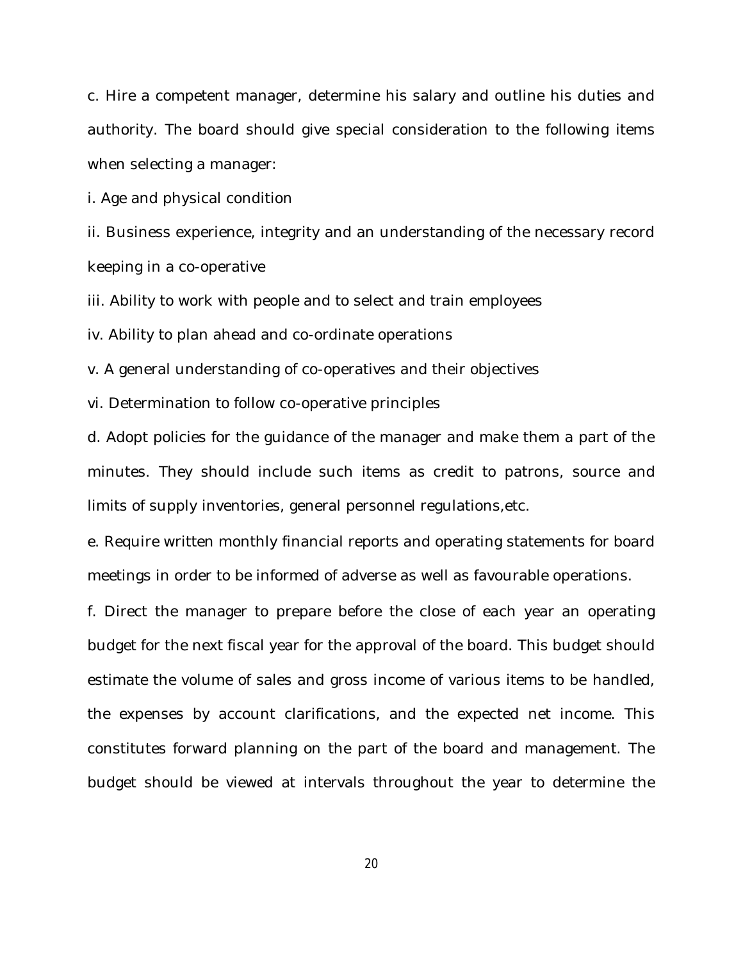c. Hire a competent manager, determine his salary and outline his duties and authority. The board should give special consideration to the following items when selecting a manager:

i. Age and physical condition

ii. Business experience, integrity and an understanding of the necessary record keeping in a co-operative

iii. Ability to work with people and to select and train employees

iv. Ability to plan ahead and co-ordinate operations

v. A general understanding of co-operatives and their objectives

vi. Determination to follow co-operative principles

d. Adopt policies for the guidance of the manager and make them a part of the minutes. They should include such items as credit to patrons, source and limits of supply inventories, general personnel regulations,etc.

e. Require written monthly financial reports and operating statements for board meetings in order to be informed of adverse as well as favourable operations.

f. Direct the manager to prepare before the close of each year an operating budget for the next fiscal year for the approval of the board. This budget should estimate the volume of sales and gross income of various items to be handled, the expenses by account clarifications, and the expected net income. This constitutes forward planning on the part of the board and management. The budget should be viewed at intervals throughout the year to determine the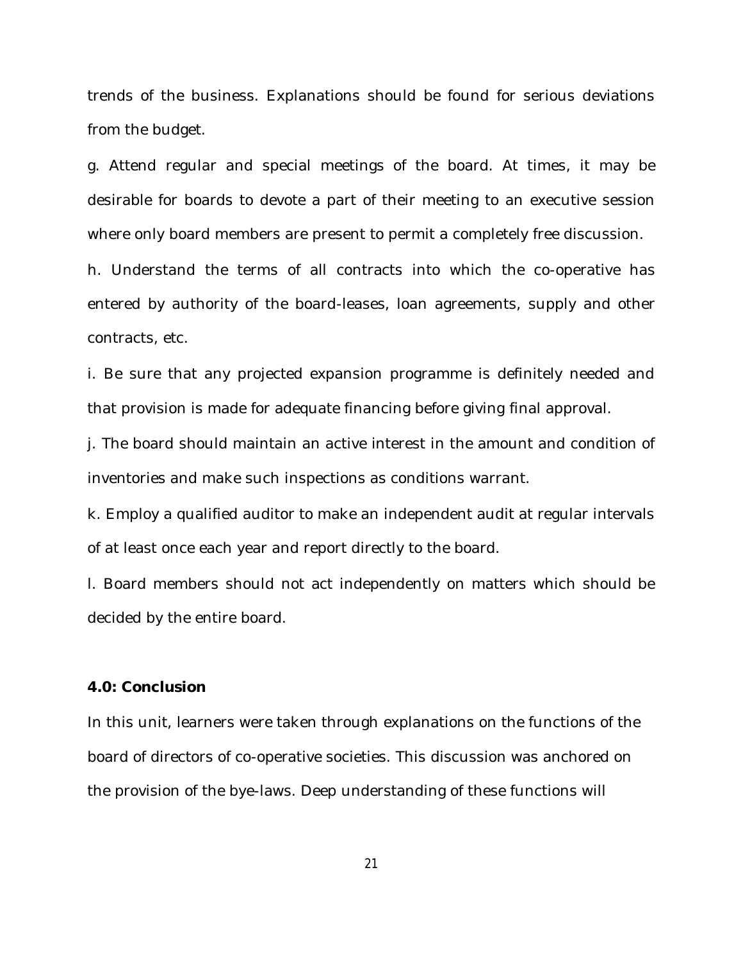trends of the business. Explanations should be found for serious deviations from the budget.

g. Attend regular and special meetings of the board. At times, it may be desirable for boards to devote a part of their meeting to an executive session where only board members are present to permit a completely free discussion.

h. Understand the terms of all contracts into which the co-operative has entered by authority of the board-leases, loan agreements, supply and other contracts, etc.

i. Be sure that any projected expansion programme is definitely needed and that provision is made for adequate financing before giving final approval.

j. The board should maintain an active interest in the amount and condition of inventories and make such inspections as conditions warrant.

k. Employ a qualified auditor to make an independent audit at regular intervals of at least once each year and report directly to the board.

l. Board members should not act independently on matters which should be decided by the entire board.

### **4.0: Conclusion**

In this unit, learners were taken through explanations on the functions of the board of directors of co-operative societies. This discussion was anchored on the provision of the bye-laws. Deep understanding of these functions will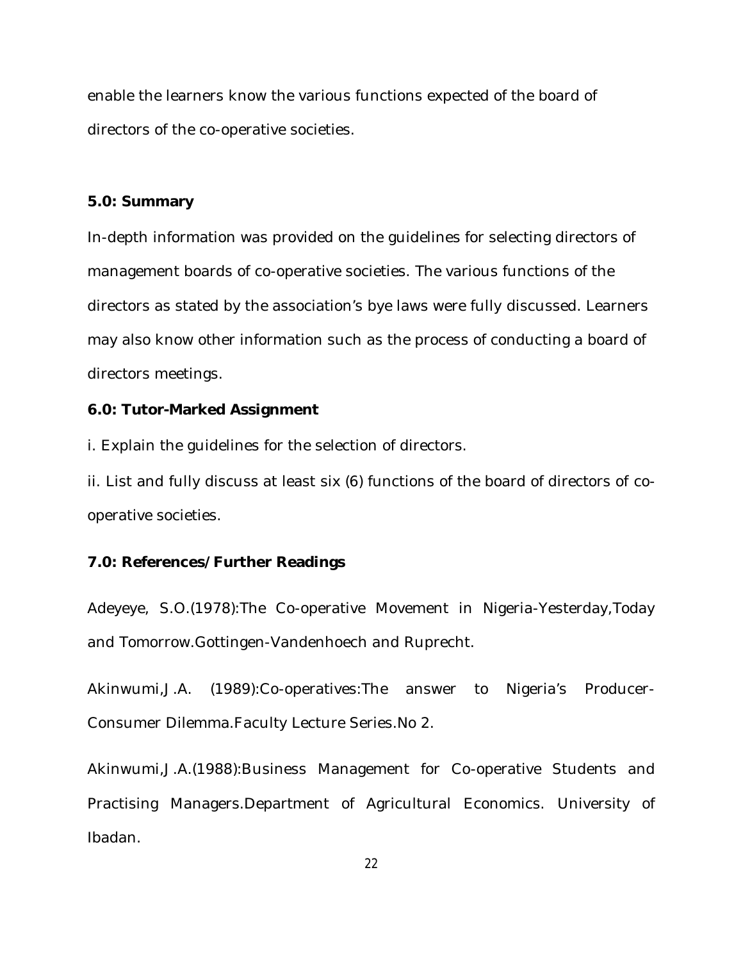enable the learners know the various functions expected of the board of directors of the co-operative societies.

## **5.0: Summary**

In-depth information was provided on the guidelines for selecting directors of management boards of co-operative societies. The various functions of the directors as stated by the association's bye laws were fully discussed. Learners may also know other information such as the process of conducting a board of directors meetings.

# **6.0: Tutor-Marked Assignment**

i. Explain the guidelines for the selection of directors.

ii. List and fully discuss at least six (6) functions of the board of directors of cooperative societies.

# **7.0: References/Further Readings**

Adeyeye, S.O.(1978):The Co-operative Movement in Nigeria-Yesterday,Today and Tomorrow.Gottingen-Vandenhoech and Ruprecht.

Akinwumi,J.A. (1989):Co-operatives:The answer to Nigeria's Producer-Consumer Dilemma.Faculty Lecture Series.No 2.

Akinwumi,J.A.(1988):Business Management for Co-operative Students and Practising Managers.Department of Agricultural Economics. University of Ibadan.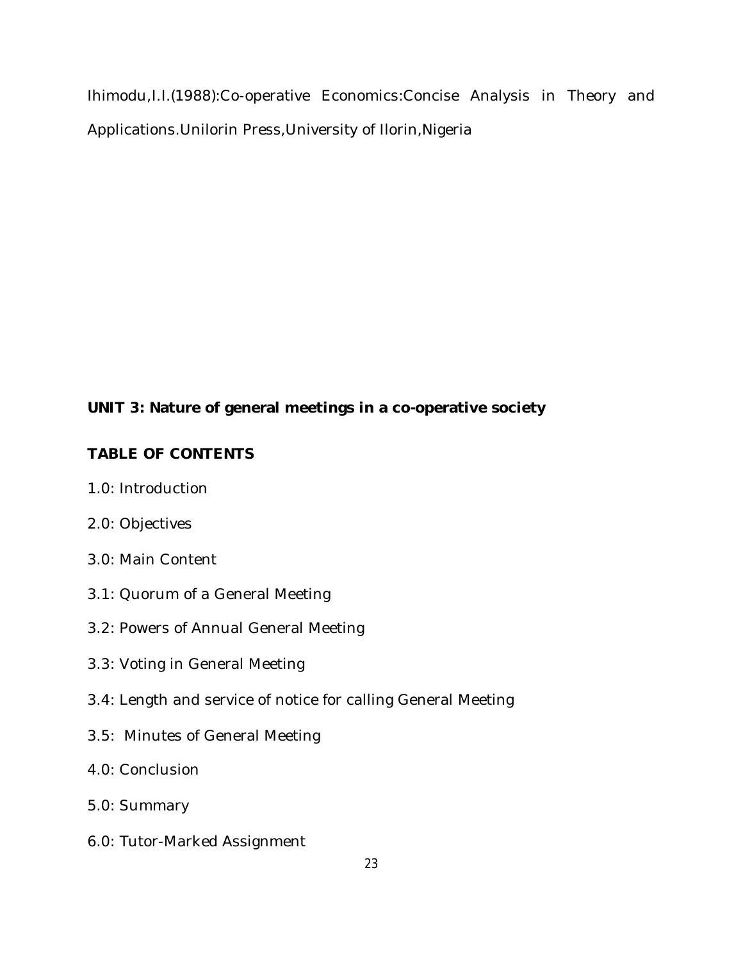Ihimodu,I.I.(1988):Co-operative Economics:Concise Analysis in Theory and Applications.Unilorin Press,University of Ilorin,Nigeria

# **UNIT 3: Nature of general meetings in a co-operative society**

# **TABLE OF CONTENTS**

- 1.0: Introduction
- 2.0: Objectives
- 3.0: Main Content
- 3.1: Quorum of a General Meeting
- 3.2: Powers of Annual General Meeting
- 3.3: Voting in General Meeting
- 3.4: Length and service of notice for calling General Meeting
- 3.5: Minutes of General Meeting
- 4.0: Conclusion
- 5.0: Summary
- 6.0: Tutor-Marked Assignment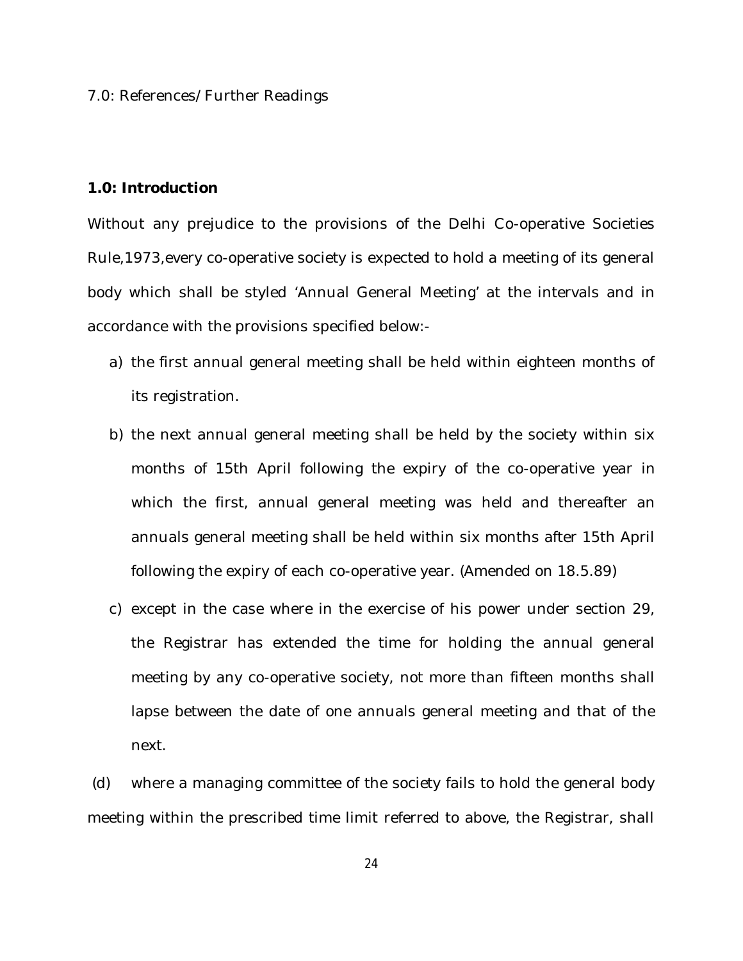#### 7.0: References/Further Readings

### **1.0: Introduction**

Without any prejudice to the provisions of the Delhi Co-operative Societies Rule,1973,every co-operative society is expected to hold a meeting of its general body which shall be styled 'Annual General Meeting' at the intervals and in accordance with the provisions specified below:-

- a) the first annual general meeting shall be held within eighteen months of its registration.
- b) the next annual general meeting shall be held by the society within six months of 15th April following the expiry of the co-operative year in which the first, annual general meeting was held and thereafter an annuals general meeting shall be held within six months after 15th April following the expiry of each co-operative year. (Amended on 18.5.89)
- c) except in the case where in the exercise of his power under section 29, the Registrar has extended the time for holding the annual general meeting by any co-operative society, not more than fifteen months shall lapse between the date of one annuals general meeting and that of the next.

(d) where a managing committee of the society fails to hold the general body meeting within the prescribed time limit referred to above, the Registrar, shall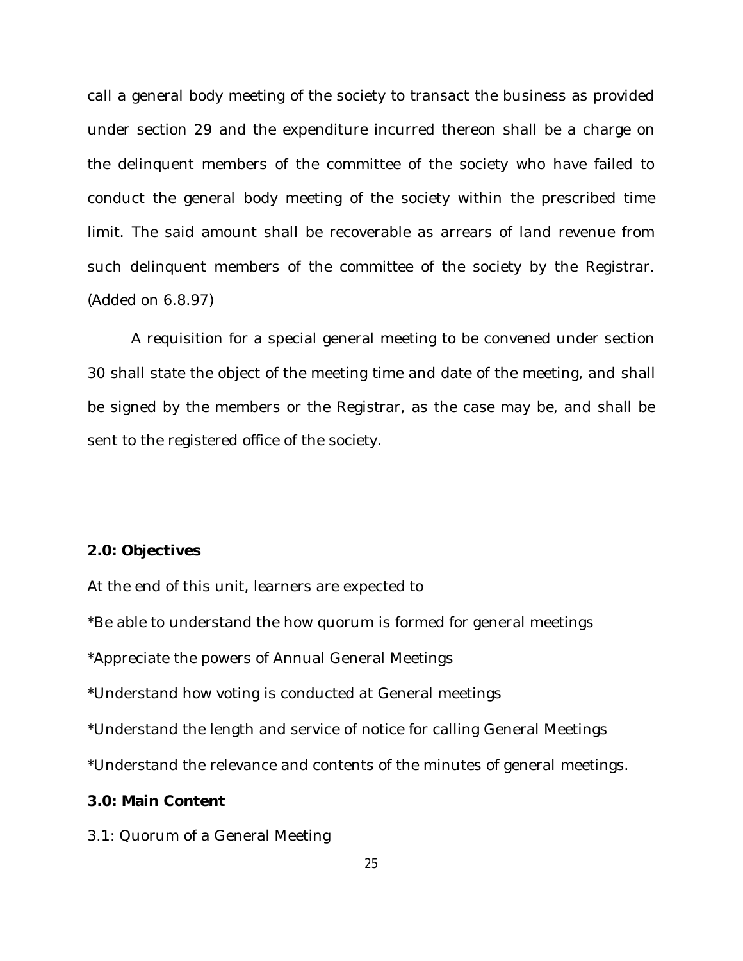call a general body meeting of the society to transact the business as provided under section 29 and the expenditure incurred thereon shall be a charge on the delinquent members of the committee of the society who have failed to conduct the general body meeting of the society within the prescribed time limit. The said amount shall be recoverable as arrears of land revenue from such delinquent members of the committee of the society by the Registrar. (Added on 6.8.97)

A requisition for a special general meeting to be convened under section 30 shall state the object of the meeting time and date of the meeting, and shall be signed by the members or the Registrar, as the case may be, and shall be sent to the registered office of the society.

### **2.0: Objectives**

At the end of this unit, learners are expected to

\*Be able to understand the how quorum is formed for general meetings

\*Appreciate the powers of Annual General Meetings

\*Understand how voting is conducted at General meetings

\*Understand the length and service of notice for calling General Meetings

\*Understand the relevance and contents of the minutes of general meetings.

## **3.0: Main Content**

3.1: Quorum of a General Meeting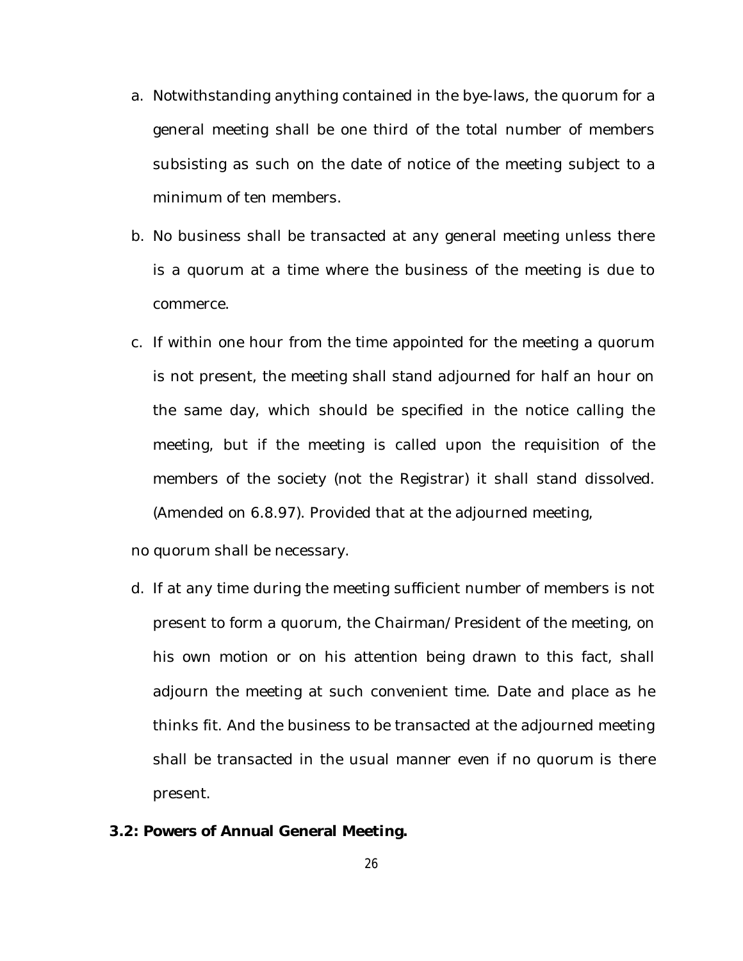- a. Notwithstanding anything contained in the bye-laws, the quorum for a general meeting shall be one third of the total number of members subsisting as such on the date of notice of the meeting subject to a minimum of ten members.
- b. No business shall be transacted at any general meeting unless there is a quorum at a time where the business of the meeting is due to commerce.
- c. If within one hour from the time appointed for the meeting a quorum is not present, the meeting shall stand adjourned for half an hour on the same day, which should be specified in the notice calling the meeting, but if the meeting is called upon the requisition of the members of the society (not the Registrar) it shall stand dissolved. (Amended on 6.8.97). Provided that at the adjourned meeting,

no quorum shall be necessary.

- d. If at any time during the meeting sufficient number of members is not present to form a quorum, the Chairman/President of the meeting, on his own motion or on his attention being drawn to this fact, shall adjourn the meeting at such convenient time. Date and place as he thinks fit. And the business to be transacted at the adjourned meeting shall be transacted in the usual manner even if no quorum is there present.
- **3.2: Powers of Annual General Meeting.**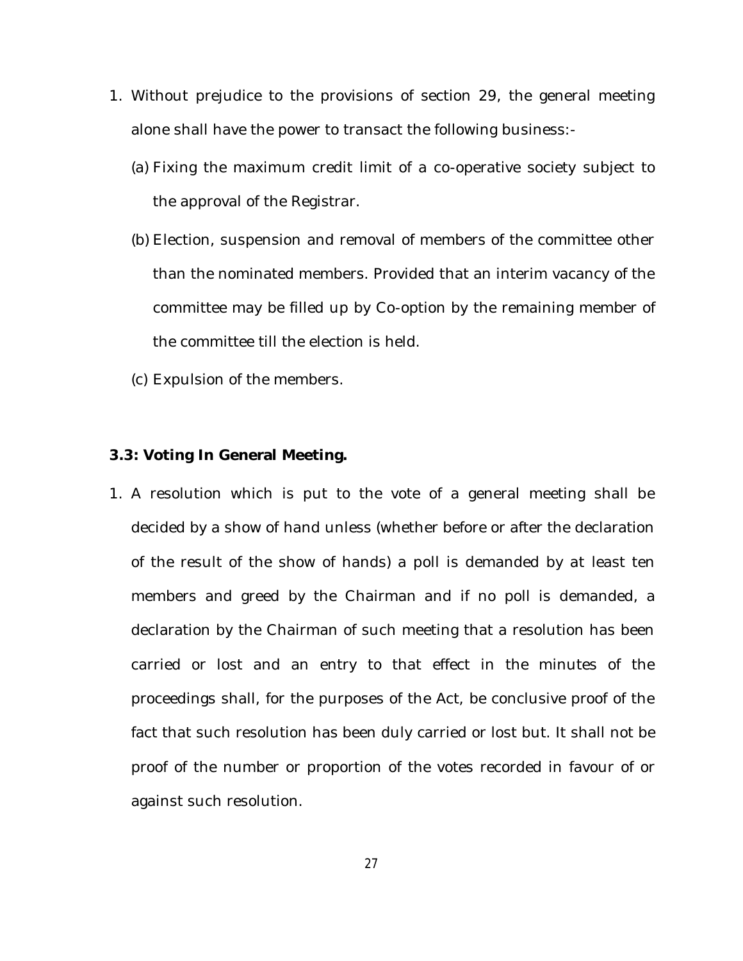- 1. Without prejudice to the provisions of section 29, the general meeting alone shall have the power to transact the following business:-
	- (a) Fixing the maximum credit limit of a co-operative society subject to the approval of the Registrar.
	- (b) Election, suspension and removal of members of the committee other than the nominated members. Provided that an interim vacancy of the committee may be filled up by Co-option by the remaining member of the committee till the election is held.
	- (c) Expulsion of the members.

### **3.3: Voting In General Meeting.**

1. A resolution which is put to the vote of a general meeting shall be decided by a show of hand unless (whether before or after the declaration of the result of the show of hands) a poll is demanded by at least ten members and greed by the Chairman and if no poll is demanded, a declaration by the Chairman of such meeting that a resolution has been carried or lost and an entry to that effect in the minutes of the proceedings shall, for the purposes of the Act, be conclusive proof of the fact that such resolution has been duly carried or lost but. It shall not be proof of the number or proportion of the votes recorded in favour of or against such resolution.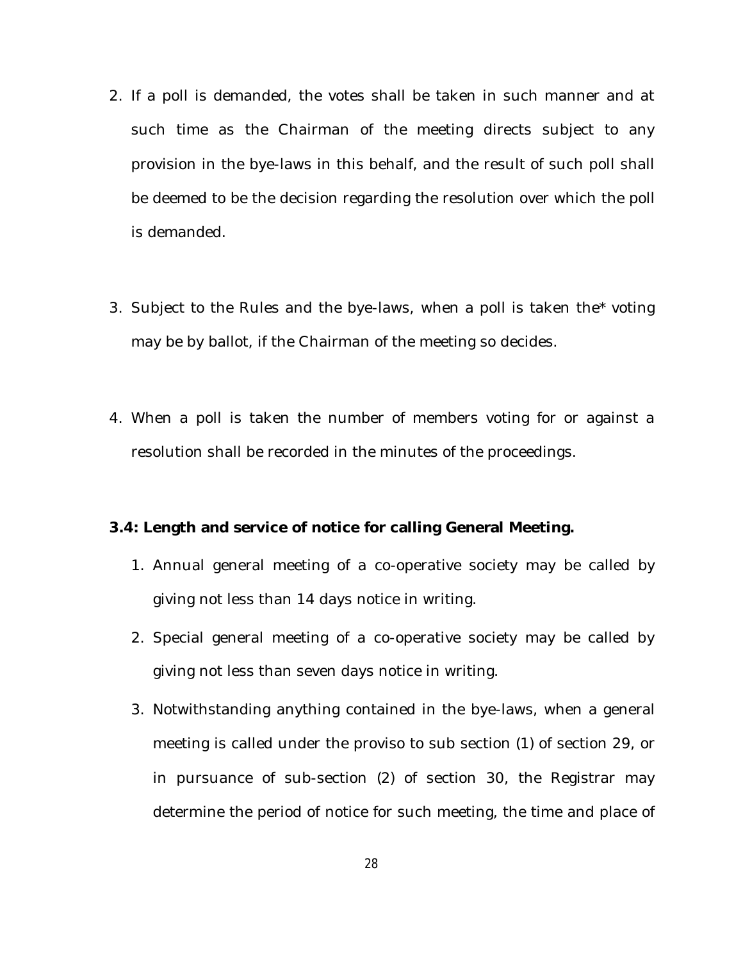- 2. If a poll is demanded, the votes shall be taken in such manner and at such time as the Chairman of the meeting directs subject to any provision in the bye-laws in this behalf, and the result of such poll shall be deemed to be the decision regarding the resolution over which the poll is demanded.
- 3. Subject to the Rules and the bye-laws, when a poll is taken the\* voting may be by ballot, if the Chairman of the meeting so decides.
- 4. When a poll is taken the number of members voting for or against a resolution shall be recorded in the minutes of the proceedings.

### **3.4: Length and service of notice for calling General Meeting.**

- 1. Annual general meeting of a co-operative society may be called by giving not less than 14 days notice in writing.
- 2. Special general meeting of a co-operative society may be called by giving not less than seven days notice in writing.
- 3. Notwithstanding anything contained in the bye-laws, when a general meeting is called under the proviso to sub section (1) of section 29, or in pursuance of sub-section (2) of section 30, the Registrar may determine the period of notice for such meeting, the time and place of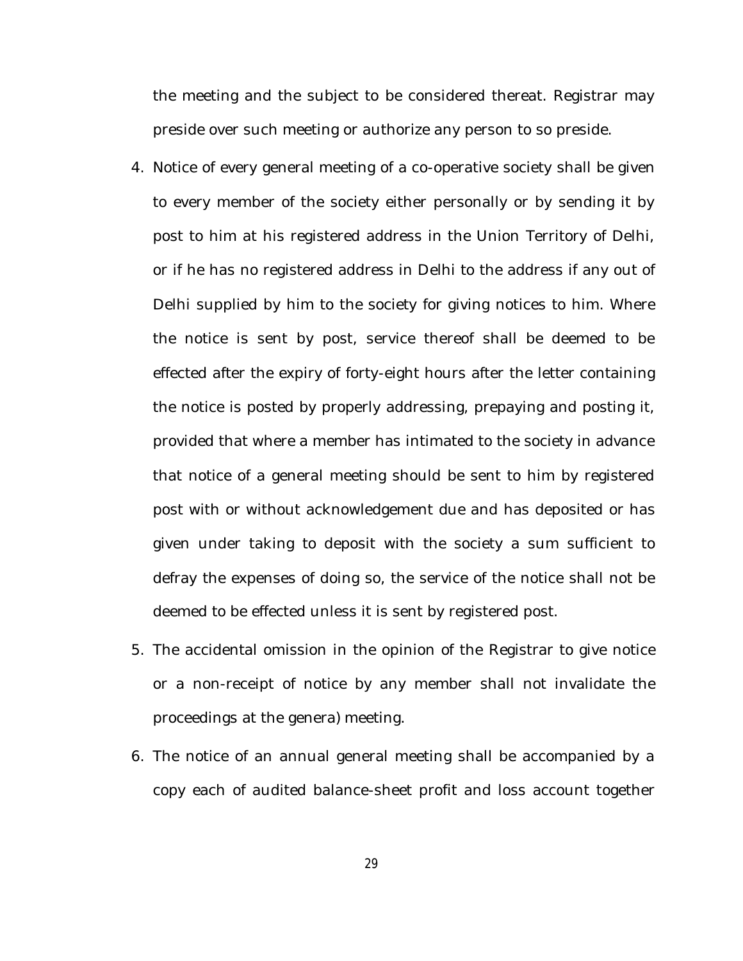the meeting and the subject to be considered thereat. Registrar may preside over such meeting or authorize any person to so preside.

- 4. Notice of every general meeting of a co-operative society shall be given to every member of the society either personally or by sending it by post to him at his registered address in the Union Territory of Delhi, or if he has no registered address in Delhi to the address if any out of Delhi supplied by him to the society for giving notices to him. Where the notice is sent by post, service thereof shall be deemed to be effected after the expiry of forty-eight hours after the letter containing the notice is posted by properly addressing, prepaying and posting it, provided that where a member has intimated to the society in advance that notice of a general meeting should be sent to him by registered post with or without acknowledgement due and has deposited or has given under taking to deposit with the society a sum sufficient to defray the expenses of doing so, the service of the notice shall not be deemed to be effected unless it is sent by registered post.
- 5. The accidental omission in the opinion of the Registrar to give notice or a non-receipt of notice by any member shall not invalidate the proceedings at the genera) meeting.
- 6. The notice of an annual general meeting shall be accompanied by a copy each of audited balance-sheet profit and loss account together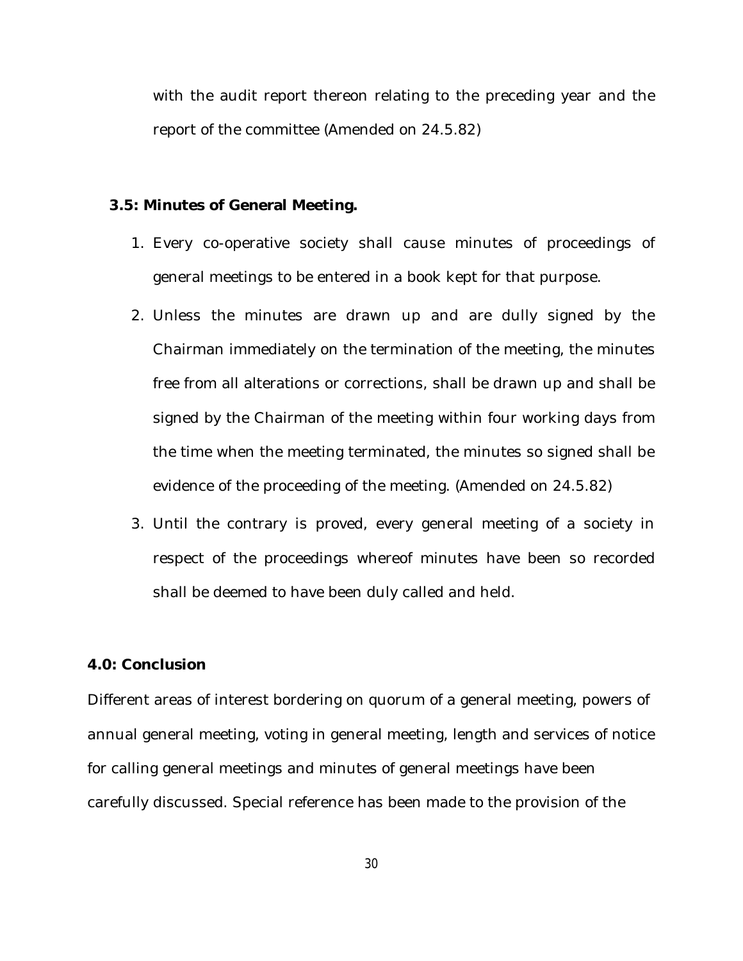with the audit report thereon relating to the preceding year and the report of the committee (Amended on 24.5.82)

#### **3.5: Minutes of General Meeting.**

- 1. Every co-operative society shall cause minutes of proceedings of general meetings to be entered in a book kept for that purpose.
- 2. Unless the minutes are drawn up and are dully signed by the Chairman immediately on the termination of the meeting, the minutes free from all alterations or corrections, shall be drawn up and shall be signed by the Chairman of the meeting within four working days from the time when the meeting terminated, the minutes so signed shall be evidence of the proceeding of the meeting. (Amended on 24.5.82)
- 3. Until the contrary is proved, every general meeting of a society in respect of the proceedings whereof minutes have been so recorded shall be deemed to have been duly called and held.

### **4.0: Conclusion**

Different areas of interest bordering on quorum of a general meeting, powers of annual general meeting, voting in general meeting, length and services of notice for calling general meetings and minutes of general meetings have been carefully discussed. Special reference has been made to the provision of the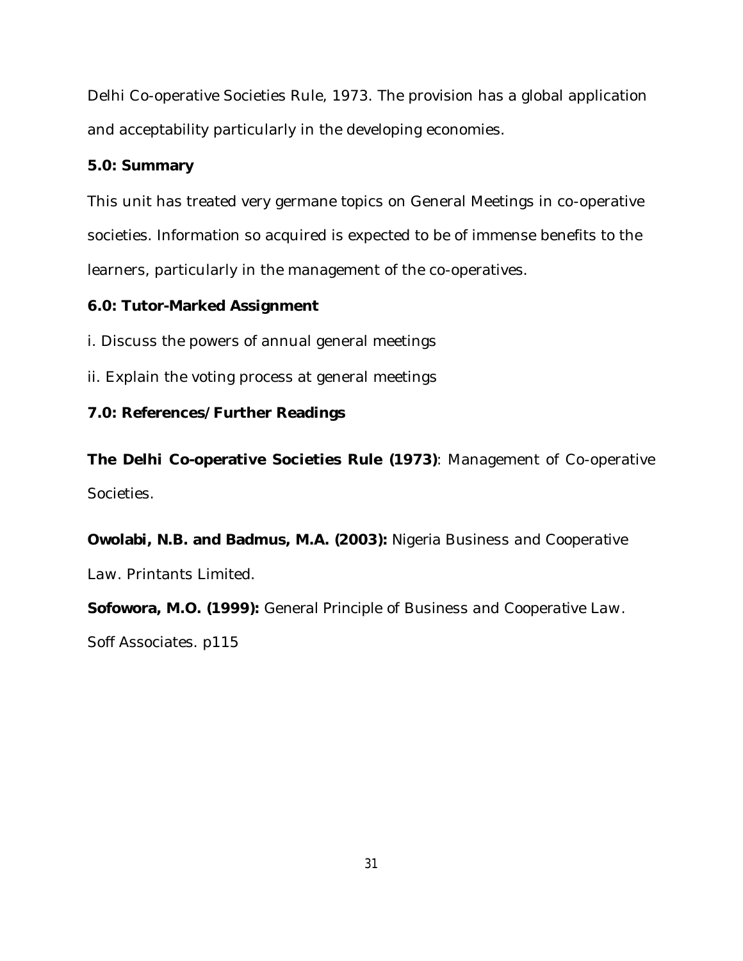Delhi Co-operative Societies Rule, 1973. The provision has a global application and acceptability particularly in the developing economies.

# **5.0: Summary**

This unit has treated very germane topics on General Meetings in co-operative societies. Information so acquired is expected to be of immense benefits to the learners, particularly in the management of the co-operatives.

# **6.0: Tutor-Marked Assignment**

i. Discuss the powers of annual general meetings

ii. Explain the voting process at general meetings

# **7.0: References/Further Readings**

**The Delhi Co-operative Societies Rule (1973)**: Management of Co-operative Societies.

**Owolabi, N.B. and Badmus, M.A. (2003):** *Nigeria Business and Cooperative Law*. Printants Limited.

**Sofowora, M.O. (1999):** *General Principle of Business and Cooperative Law*. Soff Associates. p115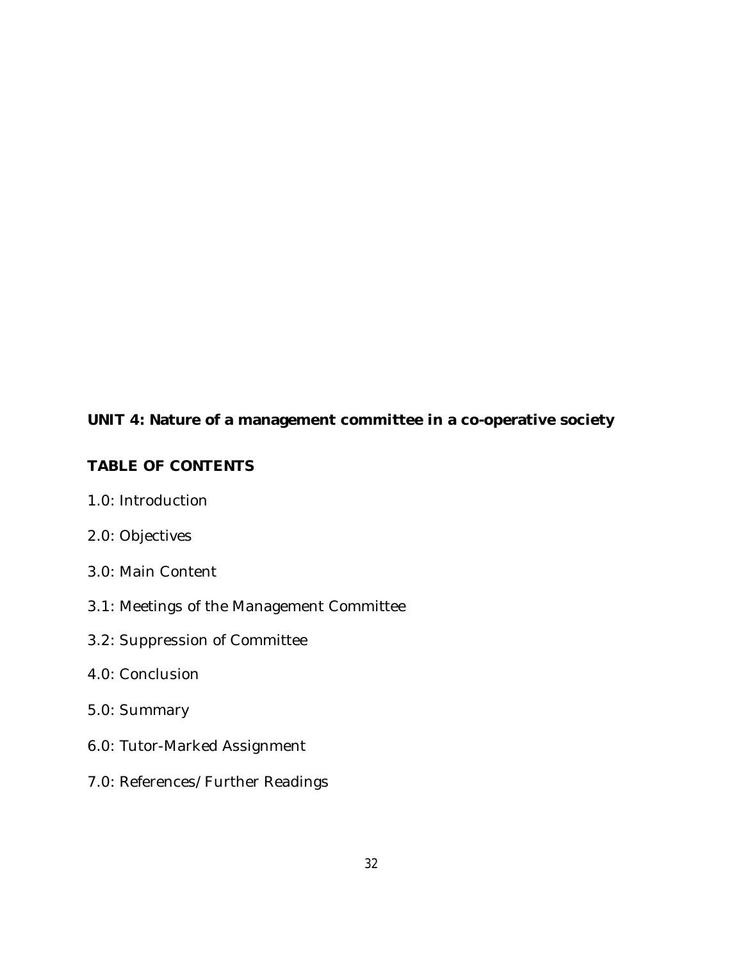# **UNIT 4: Nature of a management committee in a co-operative society**

# **TABLE OF CONTENTS**

- 1.0: Introduction
- 2.0: Objectives
- 3.0: Main Content
- 3.1: Meetings of the Management Committee
- 3.2: Suppression of Committee
- 4.0: Conclusion
- 5.0: Summary
- 6.0: Tutor-Marked Assignment
- 7.0: References/Further Readings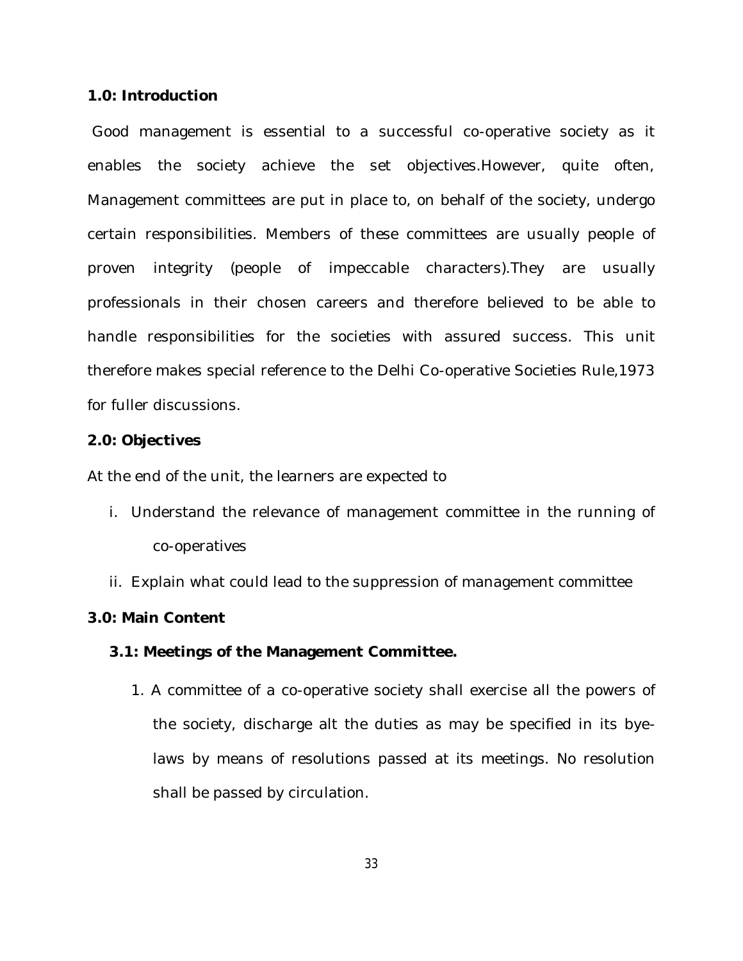#### **1.0: Introduction**

Good management is essential to a successful co-operative society as it enables the society achieve the set objectives.However, quite often, Management committees are put in place to, on behalf of the society, undergo certain responsibilities. Members of these committees are usually people of proven integrity (people of impeccable characters).They are usually professionals in their chosen careers and therefore believed to be able to handle responsibilities for the societies with assured success. This unit therefore makes special reference to the Delhi Co-operative Societies Rule,1973 for fuller discussions.

#### **2.0: Objectives**

At the end of the unit, the learners are expected to

- i. Understand the relevance of management committee in the running of co-operatives
- ii. Explain what could lead to the suppression of management committee

#### **3.0: Main Content**

#### **3.1: Meetings of the Management Committee.**

1. A committee of a co-operative society shall exercise all the powers of the society, discharge alt the duties as may be specified in its byelaws by means of resolutions passed at its meetings. No resolution shall be passed by circulation.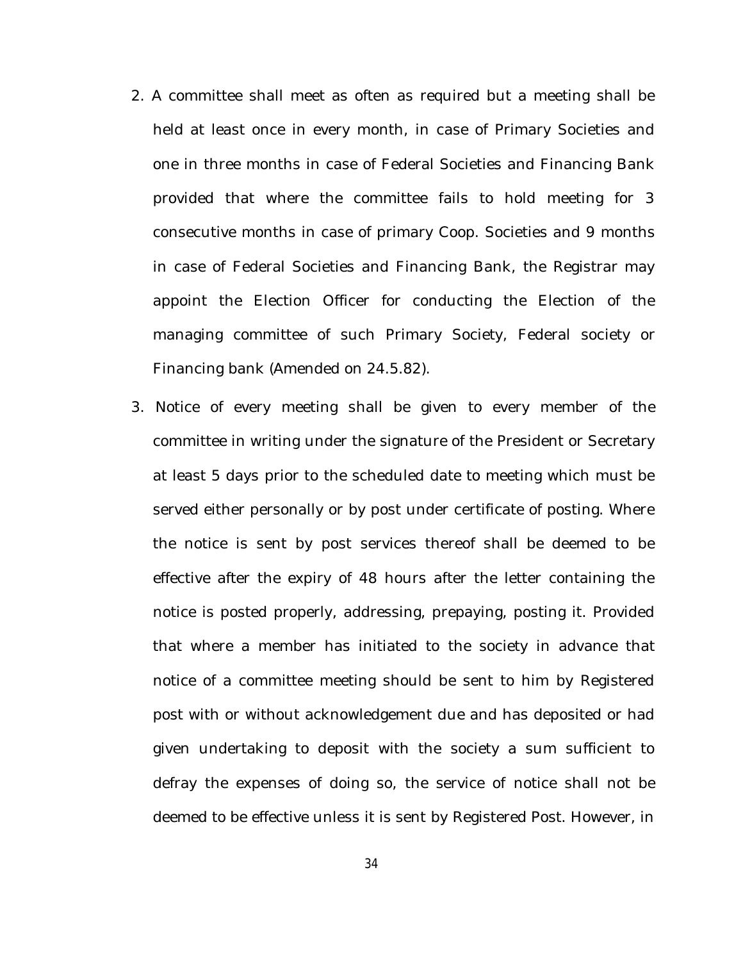- 2. A committee shall meet as often as required but a meeting shall be held at least once in every month, in case of Primary Societies and one in three months in case of Federal Societies and Financing Bank provided that where the committee fails to hold meeting for 3 consecutive months in case of primary Coop. Societies and 9 months in case of Federal Societies and Financing Bank, the Registrar may appoint the Election Officer for conducting the Election of the managing committee of such Primary Society, Federal society or Financing bank (Amended on 24.5.82).
- 3. Notice of every meeting shall be given to every member of the committee in writing under the signature of the President or Secretary at least 5 days prior to the scheduled date to meeting which must be served either personally or by post under certificate of posting. Where the notice is sent by post services thereof shall be deemed to be effective after the expiry of 48 hours after the letter containing the notice is posted properly, addressing, prepaying, posting it. Provided that where a member has initiated to the society in advance that notice of a committee meeting should be sent to him by Registered post with or without acknowledgement due and has deposited or had given undertaking to deposit with the society a sum sufficient to defray the expenses of doing so, the service of notice shall not be deemed to be effective unless it is sent by Registered Post. However, in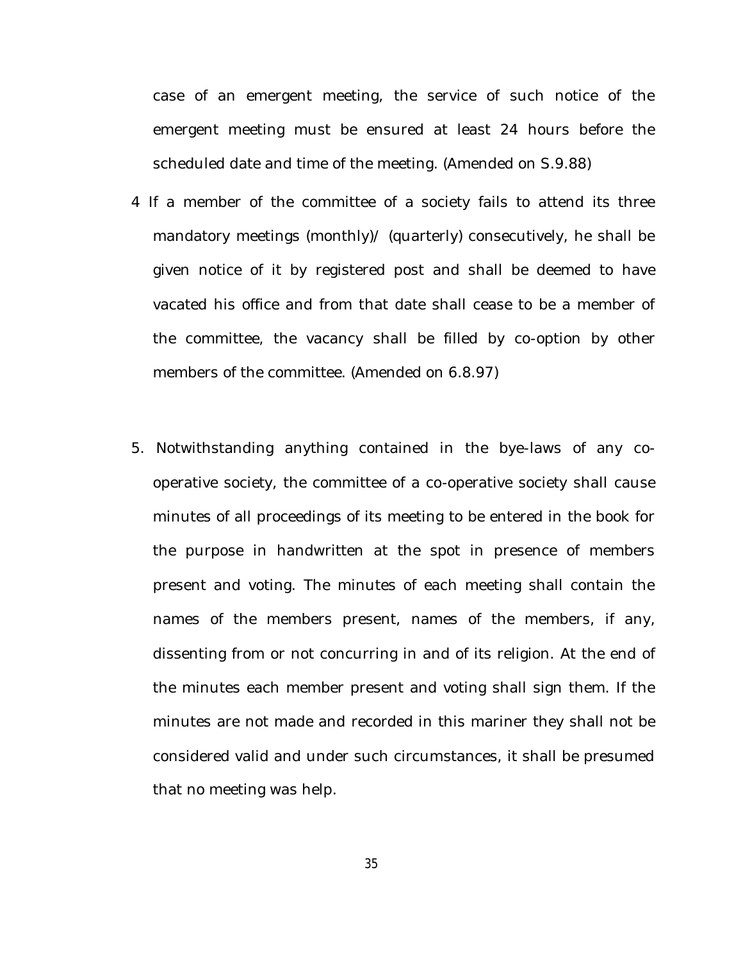case of an emergent meeting, the service of such notice of the emergent meeting must be ensured at least 24 hours before the scheduled date and time of the meeting. (Amended on S.9.88)

- 4 If a member of the committee of a society fails to attend its three mandatory meetings (monthly)/ (quarterly) consecutively, he shall be given notice of it by registered post and shall be deemed to have vacated his office and from that date shall cease to be a member of the committee, the vacancy shall be filled by co-option by other members of the committee. (Amended on 6.8.97)
- 5. Notwithstanding anything contained in the bye-laws of any cooperative society, the committee of a co-operative society shall cause minutes of all proceedings of its meeting to be entered in the book for the purpose in handwritten at the spot in presence of members present and voting. The minutes of each meeting shall contain the names of the members present, names of the members, if any, dissenting from or not concurring in and of its religion. At the end of the minutes each member present and voting shall sign them. If the minutes are not made and recorded in this mariner they shall not be considered valid and under such circumstances, it shall be presumed that no meeting was help.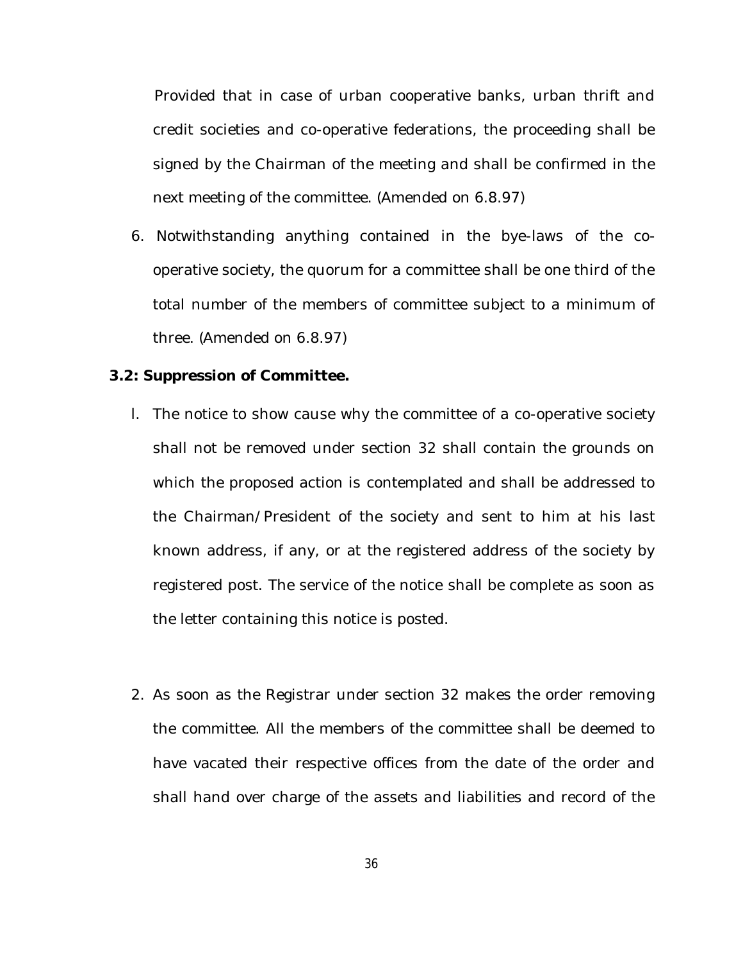Provided that in case of urban cooperative banks, urban thrift and credit societies and co-operative federations, the proceeding shall be signed by the Chairman of the meeting and shall be confirmed in the next meeting of the committee. (Amended on 6.8.97)

6. Notwithstanding anything contained in the bye-laws of the cooperative society, the quorum for a committee shall be one third of the total number of the members of committee subject to a minimum of three. (Amended on 6.8.97)

### **3.2: Suppression of Committee.**

- l. The notice to show cause why the committee of a co-operative society shall not be removed under section 32 shall contain the grounds on which the proposed action is contemplated and shall be addressed to the Chairman/President of the society and sent to him at his last known address, if any, or at the registered address of the society by registered post. The service of the notice shall be complete as soon as the letter containing this notice is posted.
- 2. As soon as the Registrar under section 32 makes the order removing the committee. All the members of the committee shall be deemed to have vacated their respective offices from the date of the order and shall hand over charge of the assets and liabilities and record of the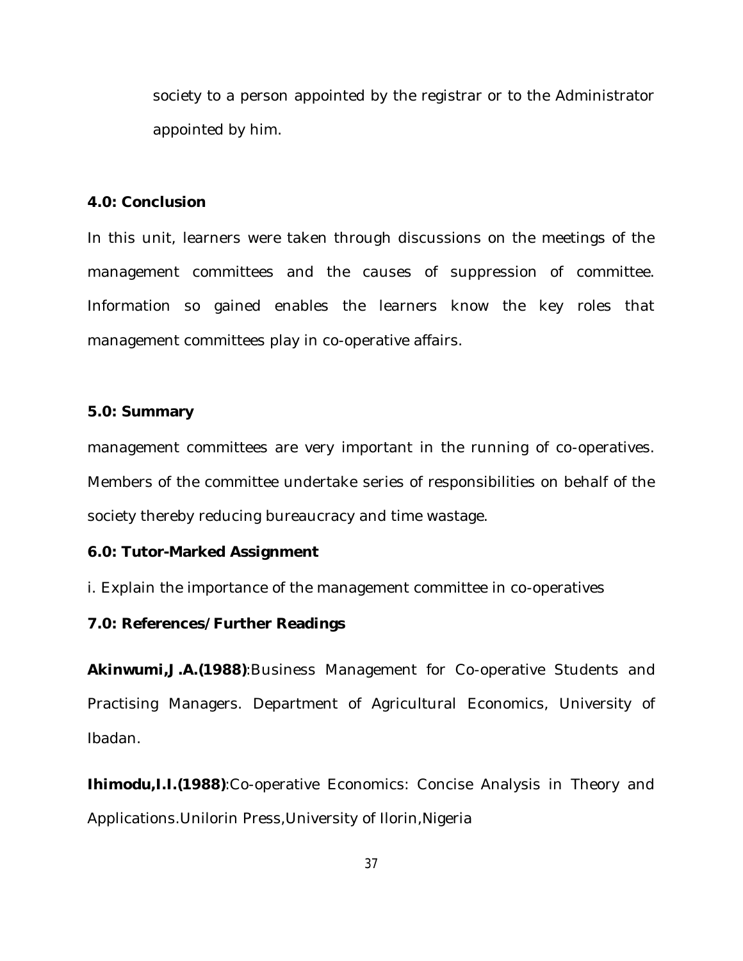society to a person appointed by the registrar or to the Administrator appointed by him.

#### **4.0: Conclusion**

In this unit, learners were taken through discussions on the meetings of the management committees and the causes of suppression of committee. Information so gained enables the learners know the key roles that management committees play in co-operative affairs.

#### **5.0: Summary**

management committees are very important in the running of co-operatives. Members of the committee undertake series of responsibilities on behalf of the society thereby reducing bureaucracy and time wastage.

#### **6.0: Tutor-Marked Assignment**

i. Explain the importance of the management committee in co-operatives

## **7.0: References/Further Readings**

**Akinwumi,J.A.(1988)**:Business Management for Co-operative Students and Practising Managers. Department of Agricultural Economics, University of Ibadan.

**Ihimodu,I.I.(1988)**:Co-operative Economics: Concise Analysis in Theory and Applications.Unilorin Press,University of Ilorin,Nigeria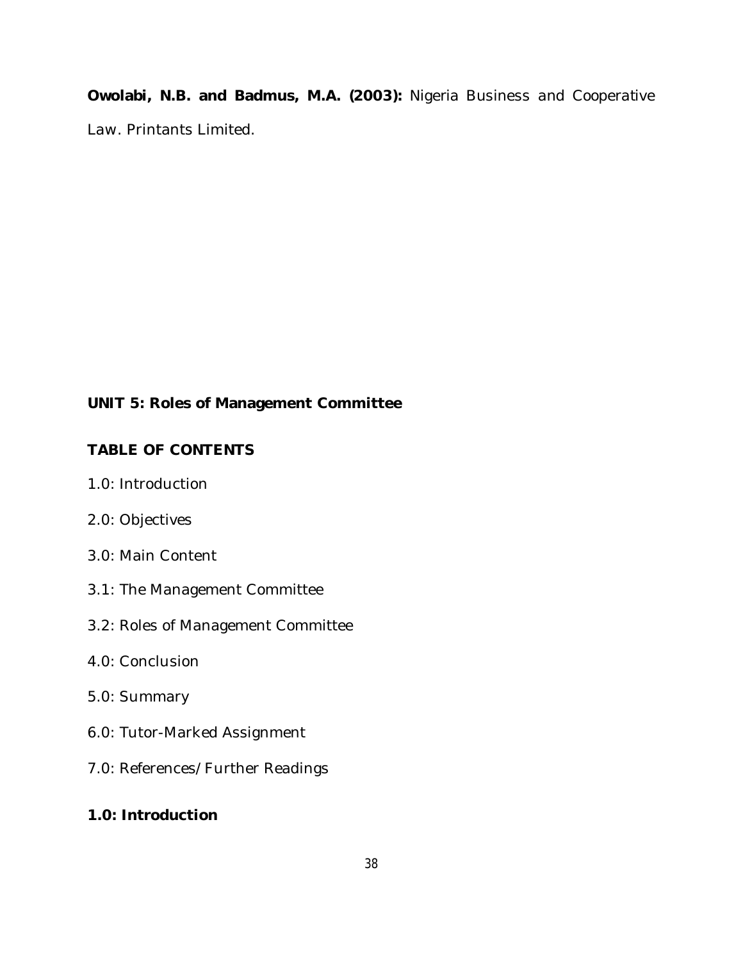**Owolabi, N.B. and Badmus, M.A. (2003):** *Nigeria Business and Cooperative Law*. Printants Limited.

# **UNIT 5: Roles of Management Committee**

# **TABLE OF CONTENTS**

- 1.0: Introduction
- 2.0: Objectives
- 3.0: Main Content
- 3.1: The Management Committee
- 3.2: Roles of Management Committee
- 4.0: Conclusion
- 5.0: Summary
- 6.0: Tutor-Marked Assignment
- 7.0: References/Further Readings

# **1.0: Introduction**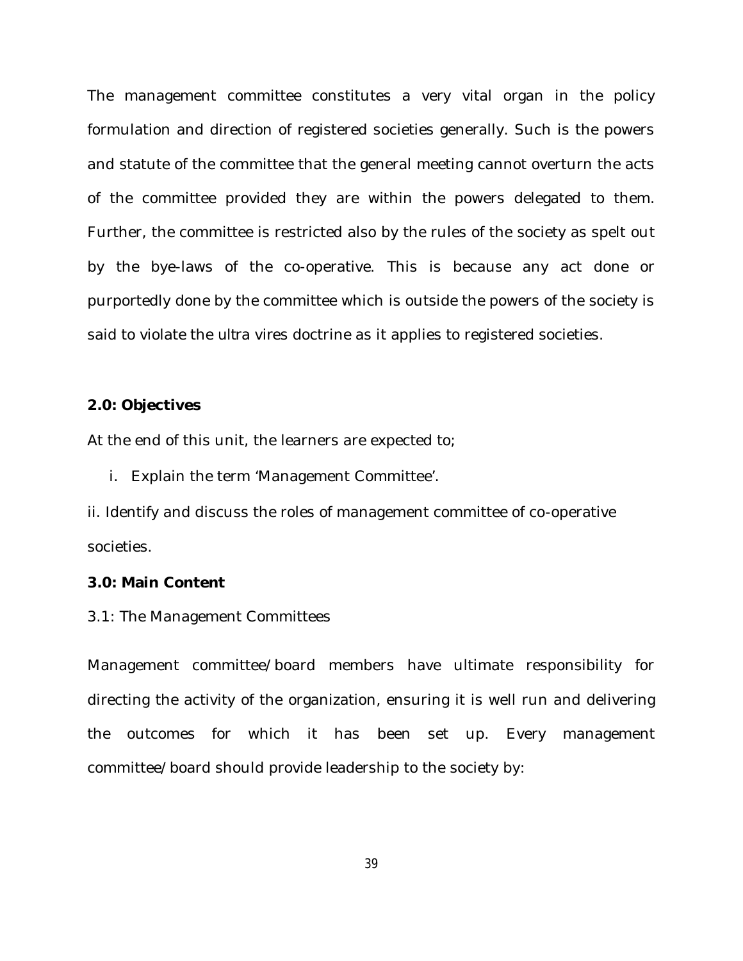The management committee constitutes a very vital organ in the policy formulation and direction of registered societies generally. Such is the powers and statute of the committee that the general meeting cannot overturn the acts of the committee provided they are within the powers delegated to them. Further, the committee is restricted also by the rules of the society as spelt out by the bye-laws of the co-operative. This is because any act done or purportedly done by the committee which is outside the powers of the society is said to violate the *ultra vires* doctrine as it applies to registered societies.

#### **2.0: Objectives**

At the end of this unit, the learners are expected to;

i. Explain the term 'Management Committee'.

ii. Identify and discuss the roles of management committee of co-operative societies.

#### **3.0: Main Content**

#### 3.1: The Management Committees

Management committee/board members have ultimate responsibility for directing the activity of the organization, ensuring it is well run and delivering the outcomes for which it has been set up. Every management committee/board should provide leadership to the society by: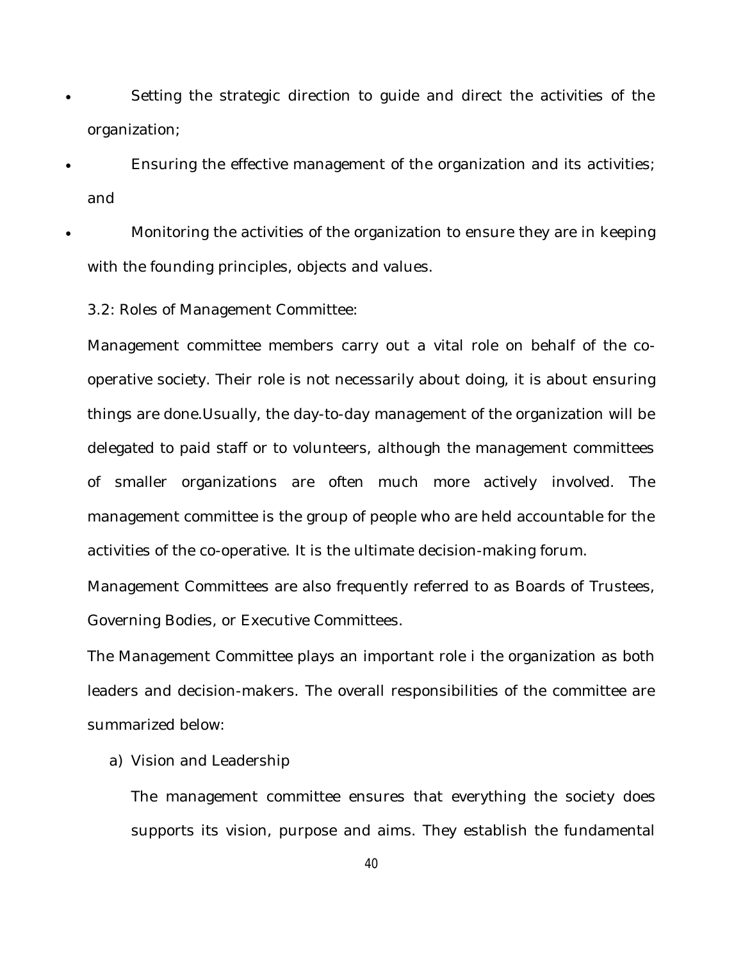- Setting the strategic direction to guide and direct the activities of the organization;
- Ensuring the effective management of the organization and its activities; and
- Monitoring the activities of the organization to ensure they are in keeping with the founding principles, objects and values.
	- 3.2: Roles of Management Committee:

Management committee members carry out a vital role on behalf of the cooperative society. Their role is not necessarily about doing, it is about ensuring things are done.Usually, the day-to-day management of the organization will be delegated to paid staff or to volunteers, although the management committees of smaller organizations are often much more actively involved. The management committee is the group of people who are held accountable for the activities of the co-operative. It is the ultimate decision-making forum.

Management Committees are also frequently referred to as Boards of Trustees, Governing Bodies, or Executive Committees.

The Management Committee plays an important role i the organization as both leaders and decision-makers. The overall responsibilities of the committee are summarized below:

### a) Vision and Leadership

The management committee ensures that everything the society does supports its vision, purpose and aims. They establish the fundamental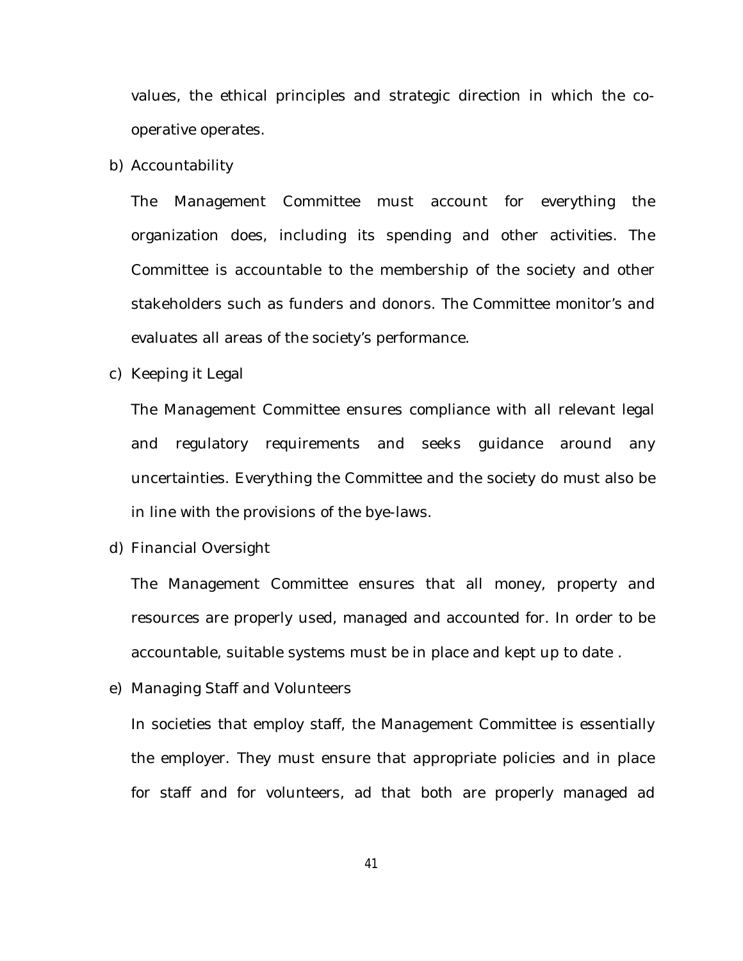values, the ethical principles and strategic direction in which the cooperative operates.

b) Accountability

The Management Committee must account for everything the organization does, including its spending and other activities. The Committee is accountable to the membership of the society and other stakeholders such as funders and donors. The Committee monitor's and evaluates all areas of the society's performance.

c) Keeping it Legal

The Management Committee ensures compliance with all relevant legal and regulatory requirements and seeks guidance around any uncertainties. Everything the Committee and the society do must also be in line with the provisions of the bye-laws.

d) Financial Oversight

The Management Committee ensures that all money, property and resources are properly used, managed and accounted for. In order to be accountable, suitable systems must be in place and kept up to date .

e) Managing Staff and Volunteers

In societies that employ staff, the Management Committee is essentially the employer. They must ensure that appropriate policies and in place for staff and for volunteers, ad that both are properly managed ad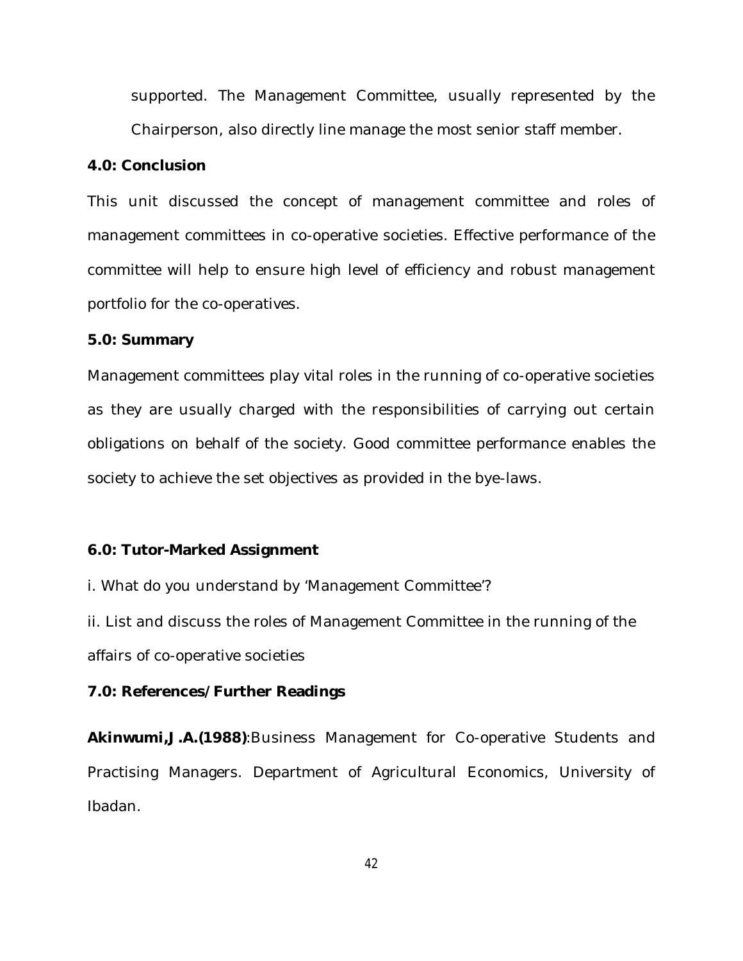supported. The Management Committee, usually represented by the Chairperson, also directly line manage the most senior staff member.

#### **4.0: Conclusion**

This unit discussed the concept of management committee and roles of management committees in co-operative societies. Effective performance of the committee will help to ensure high level of efficiency and robust management portfolio for the co-operatives.

#### **5.0: Summary**

Management committees play vital roles in the running of co-operative societies as they are usually charged with the responsibilities of carrying out certain obligations on behalf of the society. Good committee performance enables the society to achieve the set objectives as provided in the bye-laws.

### **6.0: Tutor-Marked Assignment**

i. What do you understand by 'Management Committee'?

ii. List and discuss the roles of Management Committee in the running of the affairs of co-operative societies

### **7.0: References/Further Readings**

**Akinwumi,J.A.(1988)**:Business Management for Co-operative Students and Practising Managers. Department of Agricultural Economics, University of Ibadan.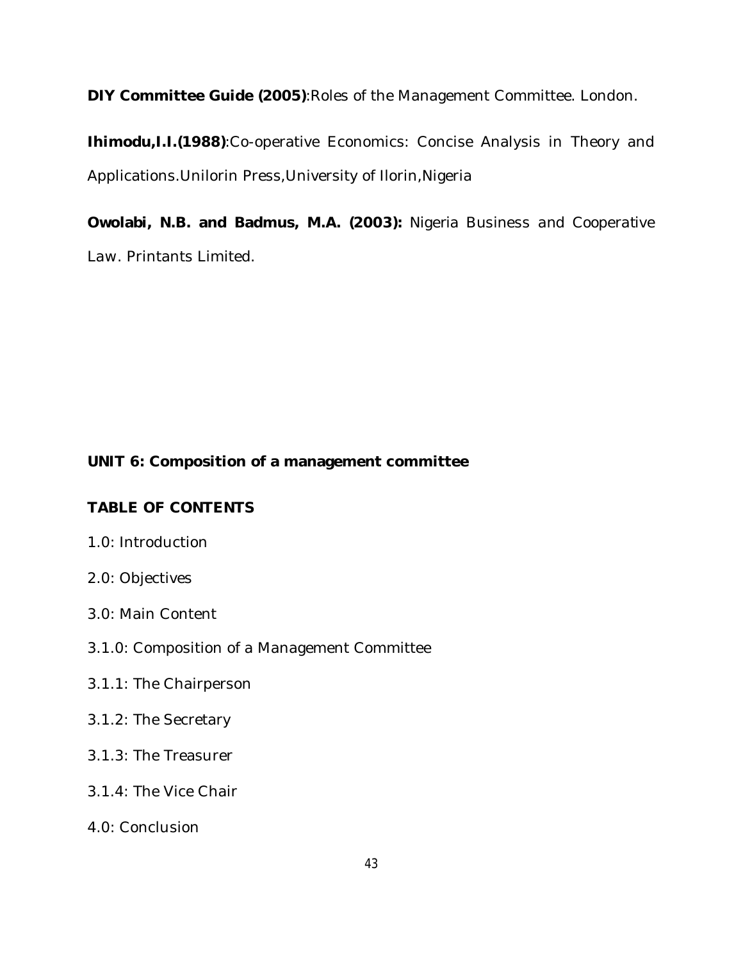**DIY Committee Guide (2005)**:Roles of the Management Committee. London.

**Ihimodu,I.I.(1988)**:Co-operative Economics: Concise Analysis in Theory and Applications.Unilorin Press,University of Ilorin,Nigeria

**Owolabi, N.B. and Badmus, M.A. (2003):** *Nigeria Business and Cooperative Law*. Printants Limited.

# **UNIT 6: Composition of a management committee**

# **TABLE OF CONTENTS**

- 1.0: Introduction
- 2.0: Objectives
- 3.0: Main Content
- 3.1.0: Composition of a Management Committee
- 3.1.1: The Chairperson
- 3.1.2: The Secretary
- 3.1.3: The Treasurer
- 3.1.4: The Vice Chair
- 4.0: Conclusion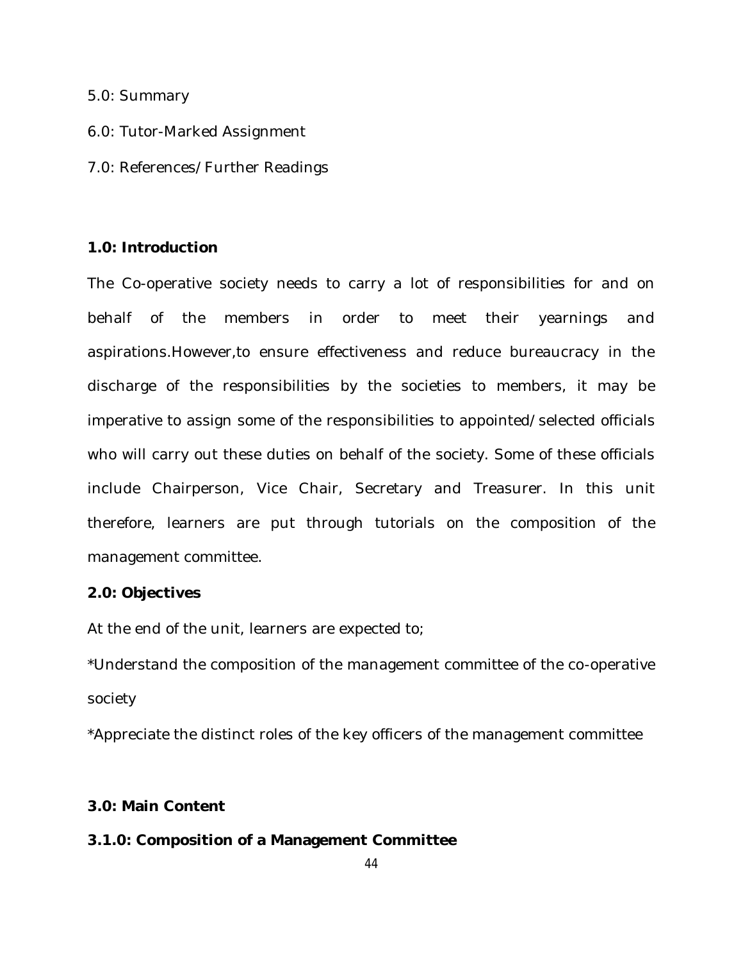#### 5.0: Summary

- 6.0: Tutor-Marked Assignment
- 7.0: References/Further Readings

### **1.0: Introduction**

The Co-operative society needs to carry a lot of responsibilities for and on behalf of the members in order to meet their yearnings and aspirations.However,to ensure effectiveness and reduce bureaucracy in the discharge of the responsibilities by the societies to members, it may be imperative to assign some of the responsibilities to appointed/selected officials who will carry out these duties on behalf of the society. Some of these officials include Chairperson, Vice Chair, Secretary and Treasurer. In this unit therefore, learners are put through tutorials on the composition of the management committee.

#### **2.0: Objectives**

At the end of the unit, learners are expected to;

\*Understand the composition of the management committee of the co-operative society

\*Appreciate the distinct roles of the key officers of the management committee

## **3.0: Main Content**

## **3.1.0: Composition of a Management Committee**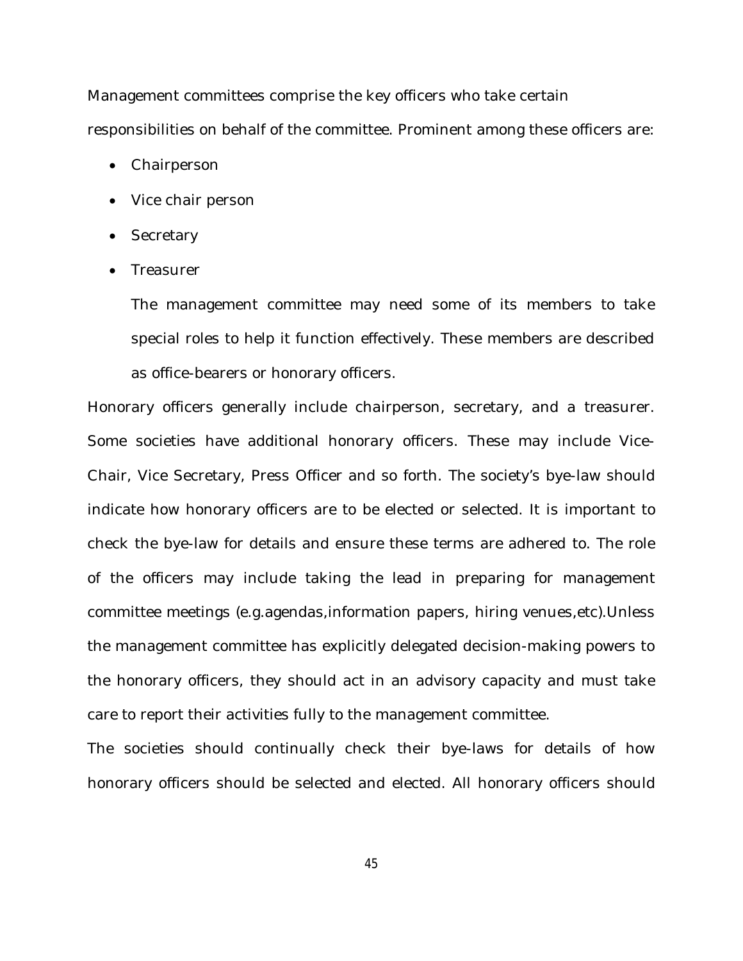Management committees comprise the key officers who take certain responsibilities on behalf of the committee. Prominent among these officers are:

- Chairperson
- Vice chair person
- Secretary
- Treasurer

The management committee may need some of its members to take special roles to help it function effectively. These members are described as office-bearers or honorary officers.

Honorary officers generally include chairperson, secretary, and a treasurer. Some societies have additional honorary officers. These may include Vice-Chair, Vice Secretary, Press Officer and so forth. The society's bye-law should indicate how honorary officers are to be elected or selected. It is important to check the bye-law for details and ensure these terms are adhered to. The role of the officers may include taking the lead in preparing for management committee meetings (e.g.agendas,information papers, hiring venues,etc).Unless the management committee has explicitly delegated decision-making powers to the honorary officers, they should act in an advisory capacity and must take care to report their activities fully to the management committee.

The societies should continually check their bye-laws for details of how honorary officers should be selected and elected. All honorary officers should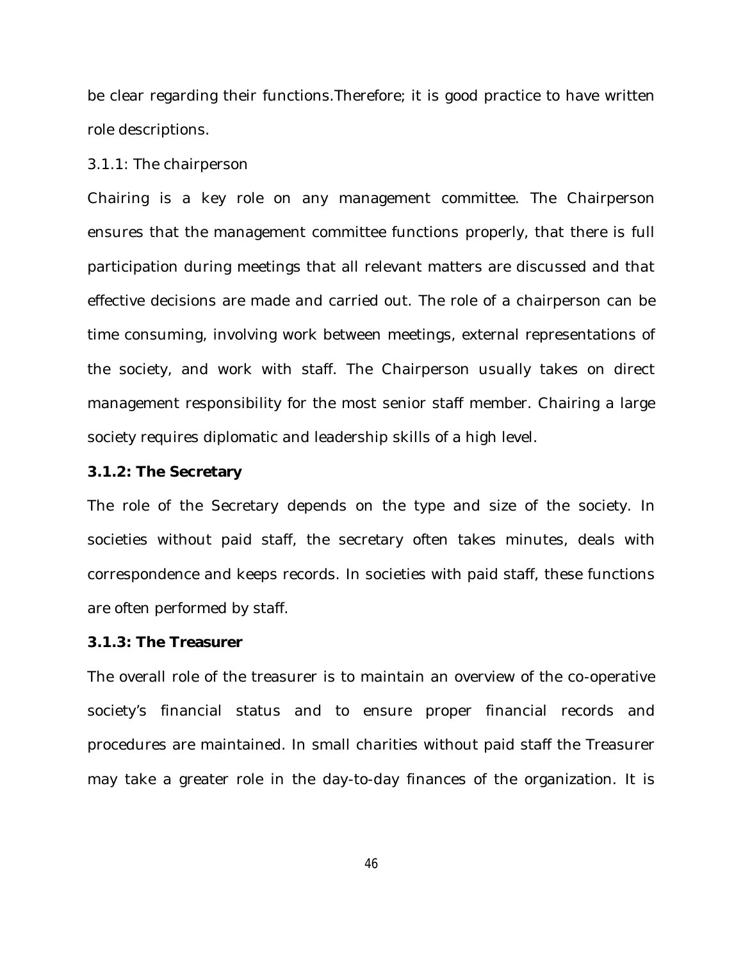be clear regarding their functions.Therefore; it is good practice to have written role descriptions.

3.1.1: The chairperson

Chairing is a key role on any management committee. The Chairperson ensures that the management committee functions properly, that there is full participation during meetings that all relevant matters are discussed and that effective decisions are made and carried out. The role of a chairperson can be time consuming, involving work between meetings, external representations of the society, and work with staff. The Chairperson usually takes on direct management responsibility for the most senior staff member. Chairing a large society requires diplomatic and leadership skills of a high level.

#### **3.1.2: The Secretary**

The role of the Secretary depends on the type and size of the society. In societies without paid staff, the secretary often takes minutes, deals with correspondence and keeps records. In societies with paid staff, these functions are often performed by staff.

### **3.1.3: The Treasurer**

The overall role of the treasurer is to maintain an overview of the co-operative society's financial status and to ensure proper financial records and procedures are maintained. In small charities without paid staff the Treasurer may take a greater role in the day-to-day finances of the organization. It is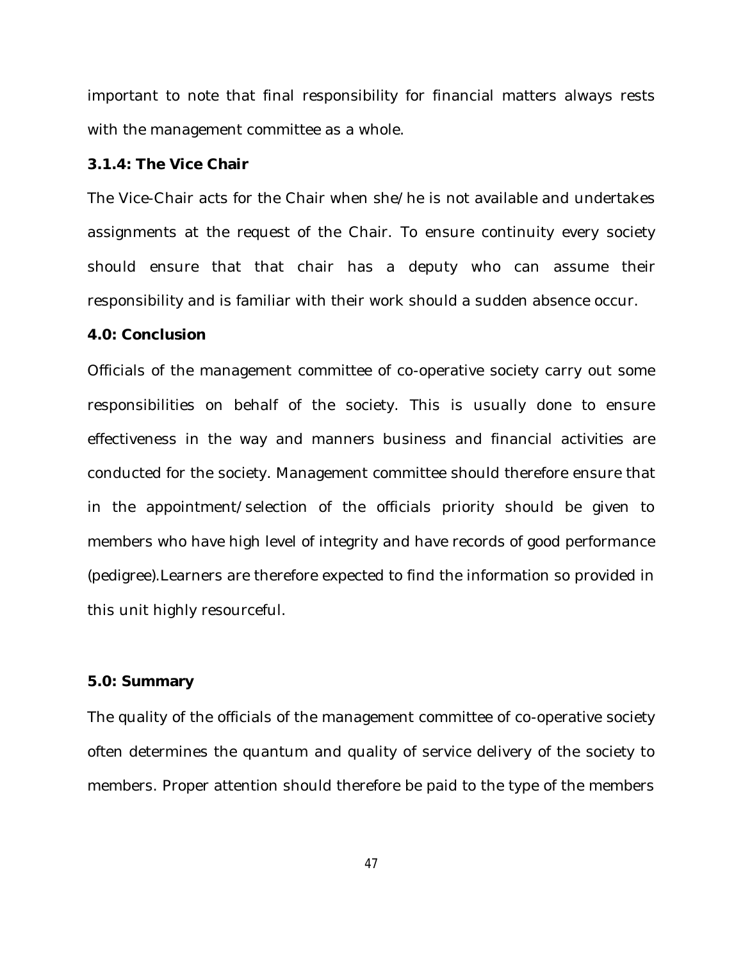important to note that final responsibility for financial matters always rests with the management committee as a whole.

#### **3.1.4: The Vice Chair**

The Vice-Chair acts for the Chair when she/he is not available and undertakes assignments at the request of the Chair. To ensure continuity every society should ensure that that chair has a deputy who can assume their responsibility and is familiar with their work should a sudden absence occur.

#### **4.0: Conclusion**

Officials of the management committee of co-operative society carry out some responsibilities on behalf of the society. This is usually done to ensure effectiveness in the way and manners business and financial activities are conducted for the society. Management committee should therefore ensure that in the appointment/selection of the officials priority should be given to members who have high level of integrity and have records of good performance (pedigree).Learners are therefore expected to find the information so provided in this unit highly resourceful.

#### **5.0: Summary**

The quality of the officials of the management committee of co-operative society often determines the quantum and quality of service delivery of the society to members. Proper attention should therefore be paid to the type of the members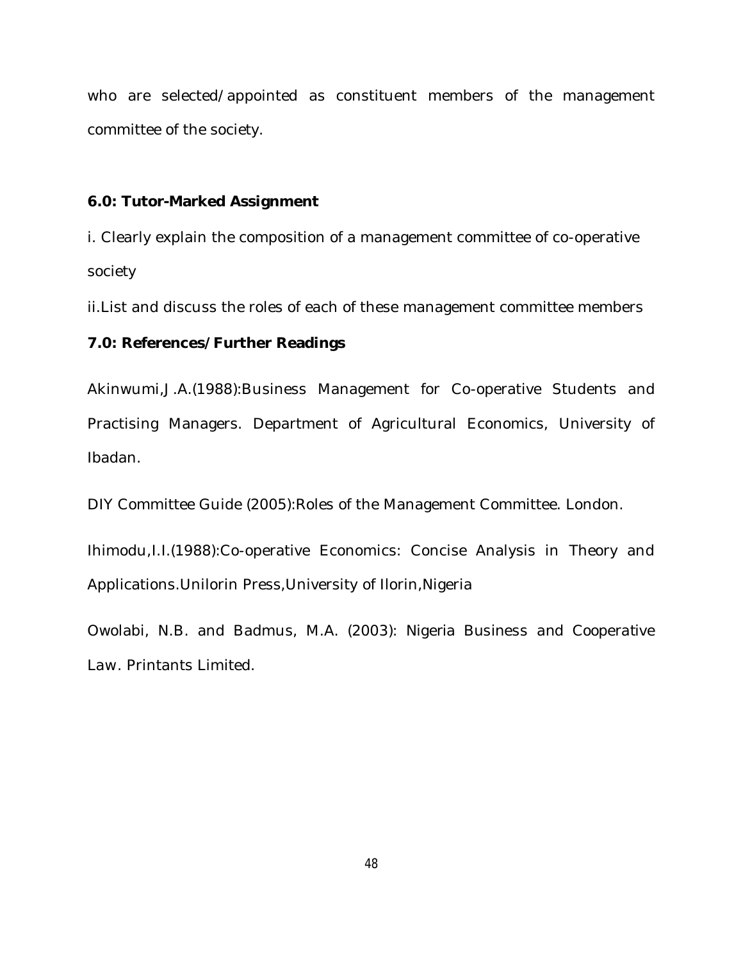who are selected/appointed as constituent members of the management committee of the society.

## **6.0: Tutor-Marked Assignment**

i. Clearly explain the composition of a management committee of co-operative society

ii.List and discuss the roles of each of these management committee members

# **7.0: References/Further Readings**

Akinwumi,J.A.(1988):Business Management for Co-operative Students and Practising Managers. Department of Agricultural Economics, University of Ibadan.

DIY Committee Guide (2005):Roles of the Management Committee. London.

Ihimodu,I.I.(1988):Co-operative Economics: Concise Analysis in Theory and Applications.Unilorin Press,University of Ilorin,Nigeria

Owolabi, N.B. and Badmus, M.A. (2003): *Nigeria Business and Cooperative Law*. Printants Limited.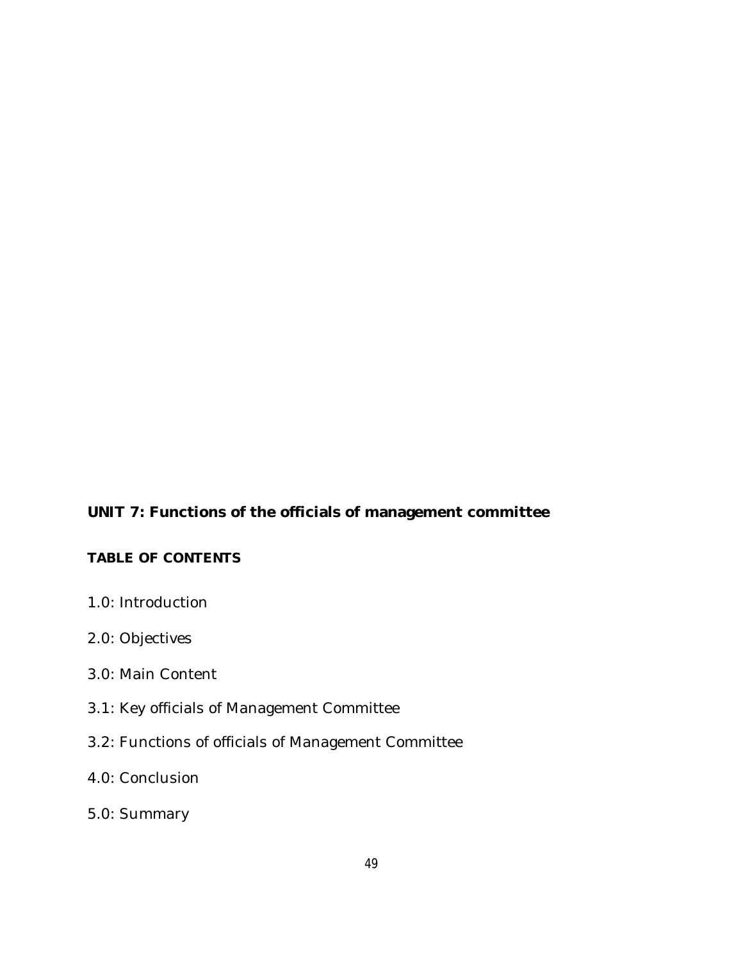# **UNIT 7: Functions of the officials of management committee**

# **TABLE OF CONTENTS**

- 1.0: Introduction
- 2.0: Objectives
- 3.0: Main Content
- 3.1: Key officials of Management Committee
- 3.2: Functions of officials of Management Committee

# 4.0: Conclusion

5.0: Summary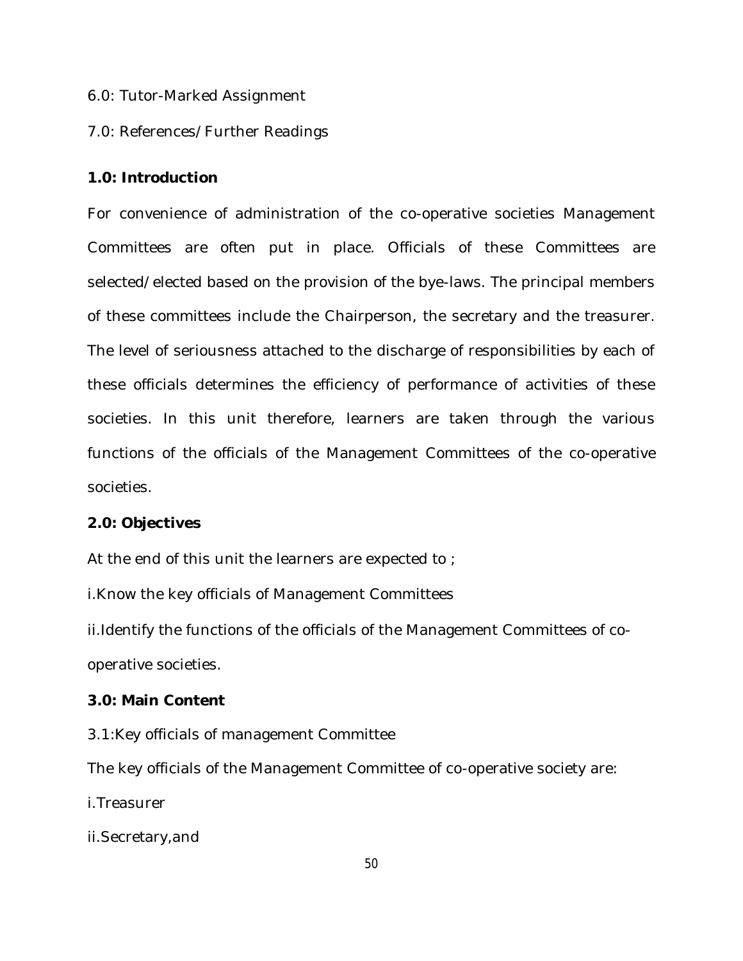6.0: Tutor-Marked Assignment

## 7.0: References/Further Readings

### **1.0: Introduction**

For convenience of administration of the co-operative societies Management Committees are often put in place. Officials of these Committees are selected/elected based on the provision of the bye-laws. The principal members of these committees include the Chairperson, the secretary and the treasurer. The level of seriousness attached to the discharge of responsibilities by each of these officials determines the efficiency of performance of activities of these societies. In this unit therefore, learners are taken through the various functions of the officials of the Management Committees of the co-operative societies.

### **2.0: Objectives**

At the end of this unit the learners are expected to ;

i.Know the key officials of Management Committees

ii.Identify the functions of the officials of the Management Committees of cooperative societies.

### **3.0: Main Content**

3.1:Key officials of management Committee

The key officials of the Management Committee of co-operative society are:

i.Treasurer

ii.Secretary,and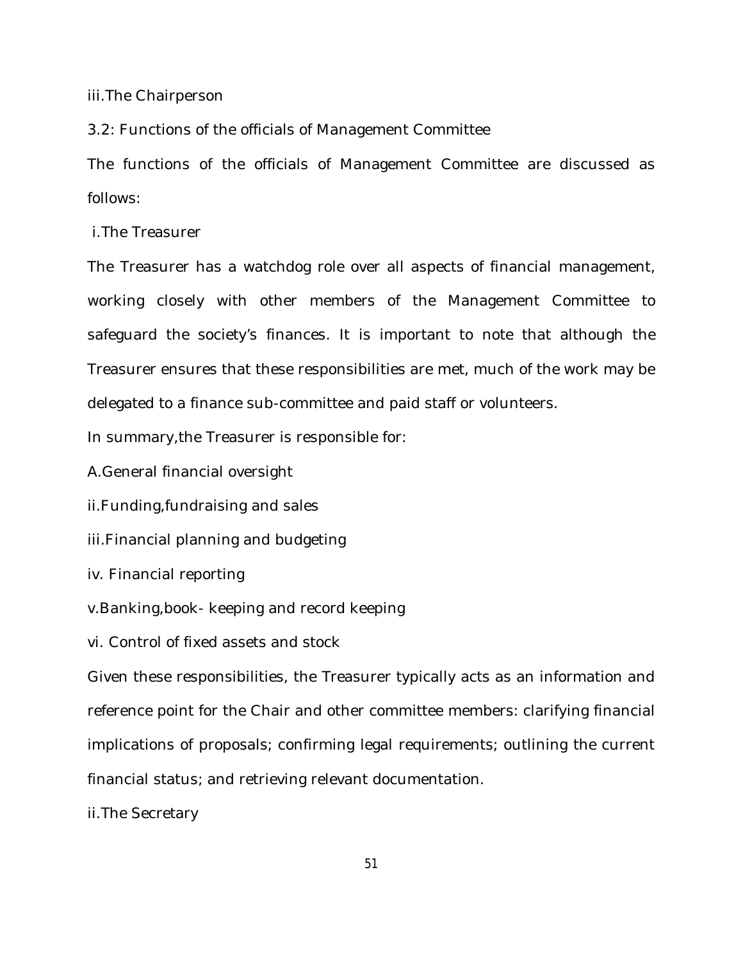iii.The Chairperson

3.2: Functions of the officials of Management Committee

The functions of the officials of Management Committee are discussed as follows:

i.The Treasurer

The Treasurer has a watchdog role over all aspects of financial management, working closely with other members of the Management Committee to safeguard the society's finances. It is important to note that although the Treasurer ensures that these responsibilities are met, much of the work may be delegated to a finance sub-committee and paid staff or volunteers.

In summary,the Treasurer is responsible for:

A.General financial oversight

ii.Funding,fundraising and sales

iii.Financial planning and budgeting

iv. Financial reporting

v.Banking,book- keeping and record keeping

vi. Control of fixed assets and stock

Given these responsibilities, the Treasurer typically acts as an information and reference point for the Chair and other committee members: clarifying financial implications of proposals; confirming legal requirements; outlining the current financial status; and retrieving relevant documentation.

ii.The Secretary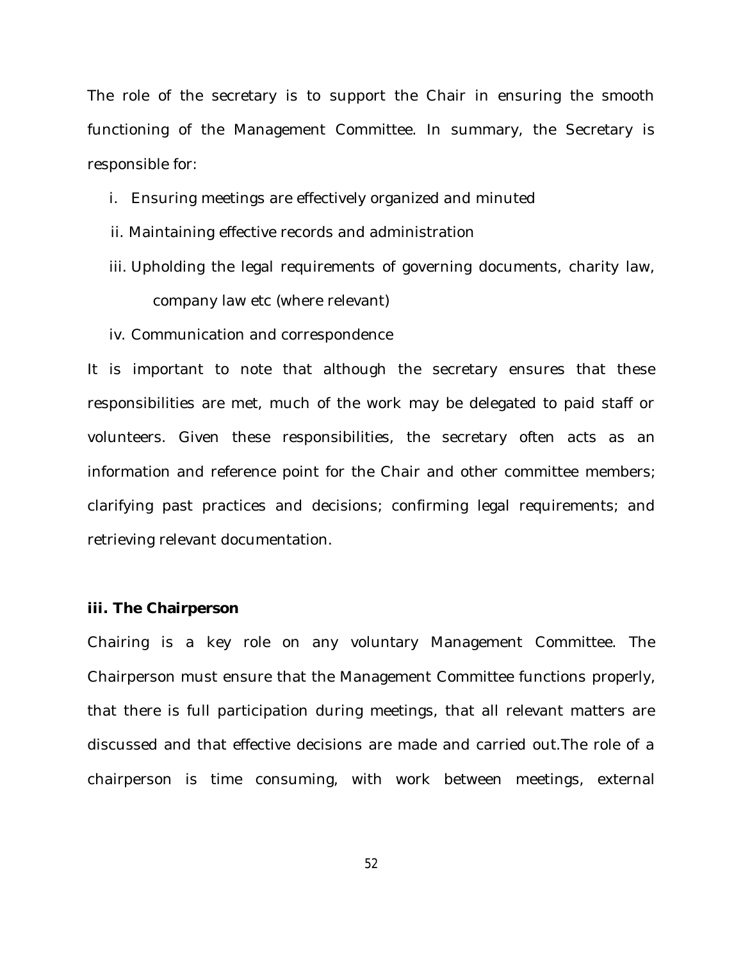The role of the secretary is to support the Chair in ensuring the smooth functioning of the Management Committee. In summary, the Secretary is responsible for:

- i. Ensuring meetings are effectively organized and minuted
- ii. Maintaining effective records and administration
- iii. Upholding the legal requirements of governing documents, charity law, company law etc (where relevant)
- iv. Communication and correspondence

It is important to note that although the secretary ensures that these responsibilities are met, much of the work may be delegated to paid staff or volunteers. Given these responsibilities, the secretary often acts as an information and reference point for the Chair and other committee members; clarifying past practices and decisions; confirming legal requirements; and retrieving relevant documentation.

#### **iii. The Chairperson**

Chairing is a key role on any voluntary Management Committee. The Chairperson must ensure that the Management Committee functions properly, that there is full participation during meetings, that all relevant matters are discussed and that effective decisions are made and carried out.The role of a chairperson is time consuming, with work between meetings, external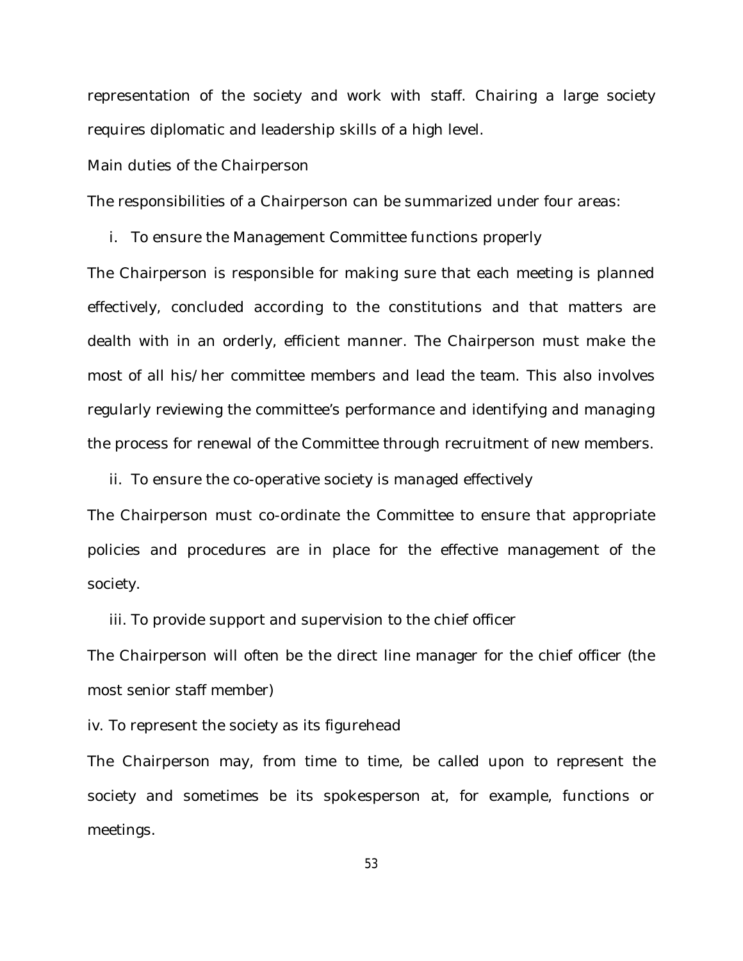representation of the society and work with staff. Chairing a large society requires diplomatic and leadership skills of a high level.

Main duties of the Chairperson

The responsibilities of a Chairperson can be summarized under four areas:

i. To ensure the Management Committee functions properly

The Chairperson is responsible for making sure that each meeting is planned effectively, concluded according to the constitutions and that matters are dealth with in an orderly, efficient manner. The Chairperson must make the most of all his/her committee members and lead the team. This also involves regularly reviewing the committee's performance and identifying and managing the process for renewal of the Committee through recruitment of new members.

ii. To ensure the co-operative society is managed effectively

The Chairperson must co-ordinate the Committee to ensure that appropriate policies and procedures are in place for the effective management of the society.

iii. To provide support and supervision to the chief officer

The Chairperson will often be the direct line manager for the chief officer (the most senior staff member)

iv. To represent the society as its figurehead

The Chairperson may, from time to time, be called upon to represent the society and sometimes be its spokesperson at, for example, functions or meetings.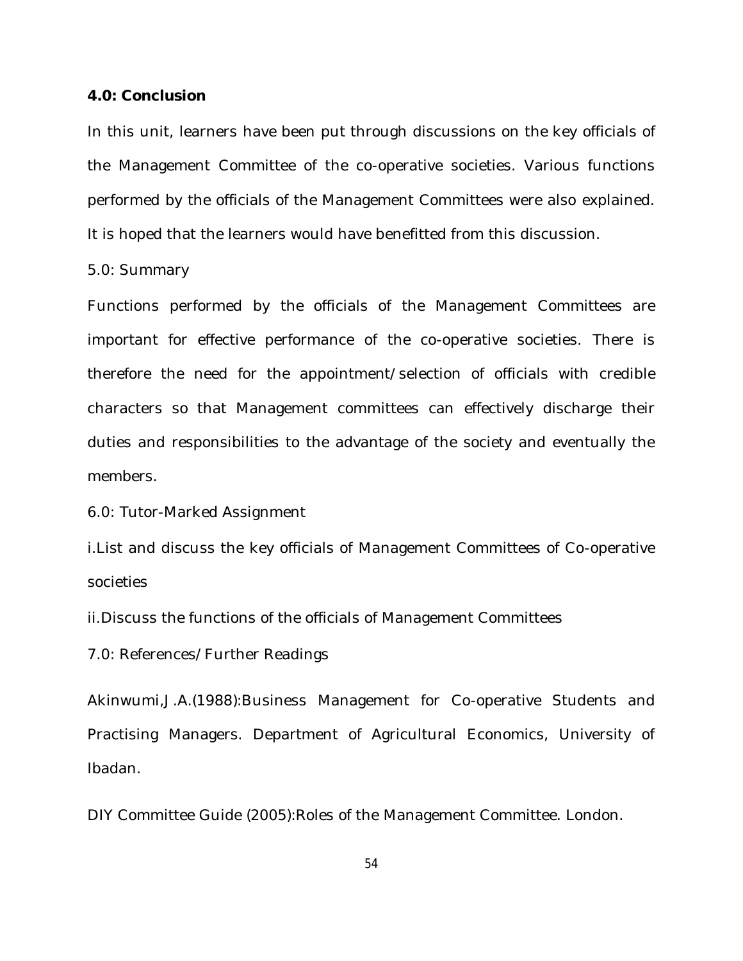#### **4.0: Conclusion**

In this unit, learners have been put through discussions on the key officials of the Management Committee of the co-operative societies. Various functions performed by the officials of the Management Committees were also explained. It is hoped that the learners would have benefitted from this discussion.

#### 5.0: Summary

Functions performed by the officials of the Management Committees are important for effective performance of the co-operative societies. There is therefore the need for the appointment/selection of officials with credible characters so that Management committees can effectively discharge their duties and responsibilities to the advantage of the society and eventually the members.

6.0: Tutor-Marked Assignment

i.List and discuss the key officials of Management Committees of Co-operative societies

ii.Discuss the functions of the officials of Management Committees

7.0: References/Further Readings

Akinwumi,J.A.(1988):Business Management for Co-operative Students and Practising Managers. Department of Agricultural Economics, University of Ibadan.

DIY Committee Guide (2005):Roles of the Management Committee. London.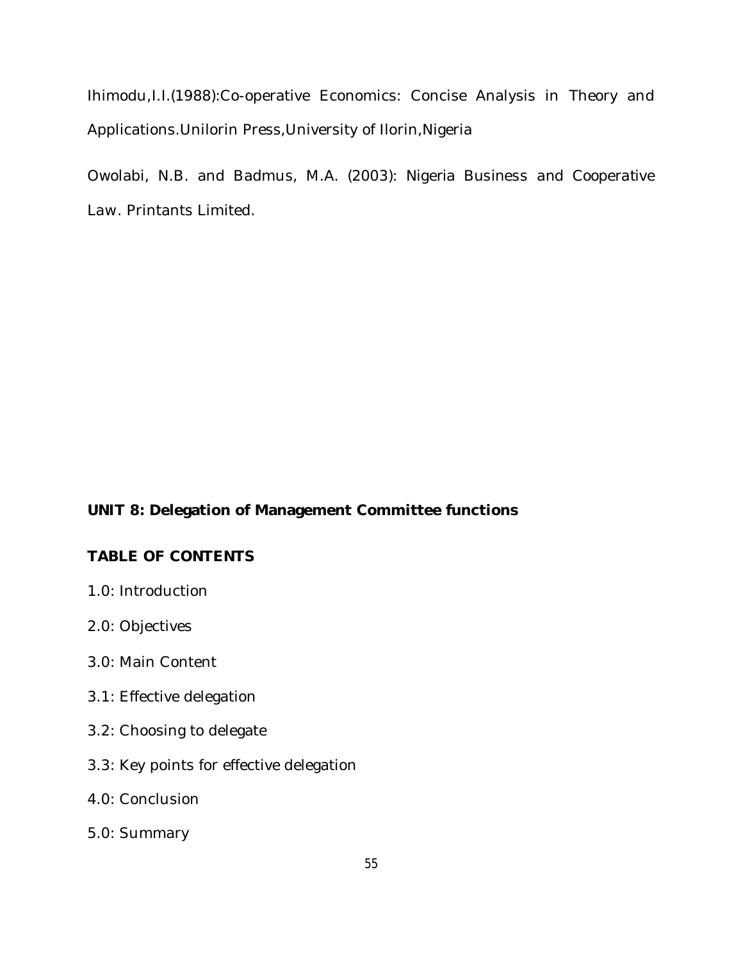Ihimodu,I.I.(1988):Co-operative Economics: Concise Analysis in Theory and Applications.Unilorin Press,University of Ilorin,Nigeria

Owolabi, N.B. and Badmus, M.A. (2003): *Nigeria Business and Cooperative Law*. Printants Limited.

# **UNIT 8: Delegation of Management Committee functions**

## **TABLE OF CONTENTS**

- 1.0: Introduction
- 2.0: Objectives
- 3.0: Main Content
- 3.1: Effective delegation
- 3.2: Choosing to delegate
- 3.3: Key points for effective delegation
- 4.0: Conclusion
- 5.0: Summary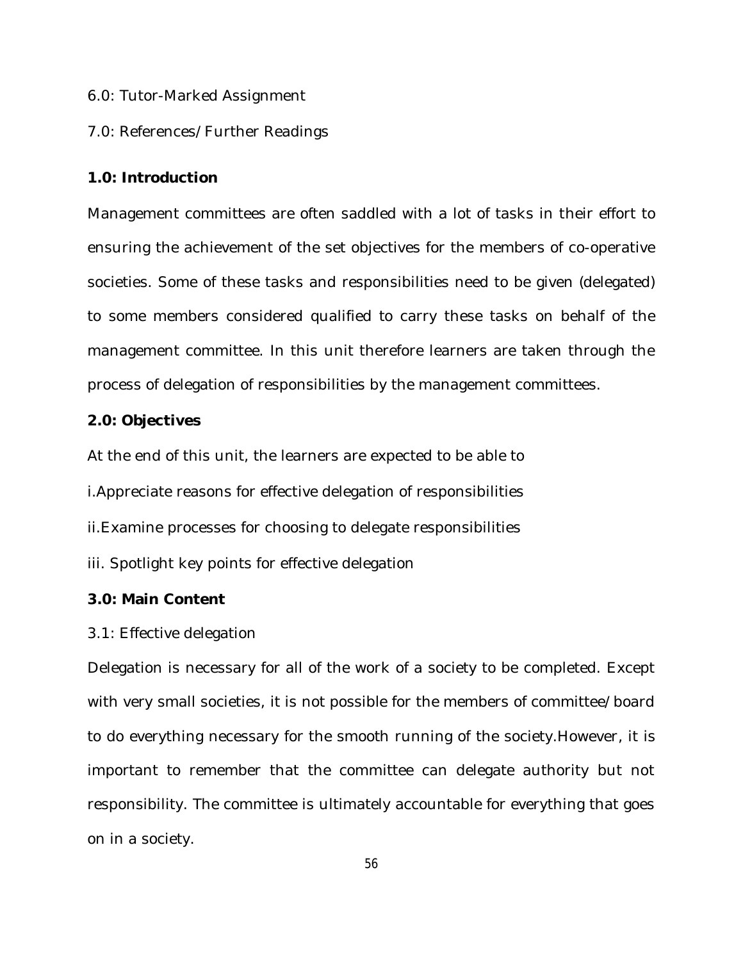6.0: Tutor-Marked Assignment

## 7.0: References/Further Readings

### **1.0: Introduction**

Management committees are often saddled with a lot of tasks in their effort to ensuring the achievement of the set objectives for the members of co-operative societies. Some of these tasks and responsibilities need to be given (delegated) to some members considered qualified to carry these tasks on behalf of the management committee. In this unit therefore learners are taken through the process of delegation of responsibilities by the management committees.

### **2.0: Objectives**

At the end of this unit, the learners are expected to be able to

i.Appreciate reasons for effective delegation of responsibilities

ii.Examine processes for choosing to delegate responsibilities

iii. Spotlight key points for effective delegation

### **3.0: Main Content**

#### 3.1: Effective delegation

Delegation is necessary for all of the work of a society to be completed. Except with very small societies, it is not possible for the members of committee/board to do everything necessary for the smooth running of the society.However, it is important to remember that the committee can delegate authority but not responsibility. The committee is ultimately accountable for everything that goes on in a society.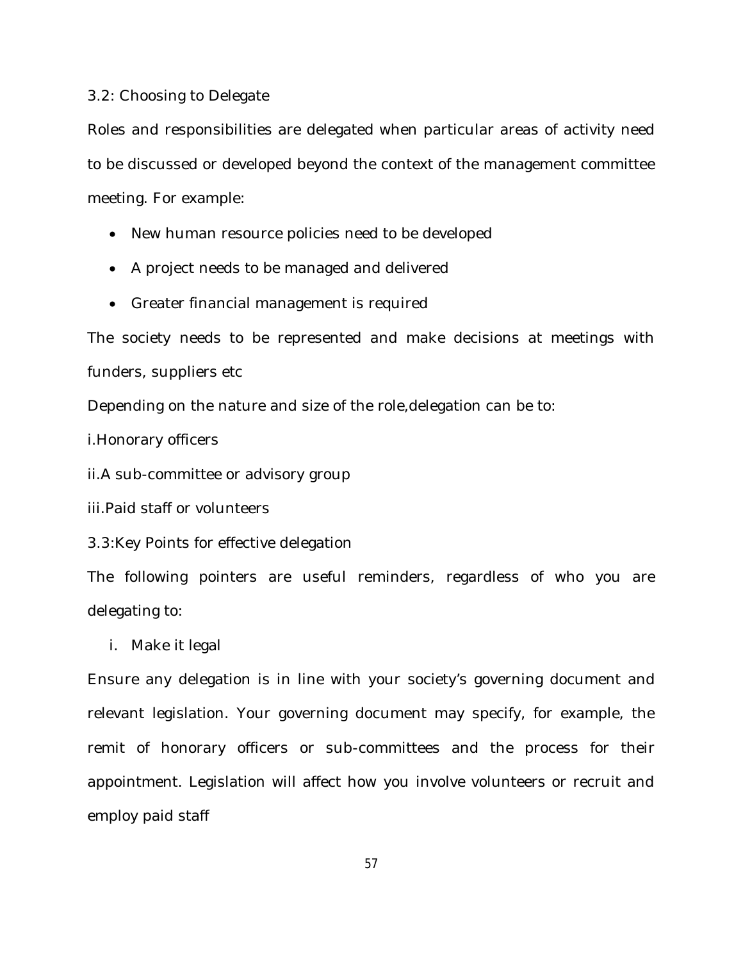#### 3.2: Choosing to Delegate

Roles and responsibilities are delegated when particular areas of activity need to be discussed or developed beyond the context of the management committee meeting. For example:

- New human resource policies need to be developed
- A project needs to be managed and delivered
- Greater financial management is required

The society needs to be represented and make decisions at meetings with funders, suppliers etc

Depending on the nature and size of the role,delegation can be to:

i.Honorary officers

ii.A sub-committee or advisory group

iii.Paid staff or volunteers

3.3:Key Points for effective delegation

The following pointers are useful reminders, regardless of who you are delegating to:

i. Make it legal

Ensure any delegation is in line with your society's governing document and relevant legislation. Your governing document may specify, for example, the remit of honorary officers or sub-committees and the process for their appointment. Legislation will affect how you involve volunteers or recruit and employ paid staff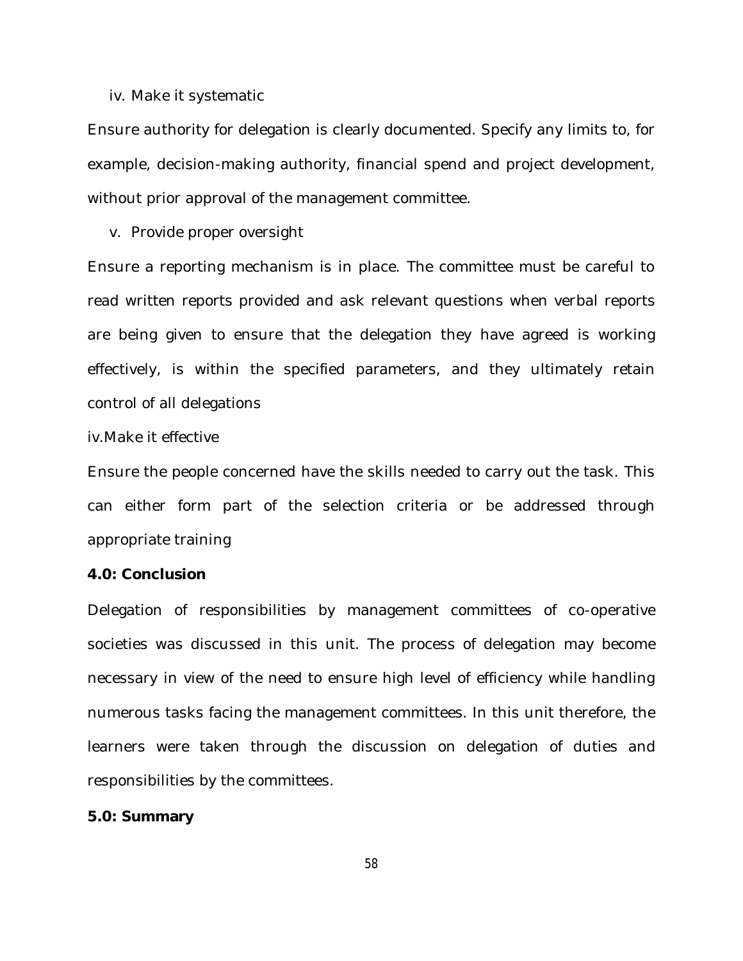#### iv. Make it systematic

Ensure authority for delegation is clearly documented. Specify any limits to, for example, decision-making authority, financial spend and project development, without prior approval of the management committee.

v. Provide proper oversight

Ensure a reporting mechanism is in place. The committee must be careful to read written reports provided and ask relevant questions when verbal reports are being given to ensure that the delegation they have agreed is working effectively, is within the specified parameters, and they ultimately retain control of all delegations

iv.Make it effective

Ensure the people concerned have the skills needed to carry out the task. This can either form part of the selection criteria or be addressed through appropriate training

#### **4.0: Conclusion**

Delegation of responsibilities by management committees of co-operative societies was discussed in this unit. The process of delegation may become necessary in view of the need to ensure high level of efficiency while handling numerous tasks facing the management committees. In this unit therefore, the learners were taken through the discussion on delegation of duties and responsibilities by the committees.

#### **5.0: Summary**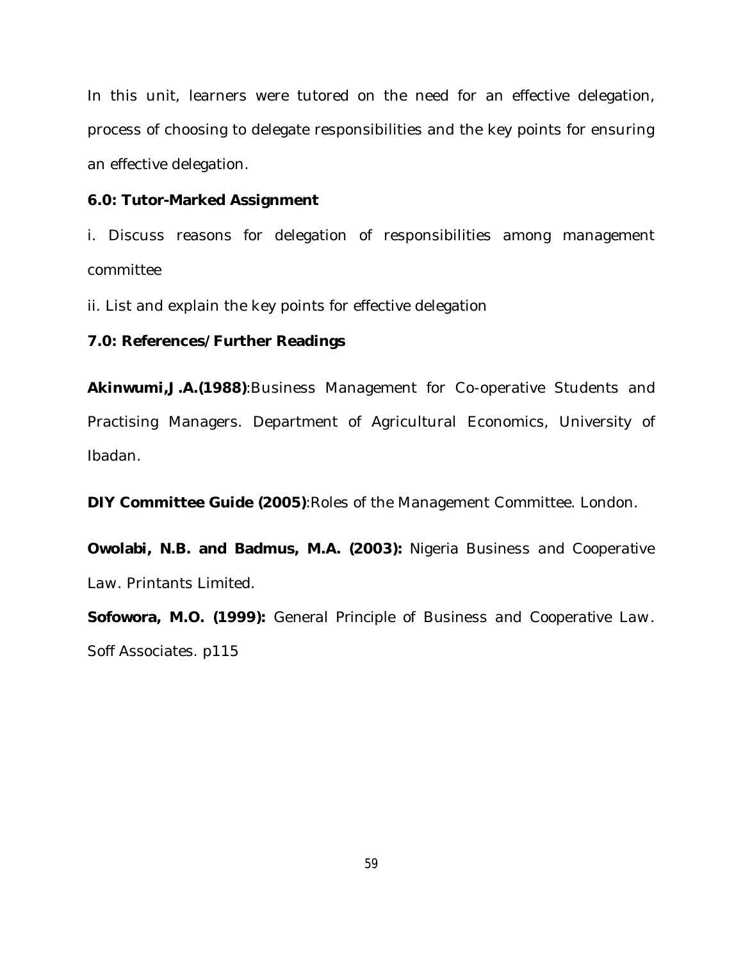In this unit, learners were tutored on the need for an effective delegation, process of choosing to delegate responsibilities and the key points for ensuring an effective delegation.

#### **6.0: Tutor-Marked Assignment**

i. Discuss reasons for delegation of responsibilities among management committee

ii. List and explain the key points for effective delegation

#### **7.0: References/Further Readings**

**Akinwumi,J.A.(1988)**:Business Management for Co-operative Students and Practising Managers. Department of Agricultural Economics, University of Ibadan.

**DIY Committee Guide (2005)**:Roles of the Management Committee. London.

**Owolabi, N.B. and Badmus, M.A. (2003):** *Nigeria Business and Cooperative Law*. Printants Limited.

**Sofowora, M.O. (1999):** *General Principle of Business and Cooperative Law*. Soff Associates. p115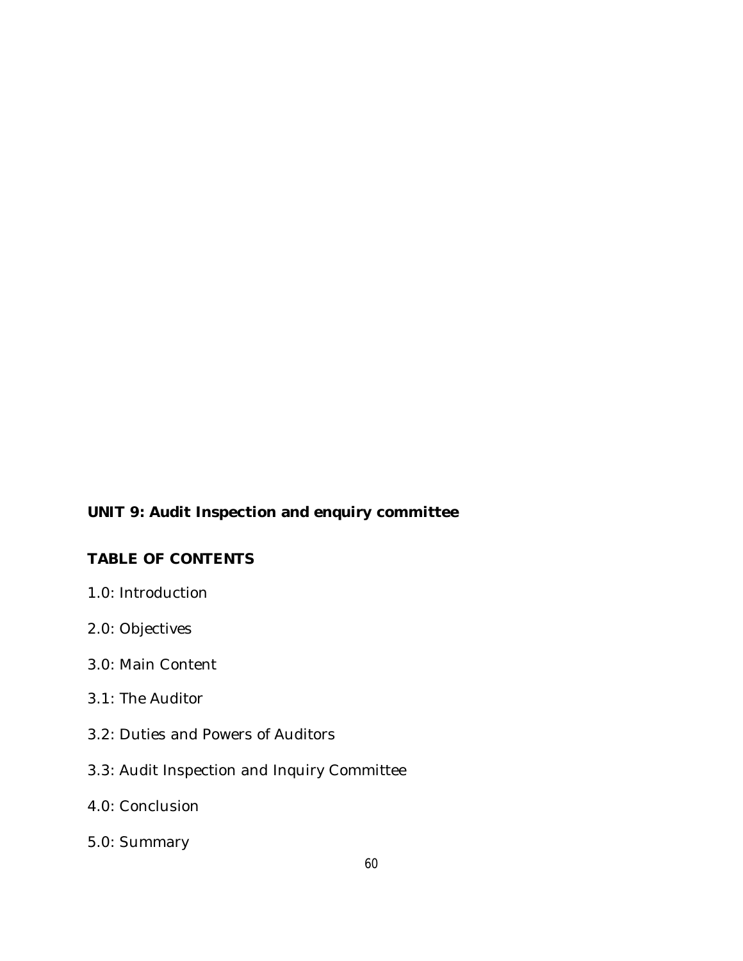# **UNIT 9: Audit Inspection and enquiry committee**

# **TABLE OF CONTENTS**

- 1.0: Introduction
- 2.0: Objectives
- 3.0: Main Content
- 3.1: The Auditor
- 3.2: Duties and Powers of Auditors
- 3.3: Audit Inspection and Inquiry Committee
- 4.0: Conclusion
- 5.0: Summary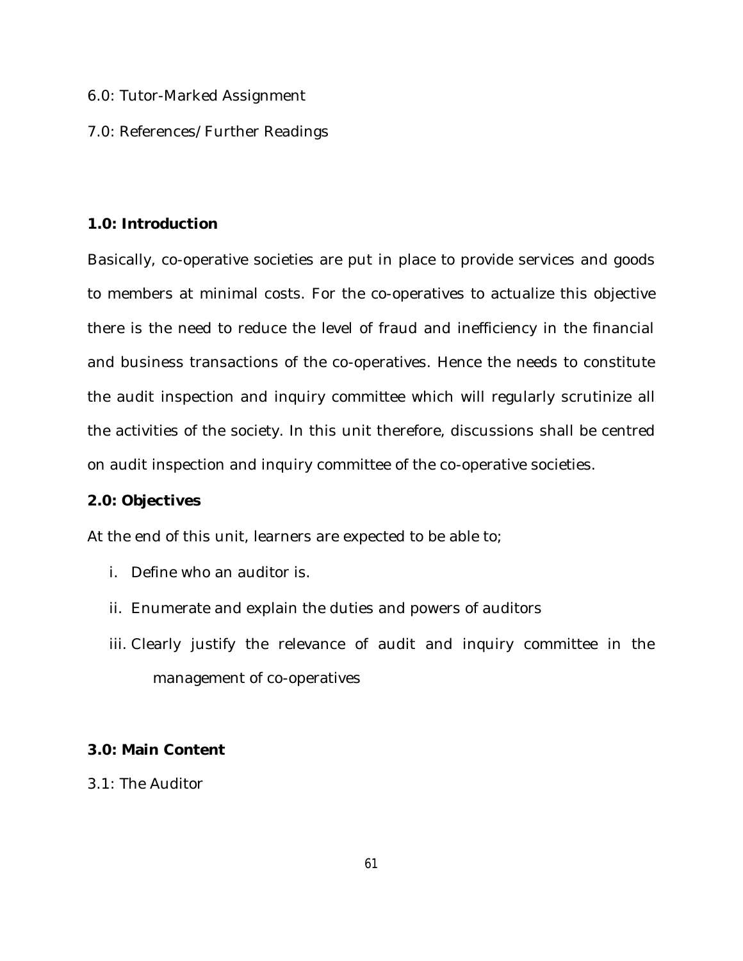- 6.0: Tutor-Marked Assignment
- 7.0: References/Further Readings

## **1.0: Introduction**

Basically, co-operative societies are put in place to provide services and goods to members at minimal costs. For the co-operatives to actualize this objective there is the need to reduce the level of fraud and inefficiency in the financial and business transactions of the co-operatives. Hence the needs to constitute the audit inspection and inquiry committee which will regularly scrutinize all the activities of the society. In this unit therefore, discussions shall be centred on audit inspection and inquiry committee of the co-operative societies.

### **2.0: Objectives**

At the end of this unit, learners are expected to be able to;

- i. Define who an auditor is.
- ii. Enumerate and explain the duties and powers of auditors
- iii. Clearly justify the relevance of audit and inquiry committee in the management of co-operatives

# **3.0: Main Content**

3.1: The Auditor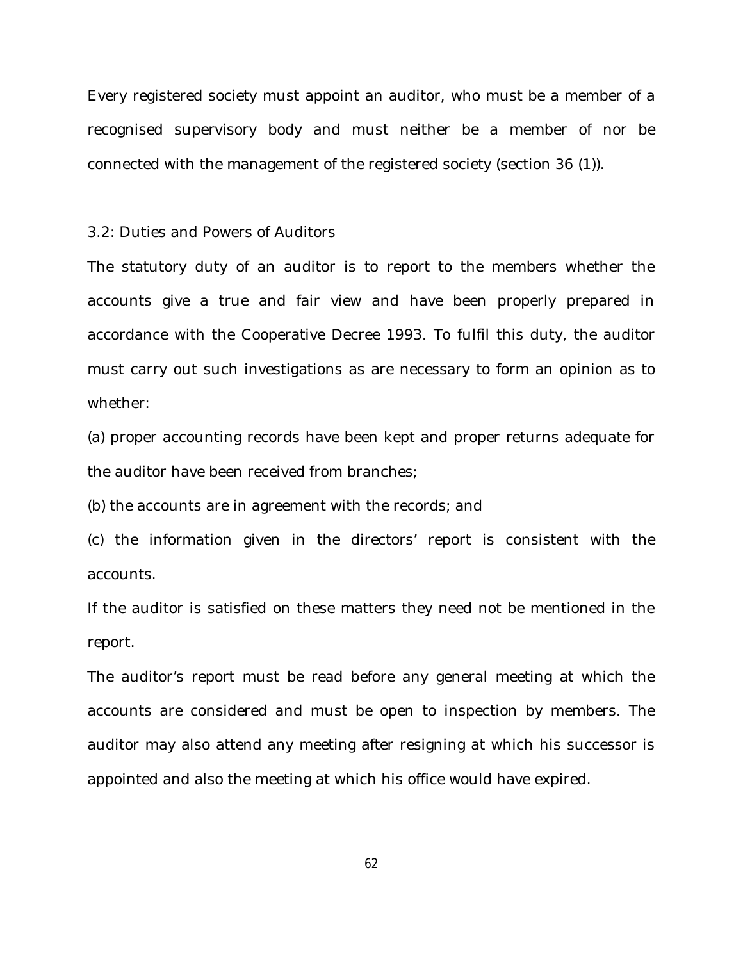Every registered society must appoint an auditor, who must be a member of a recognised supervisory body and must neither be a member of nor be connected with the management of the registered society (section 36 (1)).

#### 3.2: Duties and Powers of Auditors

The statutory duty of an auditor is to report to the members whether the accounts give a true and fair view and have been properly prepared in accordance with the Cooperative Decree 1993. To fulfil this duty, the auditor must carry out such investigations as are necessary to form an opinion as to whether:

(a) proper accounting records have been kept and proper returns adequate for the auditor have been received from branches;

(b) the accounts are in agreement with the records; and

(c) the information given in the directors' report is consistent with the accounts.

If the auditor is satisfied on these matters they need not be mentioned in the report.

The auditor's report must be read before any general meeting at which the accounts are considered and must be open to inspection by members. The auditor may also attend any meeting after resigning at which his successor is appointed and also the meeting at which his office would have expired.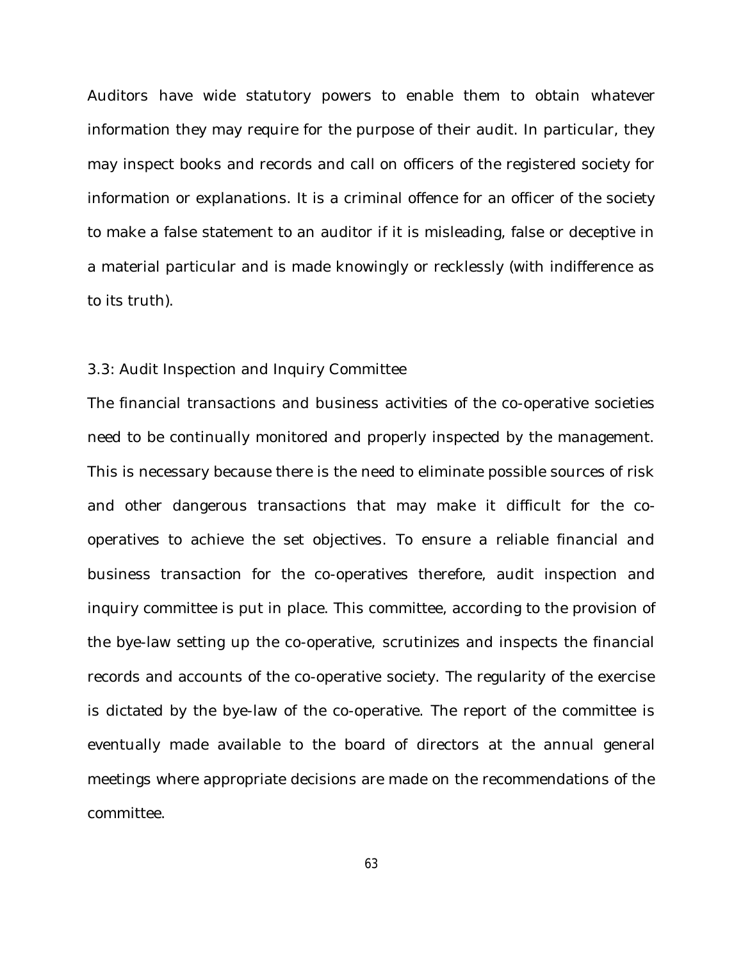Auditors have wide statutory powers to enable them to obtain whatever information they may require for the purpose of their audit. In particular, they may inspect books and records and call on officers of the registered society for information or explanations. It is a criminal offence for an officer of the society to make a false statement to an auditor if it is misleading, false or deceptive in a material particular and is made knowingly or recklessly (with indifference as to its truth).

#### 3.3: Audit Inspection and Inquiry Committee

The financial transactions and business activities of the co-operative societies need to be continually monitored and properly inspected by the management. This is necessary because there is the need to eliminate possible sources of risk and other dangerous transactions that may make it difficult for the cooperatives to achieve the set objectives. To ensure a reliable financial and business transaction for the co-operatives therefore, audit inspection and inquiry committee is put in place. This committee, according to the provision of the bye-law setting up the co-operative, scrutinizes and inspects the financial records and accounts of the co-operative society. The regularity of the exercise is dictated by the bye-law of the co-operative. The report of the committee is eventually made available to the board of directors at the annual general meetings where appropriate decisions are made on the recommendations of the committee.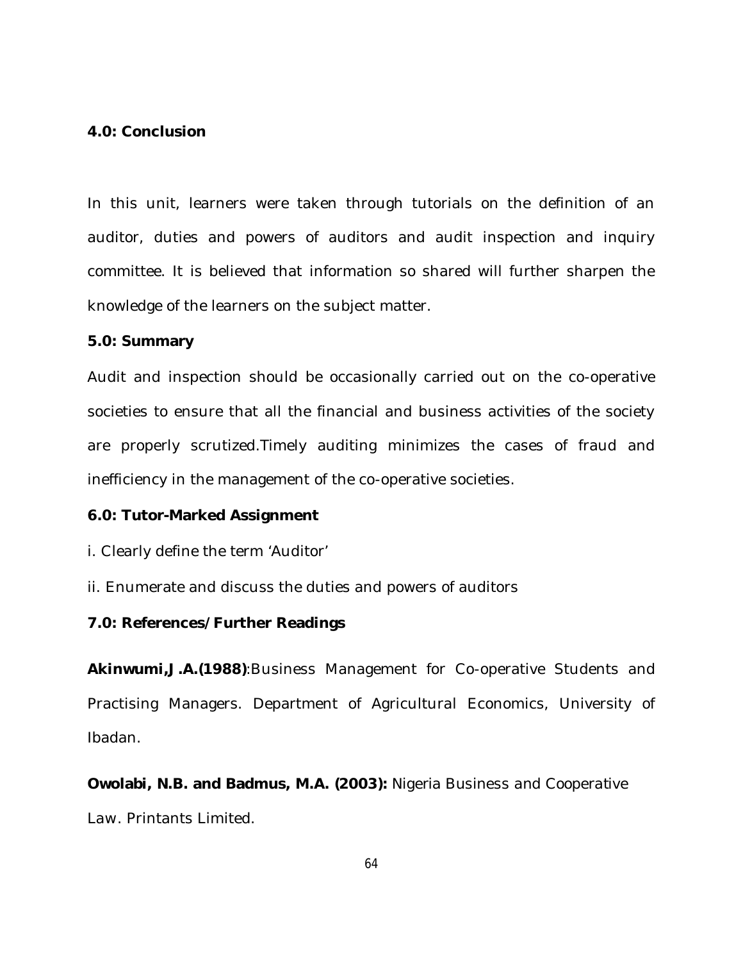### **4.0: Conclusion**

In this unit, learners were taken through tutorials on the definition of an auditor, duties and powers of auditors and audit inspection and inquiry committee. It is believed that information so shared will further sharpen the knowledge of the learners on the subject matter.

#### **5.0: Summary**

Audit and inspection should be occasionally carried out on the co-operative societies to ensure that all the financial and business activities of the society are properly scrutized.Timely auditing minimizes the cases of fraud and inefficiency in the management of the co-operative societies.

### **6.0: Tutor-Marked Assignment**

- i. Clearly define the term 'Auditor'
- ii. Enumerate and discuss the duties and powers of auditors

## **7.0: References/Further Readings**

**Akinwumi,J.A.(1988)**:Business Management for Co-operative Students and Practising Managers. Department of Agricultural Economics, University of Ibadan.

**Owolabi, N.B. and Badmus, M.A. (2003):** *Nigeria Business and Cooperative Law*. Printants Limited.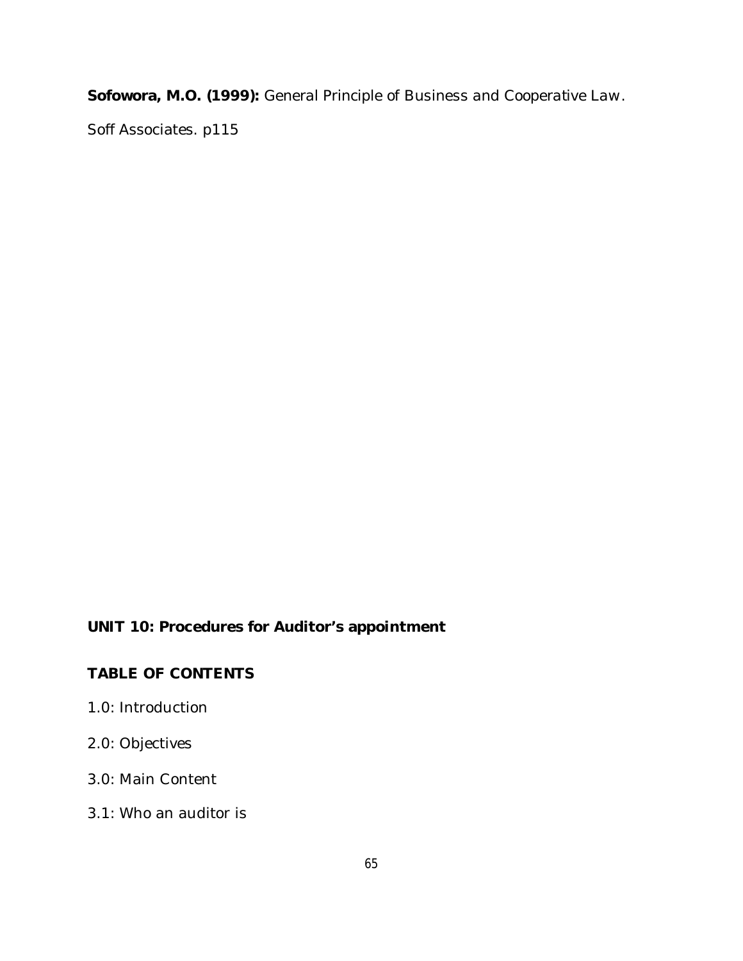**Sofowora, M.O. (1999):** *General Principle of Business and Cooperative Law*.

Soff Associates. p115

# **UNIT 10: Procedures for Auditor's appointment**

# **TABLE OF CONTENTS**

- 1.0: Introduction
- 2.0: Objectives
- 3.0: Main Content
- 3.1: Who an auditor is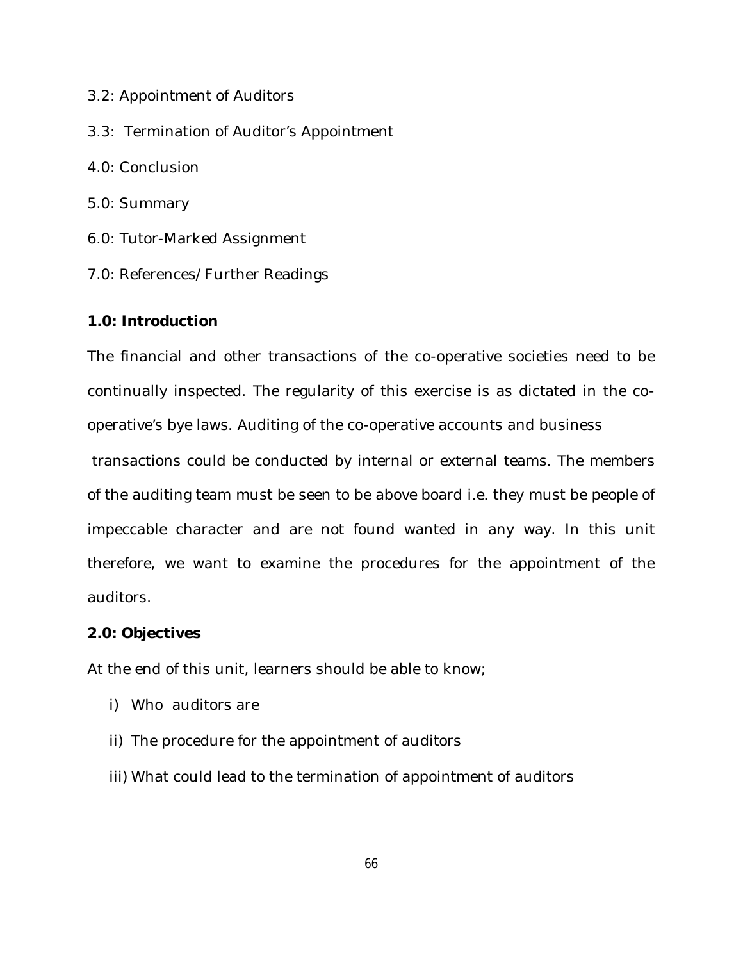- 3.2: Appointment of Auditors
- 3.3: Termination of Auditor's Appointment
- 4.0: Conclusion
- 5.0: Summary
- 6.0: Tutor-Marked Assignment
- 7.0: References/Further Readings

# **1.0: Introduction**

The financial and other transactions of the co-operative societies need to be continually inspected. The regularity of this exercise is as dictated in the cooperative's bye laws. Auditing of the co-operative accounts and business

transactions could be conducted by internal or external teams. The members of the auditing team must be seen to be above board i.e. they must be people of impeccable character and are not found wanted in any way. In this unit therefore, we want to examine the procedures for the appointment of the auditors.

# **2.0: Objectives**

At the end of this unit, learners should be able to know;

- i) Who auditors are
- ii) The procedure for the appointment of auditors
- iii) What could lead to the termination of appointment of auditors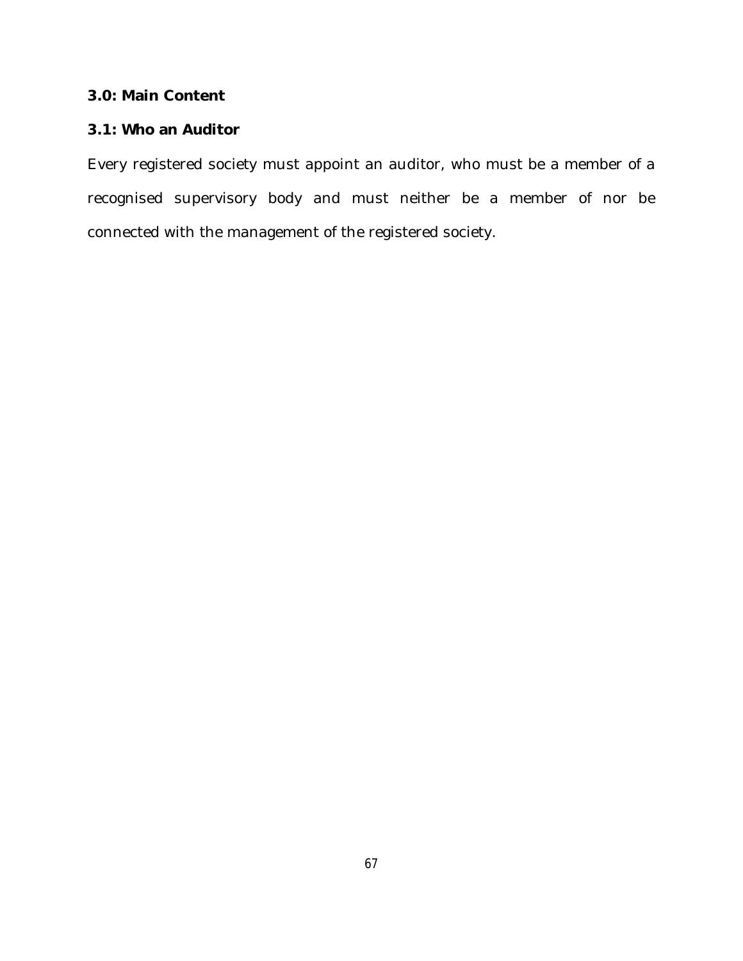# **3.0: Main Content**

# **3.1: Who an Auditor**

Every registered society must appoint an auditor, who must be a member of a recognised supervisory body and must neither be a member of nor be connected with the management of the registered society.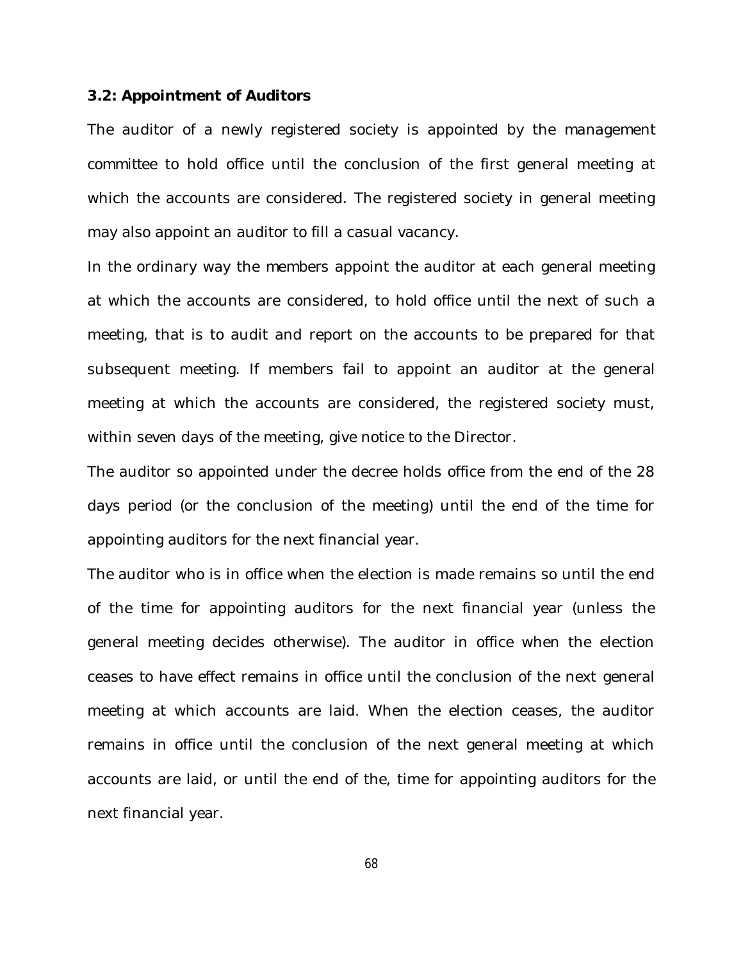#### **3.2: Appointment of Auditors**

The auditor of a newly registered society is appointed by the *management committee* to hold office until the conclusion of the first general meeting at which the accounts are considered. The registered society in general meeting may also appoint an auditor to fill a casual vacancy.

In the ordinary way the *members* appoint the auditor at each general meeting at which the accounts are considered, to hold office until the next of such a meeting, that is to audit and report on the accounts to be prepared for that subsequent meeting. If members fail to appoint an auditor at the general meeting at which the accounts are considered, the registered society must, within seven days of the meeting, give notice to the Director.

The auditor so appointed under the decree holds office from the end of the 28 days period (or the conclusion of the meeting) until the end of the time for appointing auditors for the next financial year.

The auditor who is in office when the election is made remains so until the end of the time for appointing auditors for the next financial year (unless the general meeting decides otherwise). The auditor in office when the election ceases to have effect remains in office until the conclusion of the next general meeting at which accounts are laid. When the election ceases, the auditor remains in office until the conclusion of the next general meeting at which accounts are laid, or until the end of the, time for appointing auditors for the next financial year.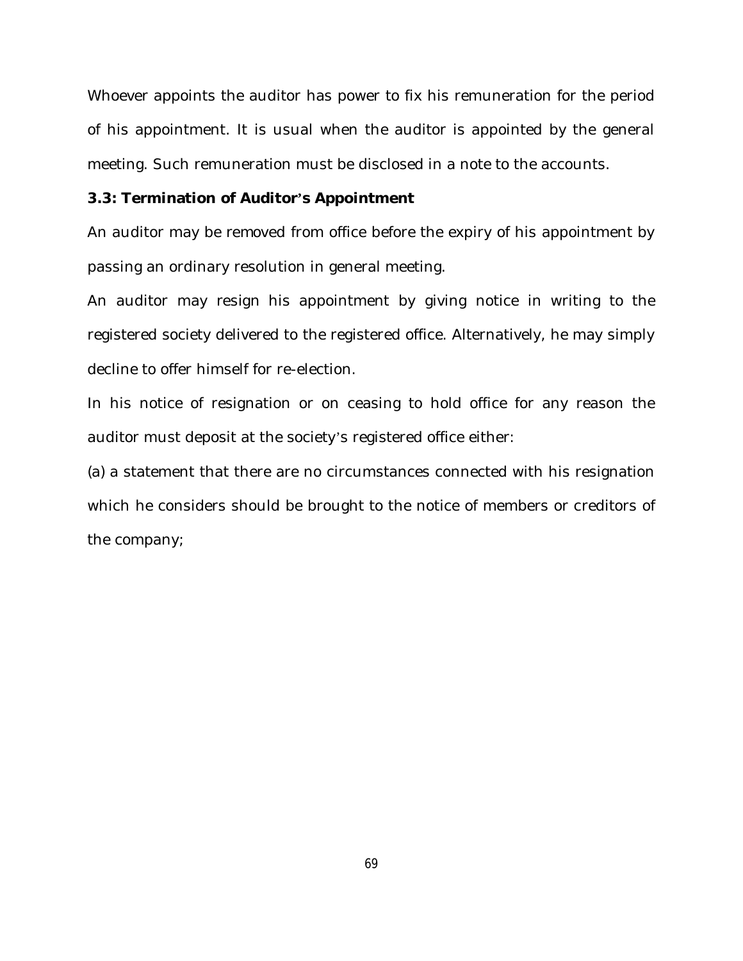Whoever appoints the auditor has power to fix his remuneration for the period of his appointment. It is usual when the auditor is appointed by the general meeting. Such remuneration must be disclosed in a note to the accounts.

#### **3.3: Termination of Auditor's Appointment**

An auditor may be *removed* from office before the expiry of his appointment by passing an ordinary resolution in general meeting.

An auditor may *resign* his appointment by giving notice in writing to the registered society delivered to the registered office. Alternatively, he may simply decline to offer himself for re-election.

In his notice of resignation or on ceasing to hold office for any reason the auditor must deposit at the society's registered office either:

(a) a statement that there are no circumstances connected with his resignation which he considers should be brought to the notice of members or creditors of the company;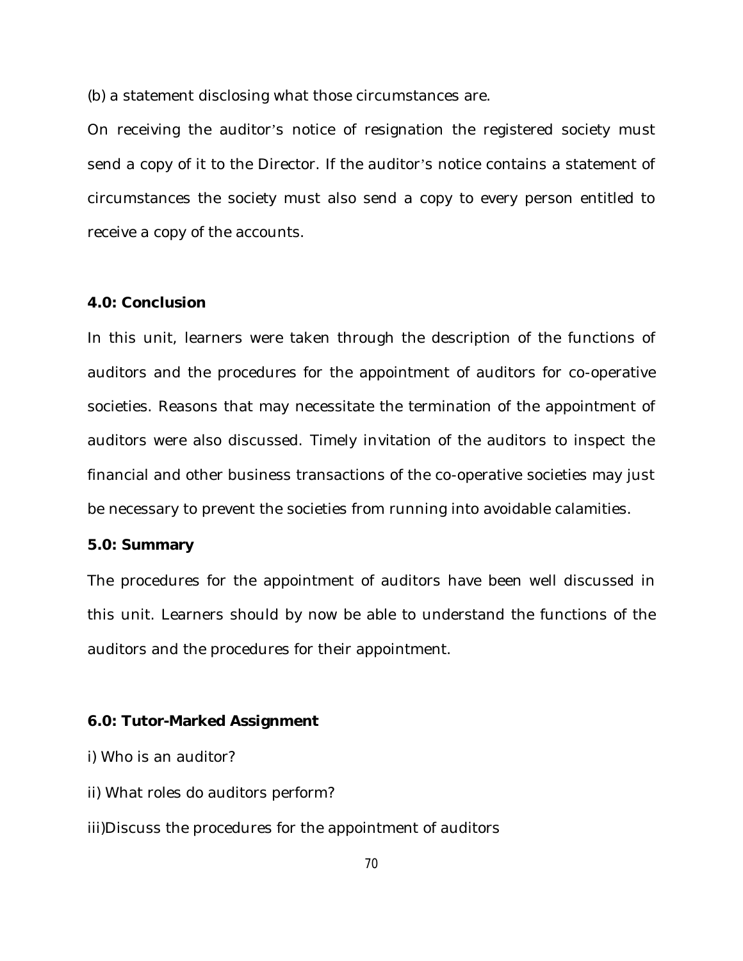(b) a statement disclosing what those circumstances are.

On receiving the auditor's notice of resignation the registered society must send a copy of it to the Director. If the auditor's notice contains a statement of circumstances the society must also send a copy to every person entitled to receive a copy of the accounts.

### **4.0: Conclusion**

In this unit, learners were taken through the description of the functions of auditors and the procedures for the appointment of auditors for co-operative societies. Reasons that may necessitate the termination of the appointment of auditors were also discussed. Timely invitation of the auditors to inspect the financial and other business transactions of the co-operative societies may just be necessary to prevent the societies from running into avoidable calamities.

## **5.0: Summary**

The procedures for the appointment of auditors have been well discussed in this unit. Learners should by now be able to understand the functions of the auditors and the procedures for their appointment.

#### **6.0: Tutor-Marked Assignment**

i) Who is an auditor?

- ii) What roles do auditors perform?
- iii)Discuss the procedures for the appointment of auditors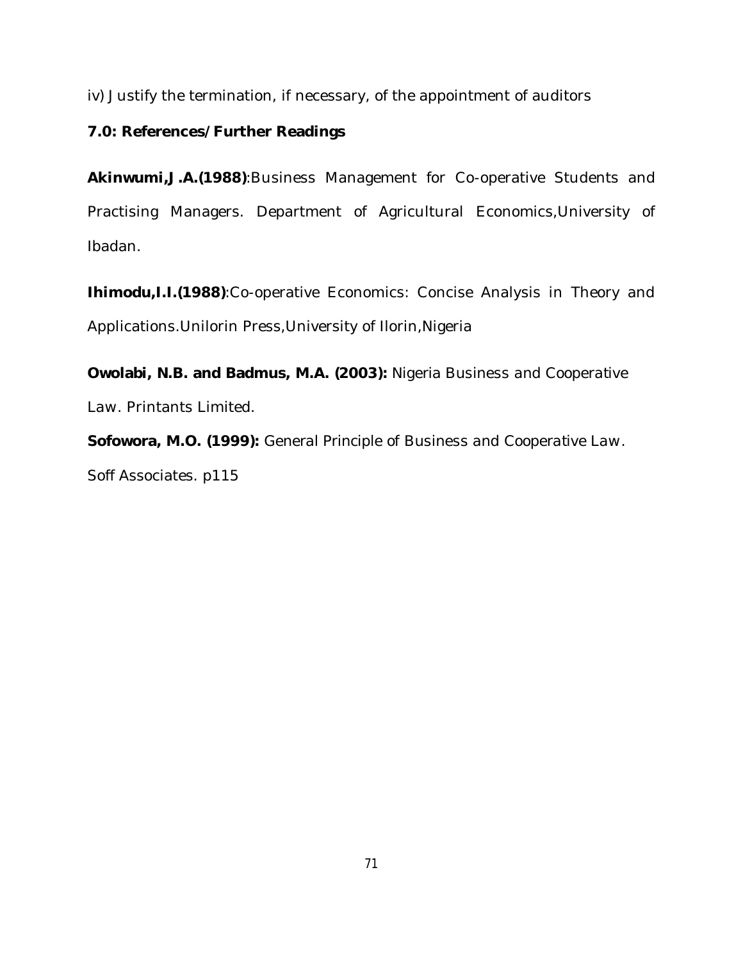iv) Justify the termination, if necessary, of the appointment of auditors

# **7.0: References/Further Readings**

**Akinwumi,J.A.(1988)**:Business Management for Co-operative Students and Practising Managers. Department of Agricultural Economics,University of Ibadan.

**Ihimodu,I.I.(1988)**:Co-operative Economics: Concise Analysis in Theory and Applications. Unilorin Press, University of Ilorin, Nigeria

**Owolabi, N.B. and Badmus, M.A. (2003):** *Nigeria Business and Cooperative Law*. Printants Limited.

**Sofowora, M.O. (1999):** *General Principle of Business and Cooperative Law*. Soff Associates. p115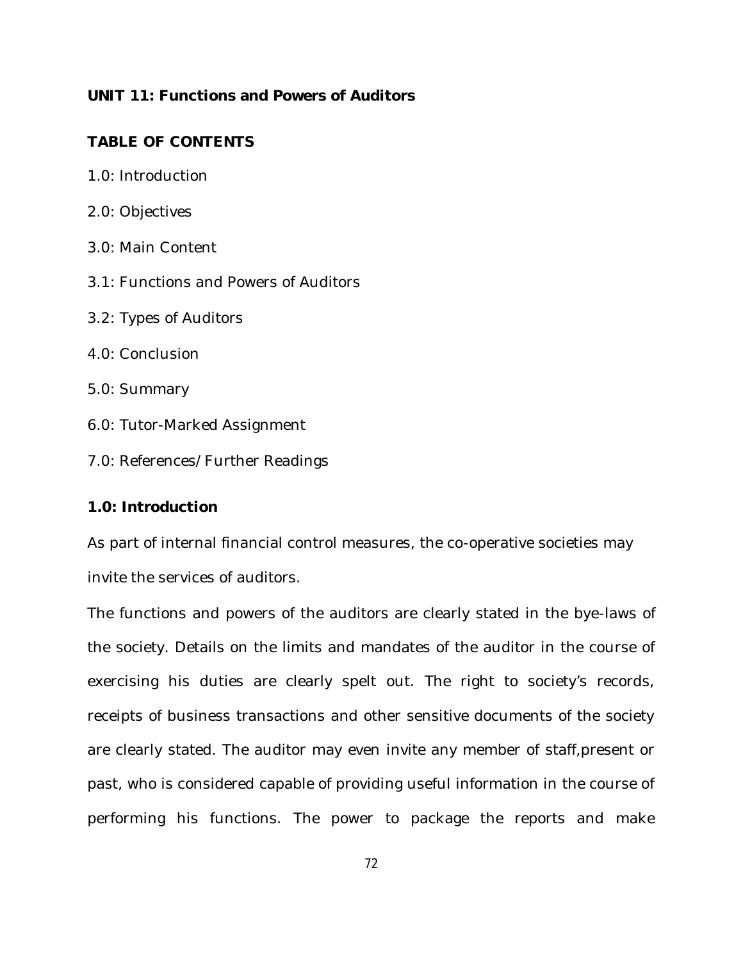## **UNIT 11: Functions and Powers of Auditors**

# **TABLE OF CONTENTS**

- 1.0: Introduction
- 2.0: Objectives
- 3.0: Main Content
- 3.1: Functions and Powers of Auditors
- 3.2: Types of Auditors
- 4.0: Conclusion
- 5.0: Summary
- 6.0: Tutor-Marked Assignment
- 7.0: References/Further Readings

### **1.0: Introduction**

As part of internal financial control measures, the co-operative societies may invite the services of auditors.

The functions and powers of the auditors are clearly stated in the bye-laws of the society. Details on the limits and mandates of the auditor in the course of exercising his duties are clearly spelt out. The right to society's records, receipts of business transactions and other sensitive documents of the society are clearly stated. The auditor may even invite any member of staff,present or past, who is considered capable of providing useful information in the course of performing his functions. The power to package the reports and make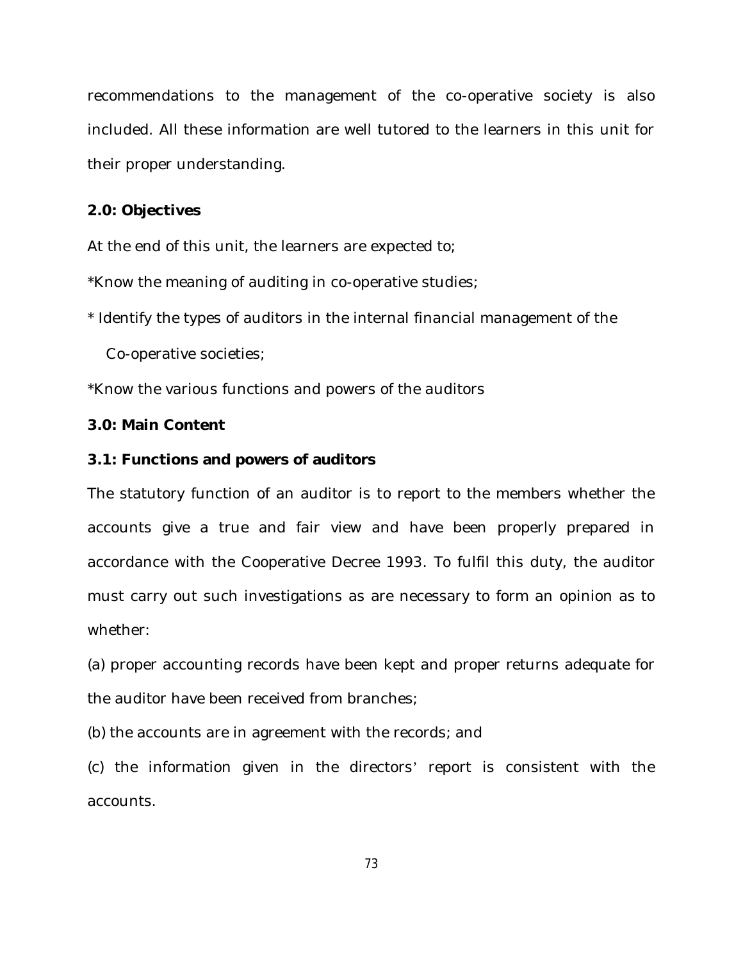recommendations to the management of the co-operative society is also included. All these information are well tutored to the learners in this unit for their proper understanding.

## **2.0: Objectives**

At the end of this unit, the learners are expected to;

\*Know the meaning of auditing in co-operative studies;

\* Identify the types of auditors in the internal financial management of the

Co-operative societies;

\*Know the various functions and powers of the auditors

## **3.0: Main Content**

## **3.1: Functions and powers of auditors**

The statutory function of an auditor is to report to the members whether the accounts give a true and fair view and have been properly prepared in accordance with the Cooperative Decree 1993. To fulfil this duty, the auditor must carry out such investigations as are necessary to form an opinion as to whether:

(a) proper accounting records have been kept and proper returns adequate for the auditor have been received from branches;

(b) the accounts are in agreement with the records; and

(c) the information given in the directors' report is consistent with the accounts.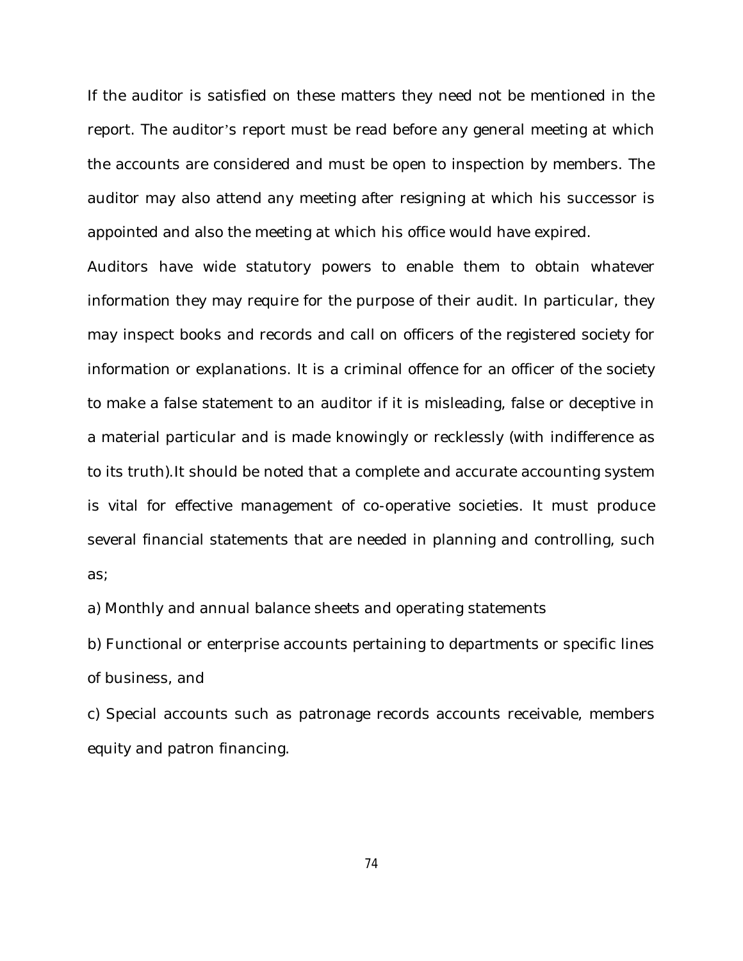If the auditor is satisfied on these matters they need not be mentioned in the report. The auditor's report must be read before any general meeting at which the accounts are considered and must be open to inspection by members. The auditor may also attend any meeting after resigning at which his successor is appointed and also the meeting at which his office would have expired.

Auditors have wide statutory powers to enable them to obtain whatever information they may require for the purpose of their audit. In particular, they may inspect books and records and call on officers of the registered society for information or explanations. It is a criminal offence for an officer of the society to make a false statement to an auditor if it is misleading, false or deceptive in a material particular and is made knowingly or recklessly (with indifference as to its truth).It should be noted that a complete and accurate accounting system is vital for effective management of co-operative societies. It must produce several financial statements that are needed in planning and controlling, such as;

a) Monthly and annual balance sheets and operating statements

b) Functional or enterprise accounts pertaining to departments or specific lines of business, and

c) Special accounts such as patronage records accounts receivable, members equity and patron financing.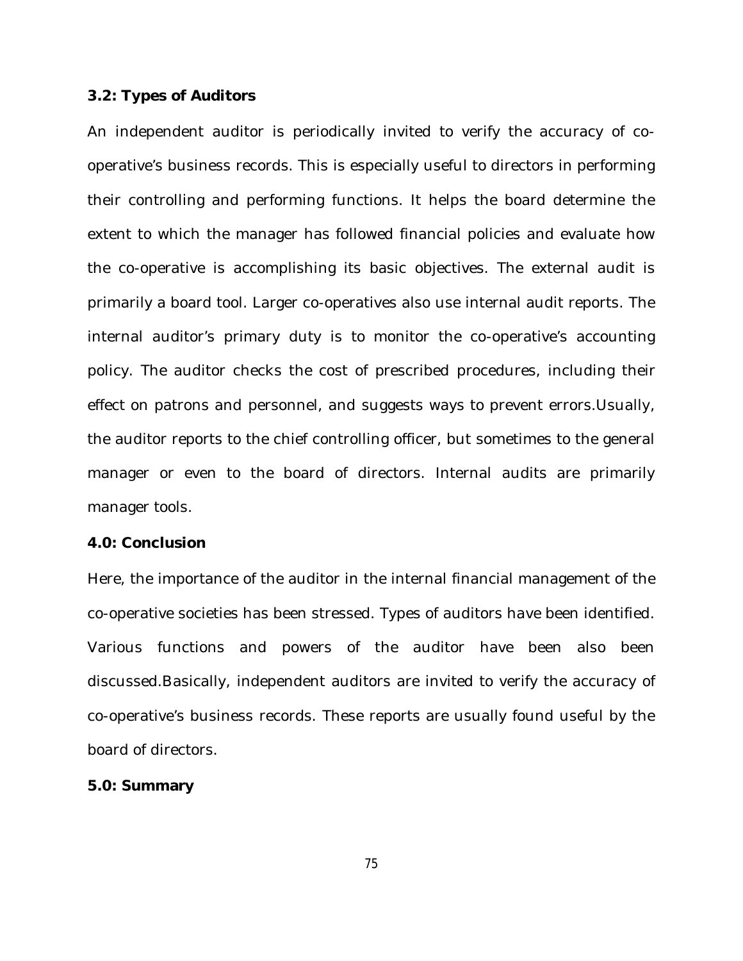#### **3.2: Types of Auditors**

An independent auditor is periodically invited to verify the accuracy of cooperative's business records. This is especially useful to directors in performing their controlling and performing functions. It helps the board determine the extent to which the manager has followed financial policies and evaluate how the co-operative is accomplishing its basic objectives. The external audit is primarily a board tool. Larger co-operatives also use internal audit reports. The internal auditor's primary duty is to monitor the co-operative's accounting policy. The auditor checks the cost of prescribed procedures, including their effect on patrons and personnel, and suggests ways to prevent errors.Usually, the auditor reports to the chief controlling officer, but sometimes to the general manager or even to the board of directors. Internal audits are primarily manager tools.

## **4.0: Conclusion**

Here, the importance of the auditor in the internal financial management of the co-operative societies has been stressed. Types of auditors have been identified. Various functions and powers of the auditor have been also been discussed.Basically, independent auditors are invited to verify the accuracy of co-operative's business records. These reports are usually found useful by the board of directors.

#### **5.0: Summary**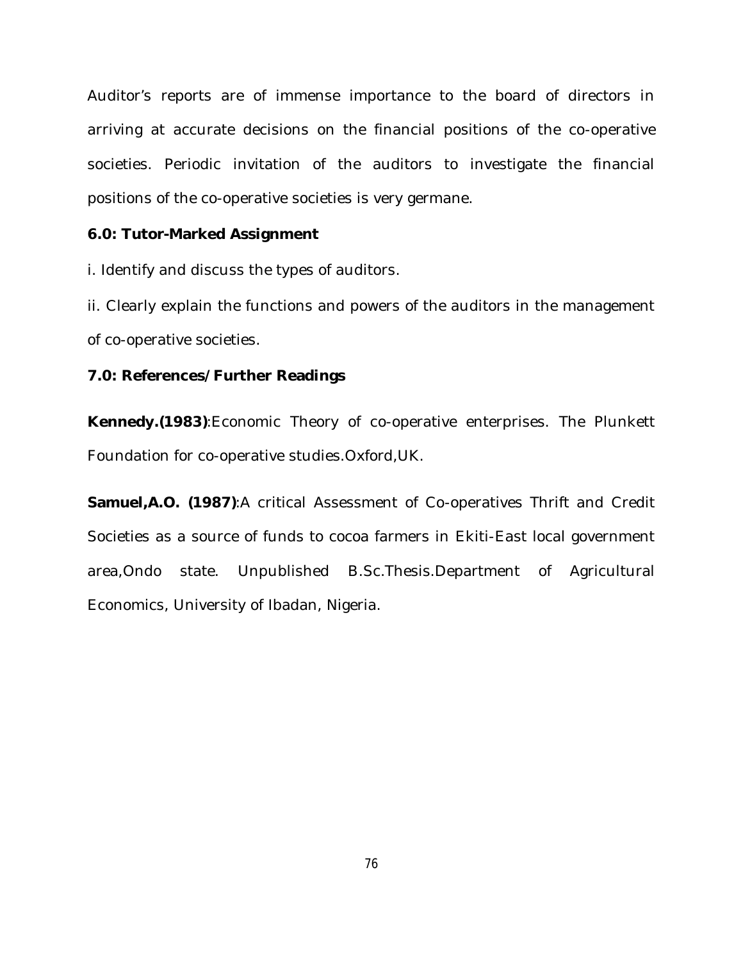Auditor's reports are of immense importance to the board of directors in arriving at accurate decisions on the financial positions of the co-operative societies. Periodic invitation of the auditors to investigate the financial positions of the co-operative societies is very germane.

## **6.0: Tutor-Marked Assignment**

i. Identify and discuss the types of auditors.

ii. Clearly explain the functions and powers of the auditors in the management of co-operative societies.

## **7.0: References/Further Readings**

**Kennedy.(1983)**:Economic Theory of co-operative enterprises. The Plunkett Foundation for co-operative studies.Oxford,UK.

**Samuel,A.O. (1987)**:A critical Assessment of Co-operatives Thrift and Credit Societies as a source of funds to cocoa farmers in Ekiti-East local government area,Ondo state. Unpublished B.Sc.Thesis.Department of Agricultural Economics, University of Ibadan, Nigeria.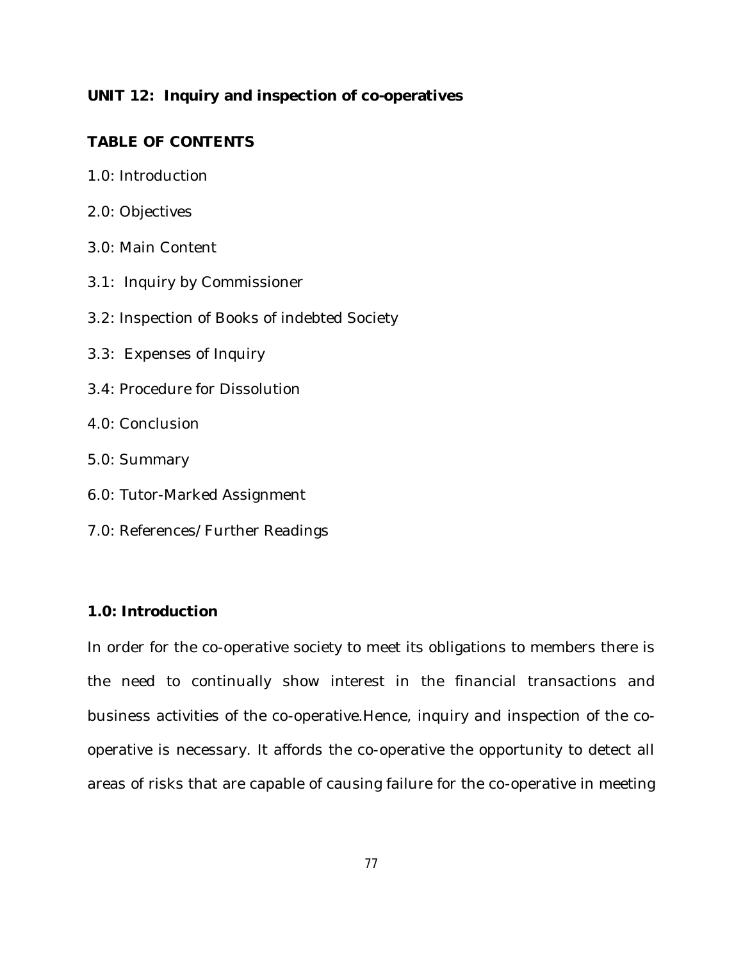# **UNIT 12: Inquiry and inspection of co-operatives**

# **TABLE OF CONTENTS**

- 1.0: Introduction
- 2.0: Objectives
- 3.0: Main Content
- 3.1: Inquiry by Commissioner
- 3.2: Inspection of Books of indebted Society
- 3.3: Expenses of Inquiry
- 3.4: Procedure for Dissolution
- 4.0: Conclusion
- 5.0: Summary
- 6.0: Tutor-Marked Assignment
- 7.0: References/Further Readings

# **1.0: Introduction**

In order for the co-operative society to meet its obligations to members there is the need to continually show interest in the financial transactions and business activities of the co-operative.Hence, inquiry and inspection of the cooperative is necessary. It affords the co-operative the opportunity to detect all areas of risks that are capable of causing failure for the co-operative in meeting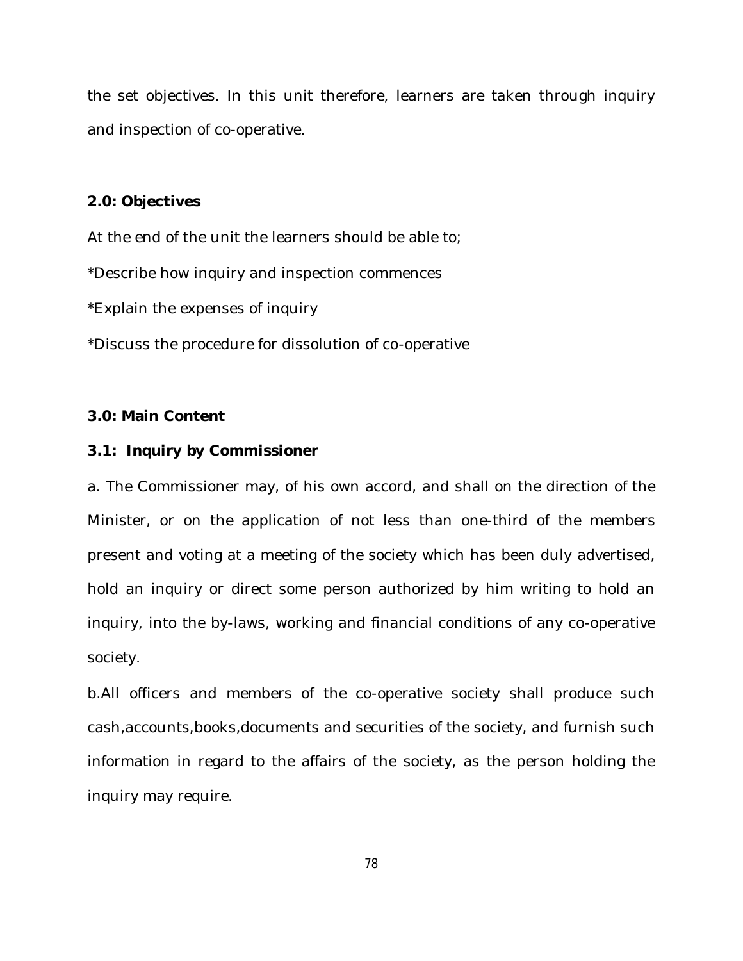the set objectives. In this unit therefore, learners are taken through inquiry and inspection of co-operative.

# **2.0: Objectives**

At the end of the unit the learners should be able to;

\*Describe how inquiry and inspection commences

\*Explain the expenses of inquiry

\*Discuss the procedure for dissolution of co-operative

## **3.0: Main Content**

#### **3.1: Inquiry by Commissioner**

a. The Commissioner may, of his own accord, and shall on the direction of the Minister, or on the application of not less than one-third of the members present and voting at a meeting of the society which has been duly advertised, hold an inquiry or direct some person authorized by him writing to hold an inquiry, into the by-laws, working and financial conditions of any co-operative society.

b.All officers and members of the co-operative society shall produce such cash,accounts,books,documents and securities of the society, and furnish such information in regard to the affairs of the society, as the person holding the inquiry may require.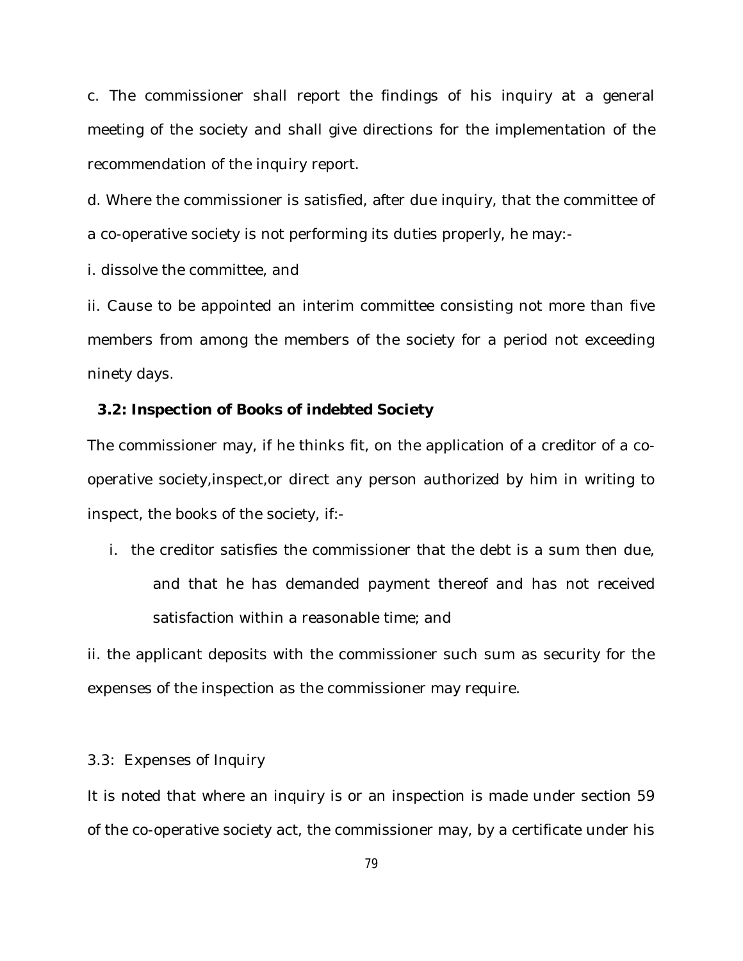c. The commissioner shall report the findings of his inquiry at a general meeting of the society and shall give directions for the implementation of the recommendation of the inquiry report.

d. Where the commissioner is satisfied, after due inquiry, that the committee of a co-operative society is not performing its duties properly, he may:-

i. dissolve the committee, and

ii. Cause to be appointed an interim committee consisting not more than five members from among the members of the society for a period not exceeding ninety days.

### **3.2: Inspection of Books of indebted Society**

The commissioner may, if he thinks fit, on the application of a creditor of a cooperative society,inspect,or direct any person authorized by him in writing to inspect, the books of the society, if:-

i. the creditor satisfies the commissioner that the debt is a sum then due, and that he has demanded payment thereof and has not received satisfaction within a reasonable time; and

ii. the applicant deposits with the commissioner such sum as security for the expenses of the inspection as the commissioner may require.

3.3: Expenses of Inquiry

It is noted that where an inquiry is or an inspection is made under section 59 of the co-operative society act, the commissioner may, by a certificate under his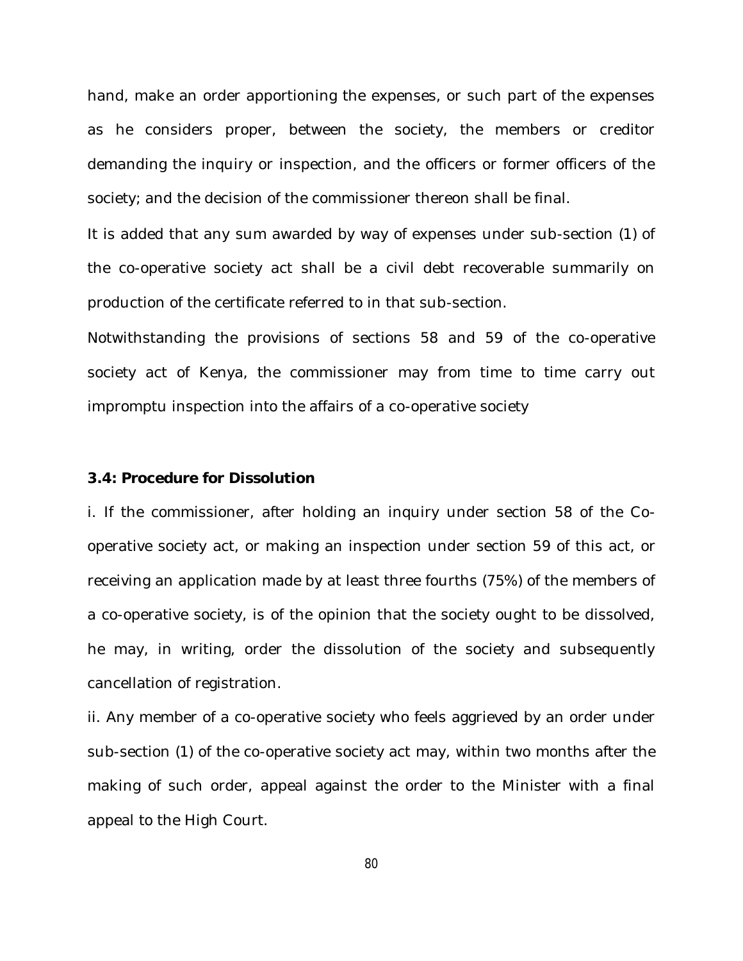hand, make an order apportioning the expenses, or such part of the expenses as he considers proper, between the society, the members or creditor demanding the inquiry or inspection, and the officers or former officers of the society; and the decision of the commissioner thereon shall be final.

It is added that any sum awarded by way of expenses under sub-section (1) of the co-operative society act shall be a civil debt recoverable summarily on production of the certificate referred to in that sub-section.

Notwithstanding the provisions of sections 58 and 59 of the co-operative society act of Kenya, the commissioner may from time to time carry out impromptu inspection into the affairs of a co-operative society

#### **3.4: Procedure for Dissolution**

i. If the commissioner, after holding an inquiry under section 58 of the Cooperative society act, or making an inspection under section 59 of this act, or receiving an application made by at least three fourths (75%) of the members of a co-operative society, is of the opinion that the society ought to be dissolved, he may, in writing, order the dissolution of the society and subsequently cancellation of registration.

ii. Any member of a co-operative society who feels aggrieved by an order under sub-section (1) of the co-operative society act may, within two months after the making of such order, appeal against the order to the Minister with a final appeal to the High Court.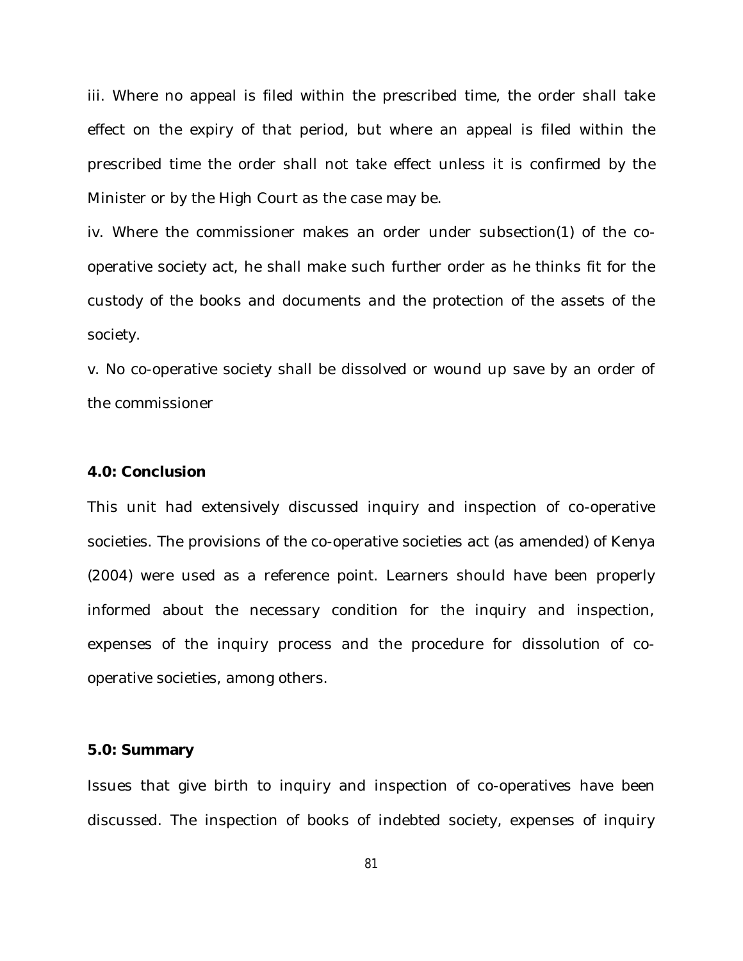iii. Where no appeal is filed within the prescribed time, the order shall take effect on the expiry of that period, but where an appeal is filed within the prescribed time the order shall not take effect unless it is confirmed by the Minister or by the High Court as the case may be.

iv. Where the commissioner makes an order under subsection(1) of the cooperative society act, he shall make such further order as he thinks fit for the custody of the books and documents and the protection of the assets of the society.

v. No co-operative society shall be dissolved or wound up save by an order of the commissioner

#### **4.0: Conclusion**

This unit had extensively discussed inquiry and inspection of co-operative societies. The provisions of the co-operative societies act (as amended) of Kenya (2004) were used as a reference point. Learners should have been properly informed about the necessary condition for the inquiry and inspection, expenses of the inquiry process and the procedure for dissolution of cooperative societies, among others.

#### **5.0: Summary**

Issues that give birth to inquiry and inspection of co-operatives have been discussed. The inspection of books of indebted society, expenses of inquiry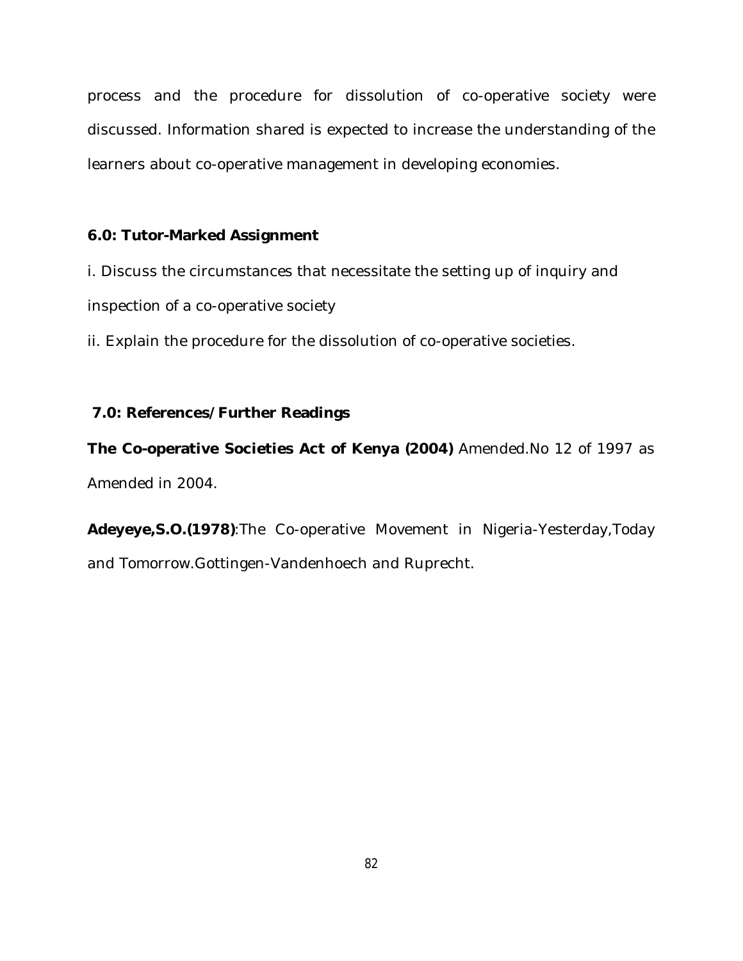process and the procedure for dissolution of co-operative society were discussed. Information shared is expected to increase the understanding of the learners about co-operative management in developing economies.

# **6.0: Tutor-Marked Assignment**

i. Discuss the circumstances that necessitate the setting up of inquiry and inspection of a co-operative society

ii. Explain the procedure for the dissolution of co-operative societies.

# **7.0: References/Further Readings**

**The Co-operative Societies Act of Kenya (2004)** Amended.No 12 of 1997 as Amended in 2004.

**Adeyeye,S.O.(1978)**:The Co-operative Movement in Nigeria-Yesterday,Today and Tomorrow.Gottingen-Vandenhoech and Ruprecht.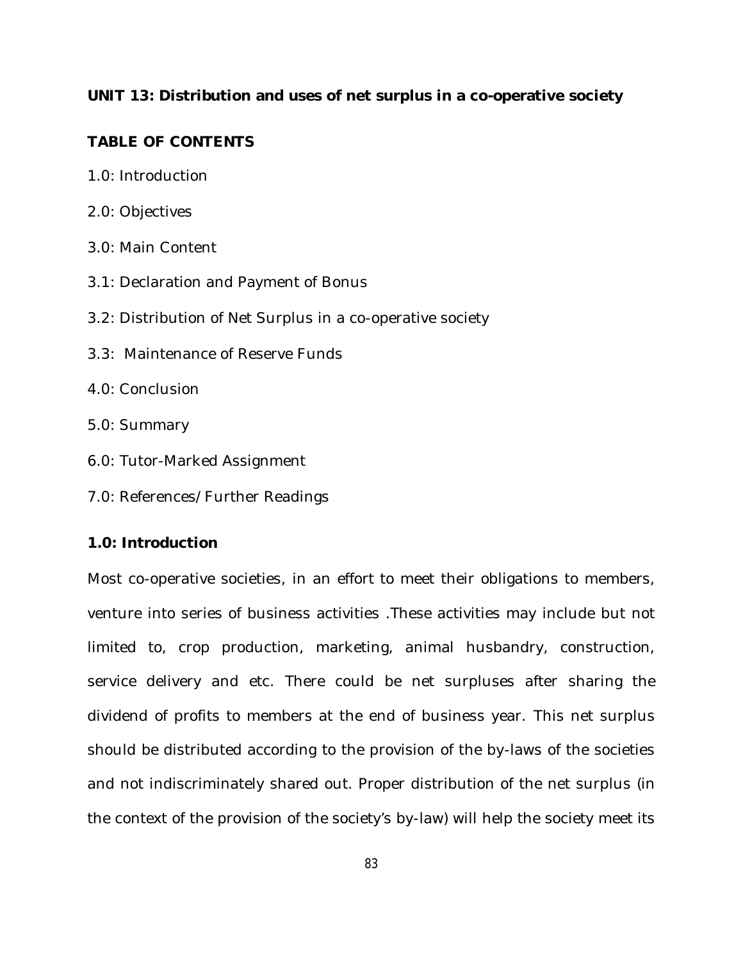# **UNIT 13: Distribution and uses of net surplus in a co-operative society**

# **TABLE OF CONTENTS**

- 1.0: Introduction
- 2.0: Objectives
- 3.0: Main Content
- 3.1: Declaration and Payment of Bonus
- 3.2: Distribution of Net Surplus in a co-operative society
- 3.3: Maintenance of Reserve Funds
- 4.0: Conclusion
- 5.0: Summary
- 6.0: Tutor-Marked Assignment
- 7.0: References/Further Readings

# **1.0: Introduction**

Most co-operative societies, in an effort to meet their obligations to members, venture into series of business activities .These activities may include but not limited to, crop production, marketing, animal husbandry, construction, service delivery and etc. There could be net surpluses after sharing the dividend of profits to members at the end of business year. This net surplus should be distributed according to the provision of the by-laws of the societies and not indiscriminately shared out. Proper distribution of the net surplus (in the context of the provision of the society's by-law) will help the society meet its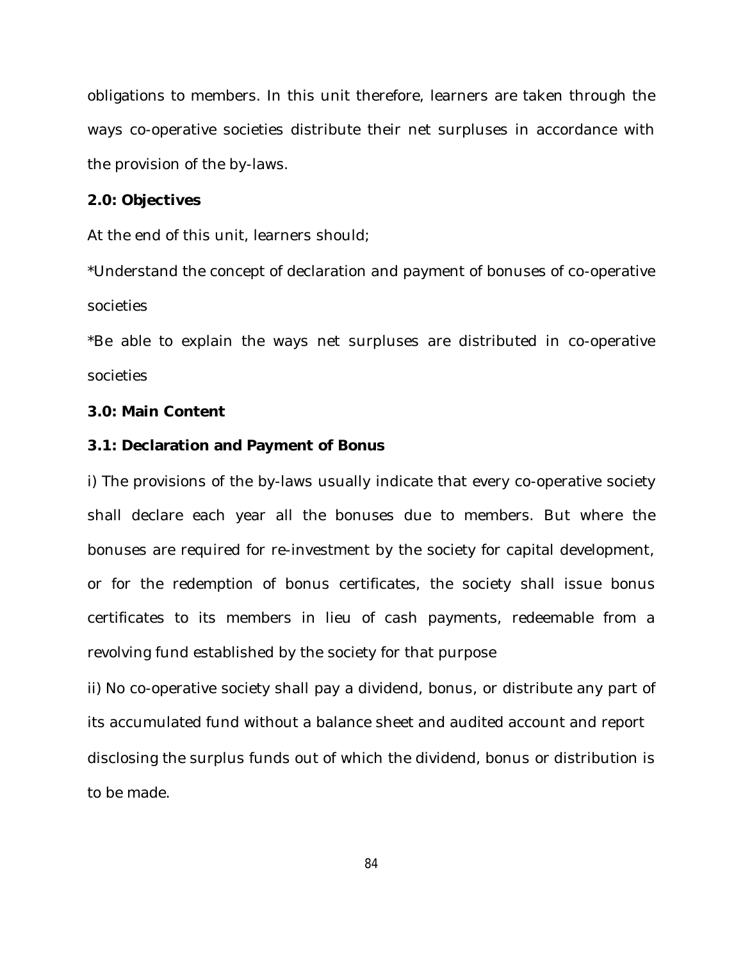obligations to members. In this unit therefore, learners are taken through the ways co-operative societies distribute their net surpluses in accordance with the provision of the by-laws.

## **2.0: Objectives**

At the end of this unit, learners should;

\*Understand the concept of declaration and payment of bonuses of co-operative societies

\*Be able to explain the ways net surpluses are distributed in co-operative societies

#### **3.0: Main Content**

#### **3.1: Declaration and Payment of Bonus**

i) The provisions of the by-laws usually indicate that every co-operative society shall declare each year all the bonuses due to members. But where the bonuses are required for re-investment by the society for capital development, or for the redemption of bonus certificates, the society shall issue bonus certificates to its members in lieu of cash payments, redeemable from a revolving fund established by the society for that purpose

ii) No co-operative society shall pay a dividend, bonus, or distribute any part of its accumulated fund without a balance sheet and audited account and report disclosing the surplus funds out of which the dividend, bonus or distribution is to be made.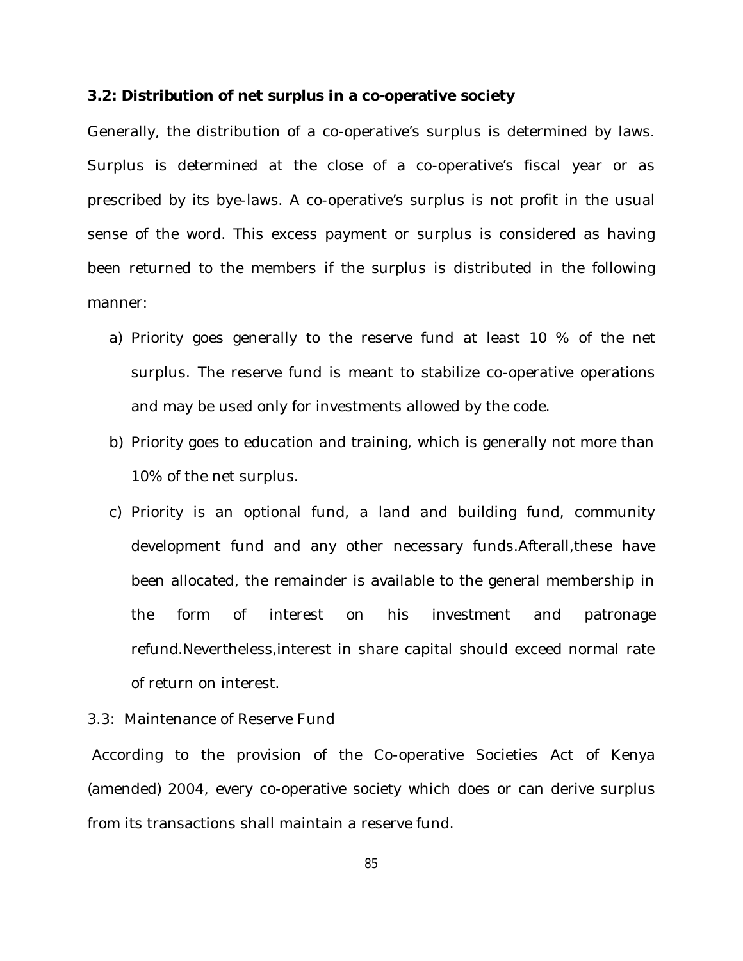#### **3.2: Distribution of net surplus in a co-operative society**

Generally, the distribution of a co-operative's surplus is determined by laws. Surplus is determined at the close of a co-operative's fiscal year or as prescribed by its bye-laws. A co-operative's surplus is not profit in the usual sense of the word. This excess payment or surplus is considered as having been returned to the members if the surplus is distributed in the following manner:

- a) Priority goes generally to the reserve fund at least 10 % of the net surplus. The reserve fund is meant to stabilize co-operative operations and may be used only for investments allowed by the code.
- b) Priority goes to education and training, which is generally not more than 10% of the net surplus.
- c) Priority is an optional fund, a land and building fund, community development fund and any other necessary funds.Afterall,these have been allocated, the remainder is available to the general membership in the form of interest on his investment and patronage refund.Nevertheless,interest in share capital should exceed normal rate of return on interest.

#### 3.3: Maintenance of Reserve Fund

According to the provision of the Co-operative Societies Act of Kenya (amended) 2004, every co-operative society which does or can derive surplus from its transactions shall maintain a reserve fund.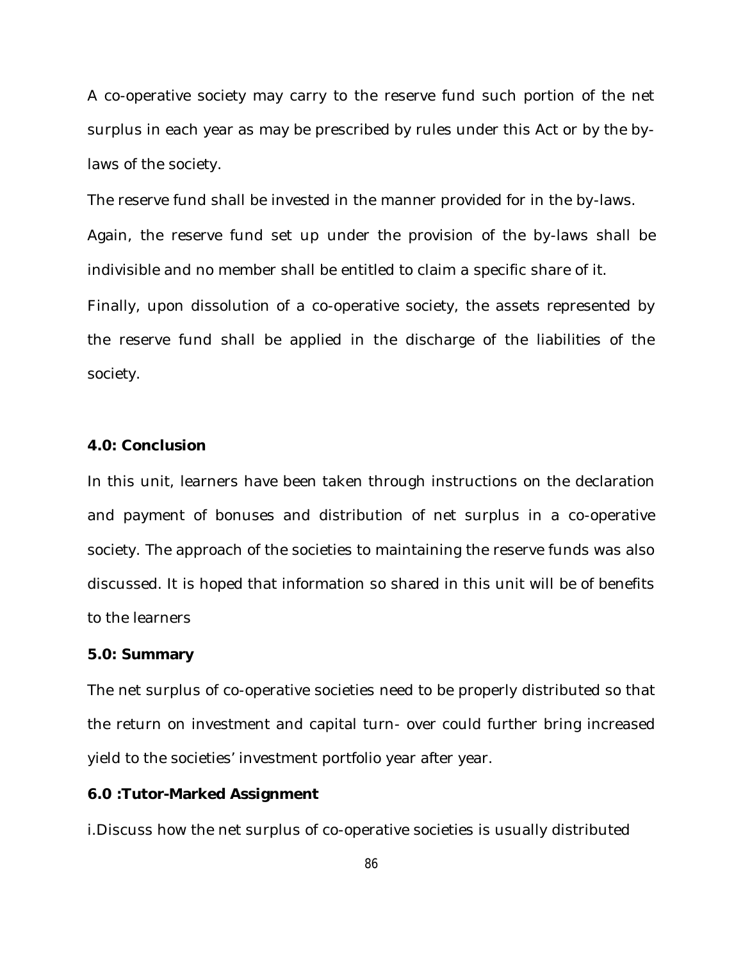A co-operative society may carry to the reserve fund such portion of the net surplus in each year as may be prescribed by rules under this Act or by the bylaws of the society.

The reserve fund shall be invested in the manner provided for in the by-laws.

Again, the reserve fund set up under the provision of the by-laws shall be indivisible and no member shall be entitled to claim a specific share of it.

Finally, upon dissolution of a co-operative society, the assets represented by the reserve fund shall be applied in the discharge of the liabilities of the society.

#### **4.0: Conclusion**

In this unit, learners have been taken through instructions on the declaration and payment of bonuses and distribution of net surplus in a co-operative society. The approach of the societies to maintaining the reserve funds was also discussed. It is hoped that information so shared in this unit will be of benefits to the learners

#### **5.0: Summary**

The net surplus of co-operative societies need to be properly distributed so that the return on investment and capital turn- over could further bring increased yield to the societies' investment portfolio year after year.

#### **6.0 :Tutor-Marked Assignment**

i.Discuss how the net surplus of co-operative societies is usually distributed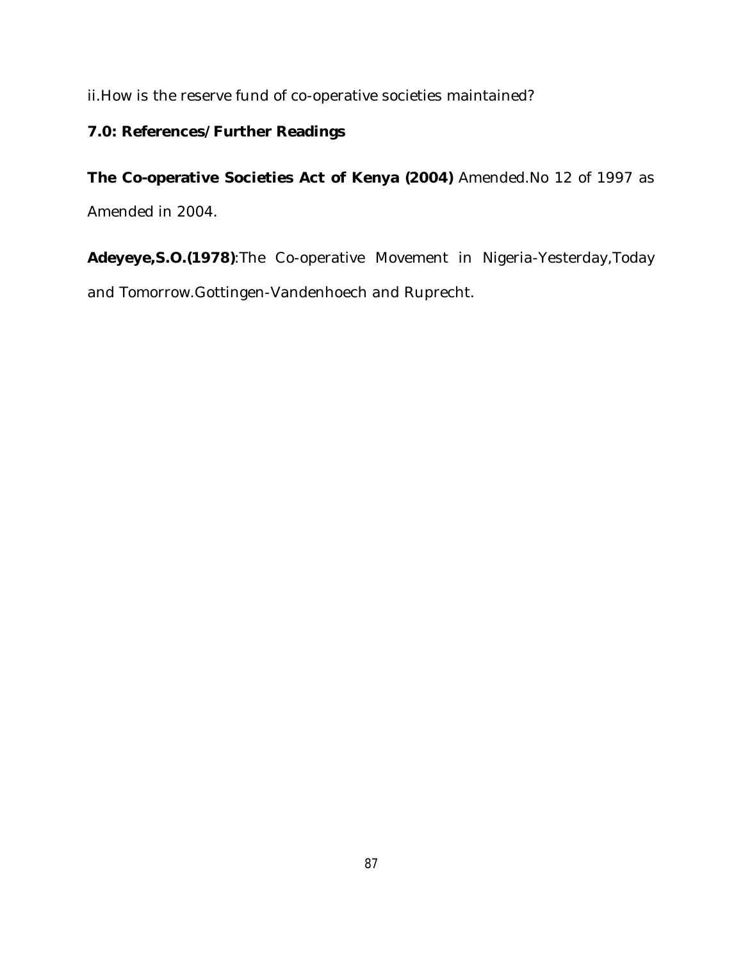ii.How is the reserve fund of co-operative societies maintained?

# **7.0: References/Further Readings**

**The Co-operative Societies Act of Kenya (2004)** Amended.No 12 of 1997 as Amended in 2004.

**Adeyeye,S.O.(1978)**:The Co-operative Movement in Nigeria-Yesterday,Today and Tomorrow.Gottingen-Vandenhoech and Ruprecht.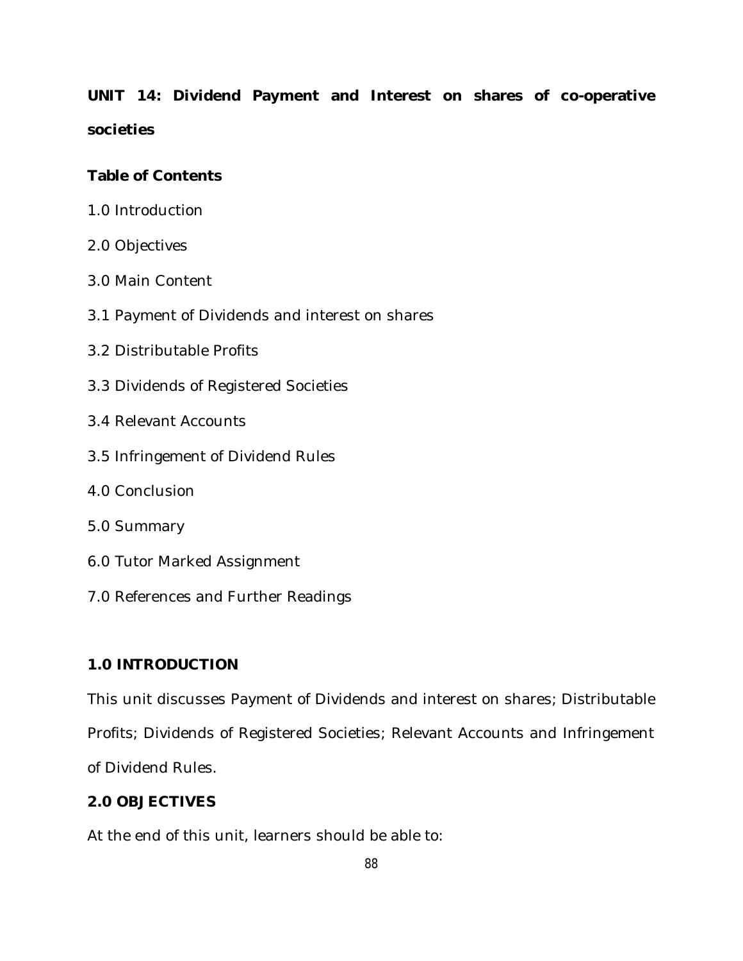**UNIT 14: Dividend Payment and Interest on shares of co-operative societies**

# **Table of Contents**

- 1.0 Introduction
- 2.0 Objectives
- 3.0 Main Content
- 3.1 Payment of Dividends and interest on shares
- 3.2 Distributable Profits
- 3.3 Dividends of Registered Societies
- 3.4 Relevant Accounts
- 3.5 Infringement of Dividend Rules
- 4.0 Conclusion
- 5.0 Summary
- 6.0 Tutor Marked Assignment
- 7.0 References and Further Readings

## **1.0 INTRODUCTION**

This unit discusses Payment of Dividends and interest on shares; Distributable Profits; Dividends of Registered Societies; Relevant Accounts and Infringement of Dividend Rules.

# **2.0 OBJECTIVES**

At the end of this unit, learners should be able to: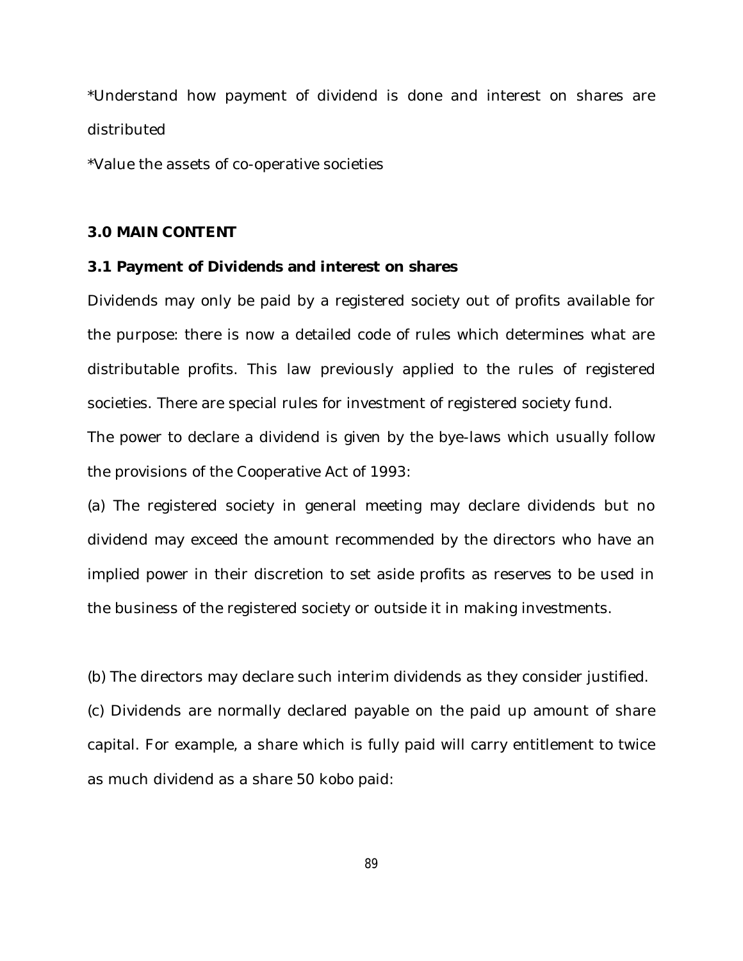\*Understand how payment of dividend is done and interest on shares are distributed

\*Value the assets of co-operative societies

#### **3.0 MAIN CONTENT**

#### **3.1 Payment of Dividends and interest on shares**

Dividends may only be paid by a registered society out of profits available for the purpose: there is now a detailed code of rules which determines what are distributable profits. This law previously applied to the rules of registered societies. There are special rules for investment of registered society fund.

The power to declare a dividend is given by the bye-laws which usually follow the provisions of the Cooperative Act of 1993:

(a) The registered society in general meeting may declare dividends but no dividend may exceed the amount recommended by the directors who have an implied power in their discretion to set aside profits as reserves to be used in the business of the registered society or outside it in making investments.

(b) The directors may declare such interim dividends as they consider justified.

(c) Dividends are normally declared payable on the paid up amount of share capital. For example, a share which is fully paid will carry entitlement to twice as much dividend as a share 50 kobo paid: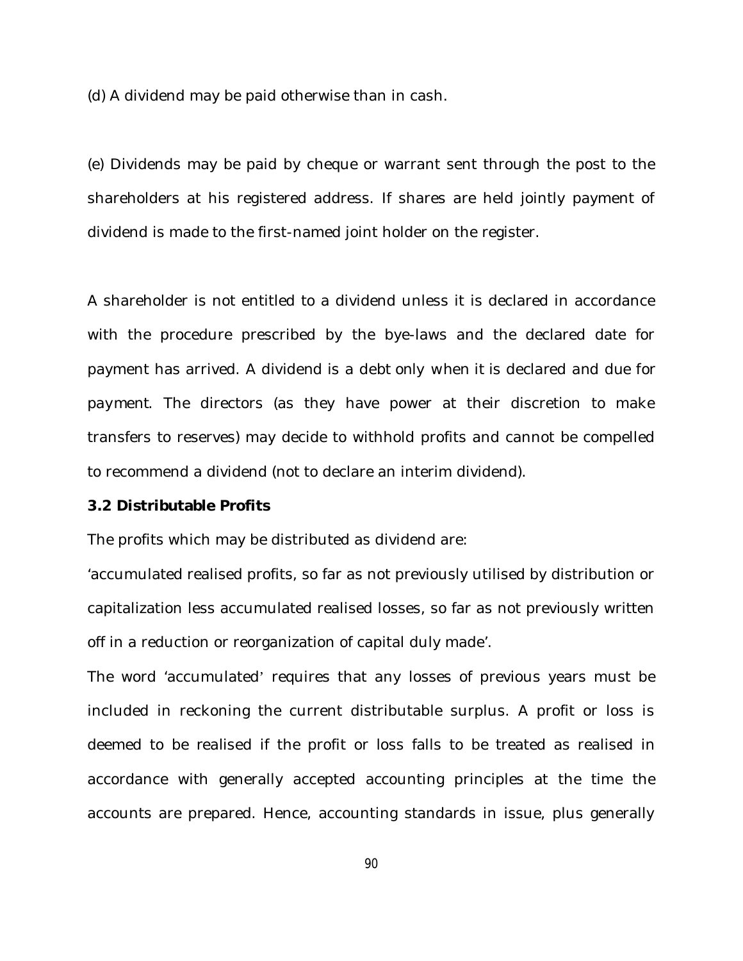(d) A dividend may be paid otherwise than in cash.

(e) Dividends may be paid by cheque or warrant sent through the post to the shareholders at his registered address. If shares are held jointly payment of dividend is made to the first-named joint holder on the register.

A shareholder is not entitled to a dividend unless it is declared in accordance with the procedure prescribed by the bye-laws and the declared date for payment has arrived. *A dividend is a debt only when it is declared and due for payment*. The directors (as they have power at their discretion to make transfers to reserves) may decide to withhold profits and cannot be compelled to recommend a dividend (not to declare an interim dividend).

#### **3.2 Distributable Profits**

The profits which may be distributed as dividend are:

'accumulated realised profits, so far as not previously utilised by distribution or capitalization less accumulated realised losses, so far as not previously written off in a reduction or reorganization of capital duly made'.

The word 'accumulated' requires that any losses of previous years must be included in reckoning the current distributable surplus. A profit or loss is deemed to be *realised* if the profit or loss falls to be treated as realised in accordance with generally accepted accounting principles at the time the accounts are prepared. Hence, accounting standards in issue, plus generally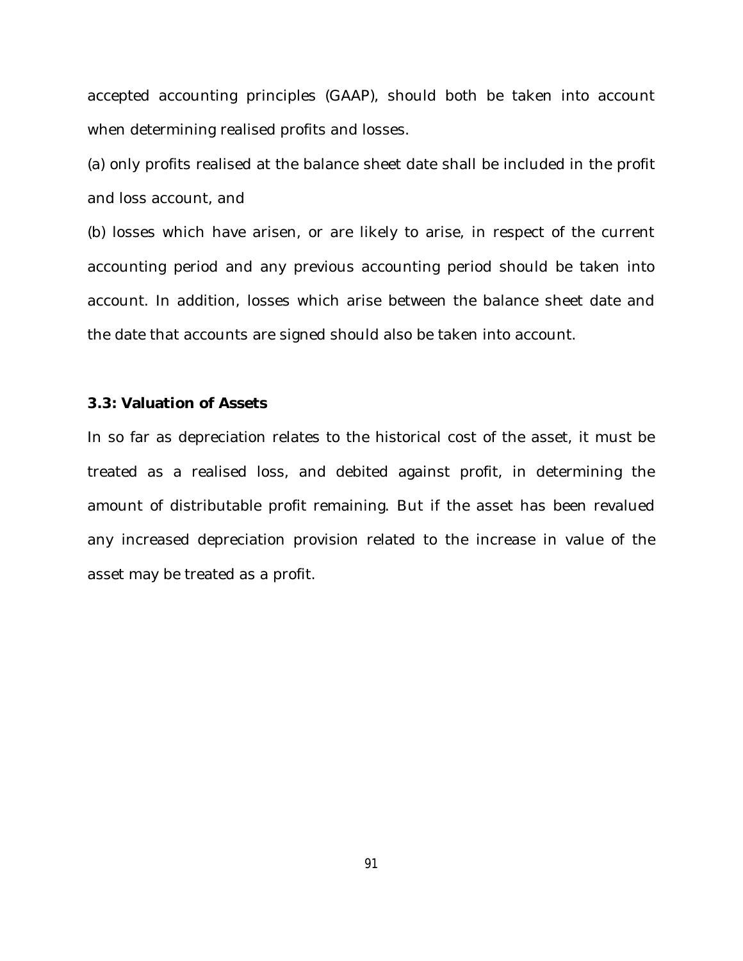accepted accounting principles (GAAP), should both be taken into account when determining realised profits and losses.

(a) only profits realised at the balance sheet date shall be included in the profit and loss account, and

(b) losses which have arisen, or are likely to arise, in respect of the current accounting period and any previous accounting period should be taken into account. In addition, losses which arise between the balance sheet date and the date that accounts are signed should also be taken into account.

## **3.3: Valuation of Assets**

In so far as depreciation relates to the historical cost of the asset, it must be treated as a realised loss, and debited against profit, in determining the amount of distributable profit remaining. But if the asset has been revalued any increased depreciation provision related to the increase in value of the asset may be treated as a profit.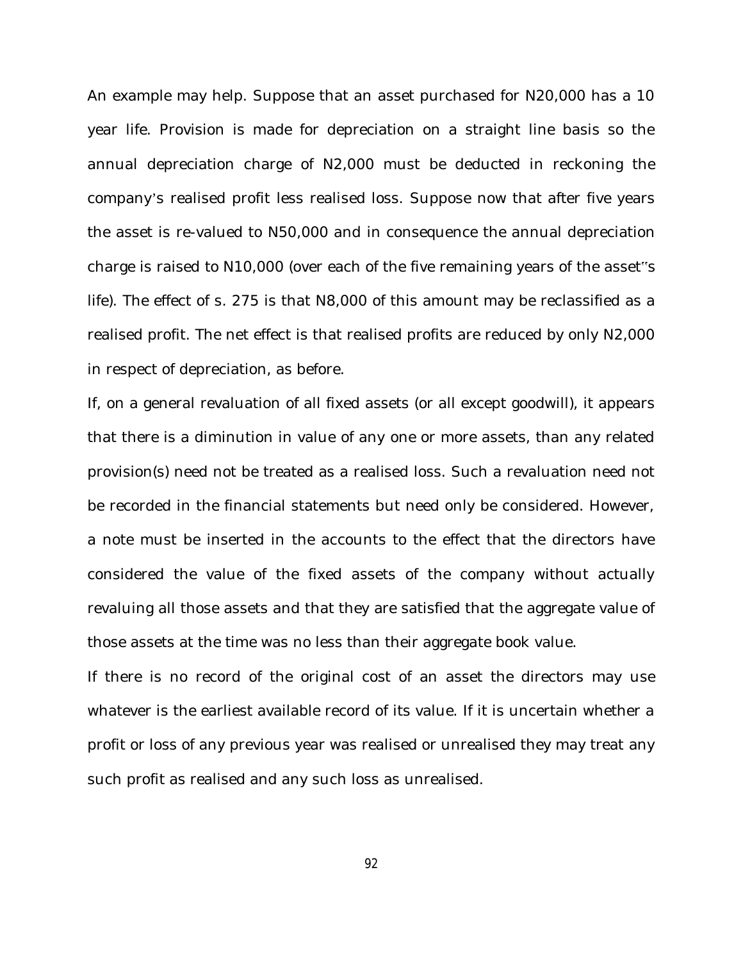An example may help. Suppose that an asset purchased for N20,000 has a 10 year life. Provision is made for depreciation on a straight line basis so the annual depreciation charge of N2,000 must be deducted in reckoning the company's realised profit less realised loss. Suppose now that after five years the asset is re-valued to N50,000 and in consequence the annual depreciation charge is raised to N10,000 (over each of the five remaining years of the asset"s life). The effect of s. 275 is that N8,000 of this amount may be reclassified as a realised profit. The net effect is that realised profits are reduced by only N2,000 in respect of depreciation, as before.

If, on a general revaluation of all fixed assets (or all except goodwill), it appears that there is a diminution in value of any one or more assets, than any related provision(s) need not be treated as a realised loss. Such a revaluation need not be recorded in the financial statements but need only be considered. However, a note must be inserted in the accounts to the effect that the directors have considered the value of the fixed assets of the company without actually revaluing all those assets and that they are satisfied that the aggregate value of those assets at the time was no less than their aggregate book value.

If there is no record of the original cost of an asset the directors may use whatever is the earliest available record of its value. If it is uncertain whether a profit or loss of any previous year was realised or unrealised they may treat any such profit as realised and any such loss as unrealised.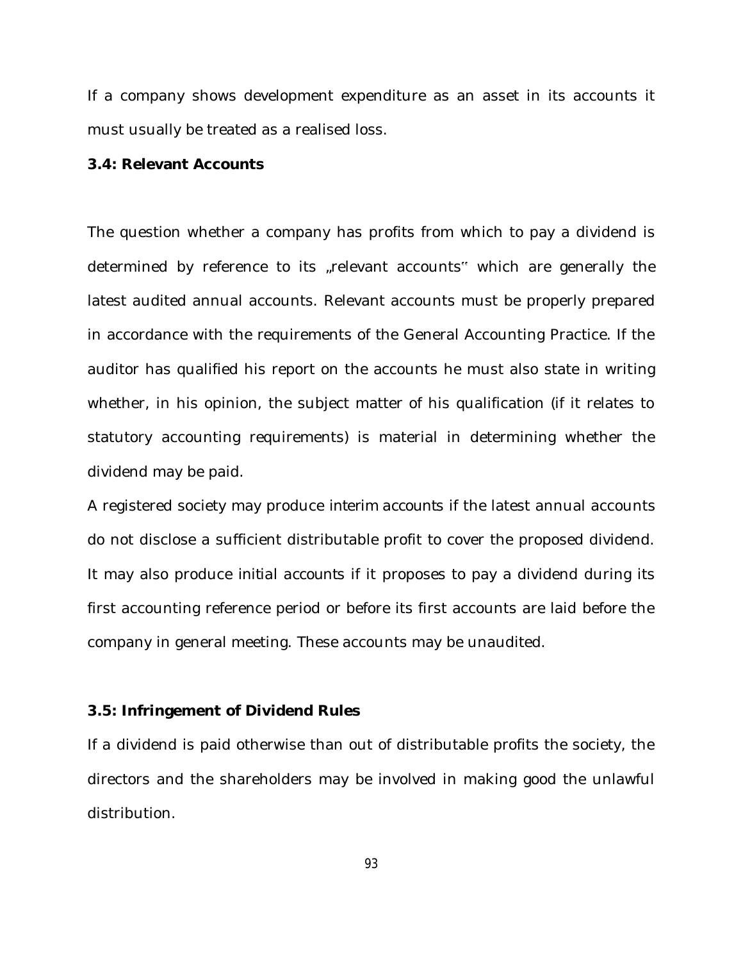If a company shows development expenditure as an asset in its accounts it must usually be treated as a realised loss.

#### **3.4: Relevant Accounts**

The question whether a company has profits from which to pay a dividend is determined by reference to its "relevant accounts" which are generally the latest audited annual accounts. Relevant accounts must be properly prepared in accordance with the requirements of the General Accounting Practice. If the auditor has qualified his report on the accounts he must also state in writing whether, in his opinion, the subject matter of his qualification (if it relates to statutory accounting requirements) is material in determining whether the dividend may be paid.

A registered society may produce *interim accounts* if the latest annual accounts do not disclose a sufficient distributable profit to cover the proposed dividend. It may also produce *initial account*s if it proposes to pay a dividend during its first accounting reference period or before its first accounts are laid before the company in general meeting. These accounts may be unaudited.

#### **3.5: Infringement of Dividend Rules**

If a dividend is paid otherwise than out of distributable profits the society, the directors and the shareholders may be involved in making good the unlawful distribution.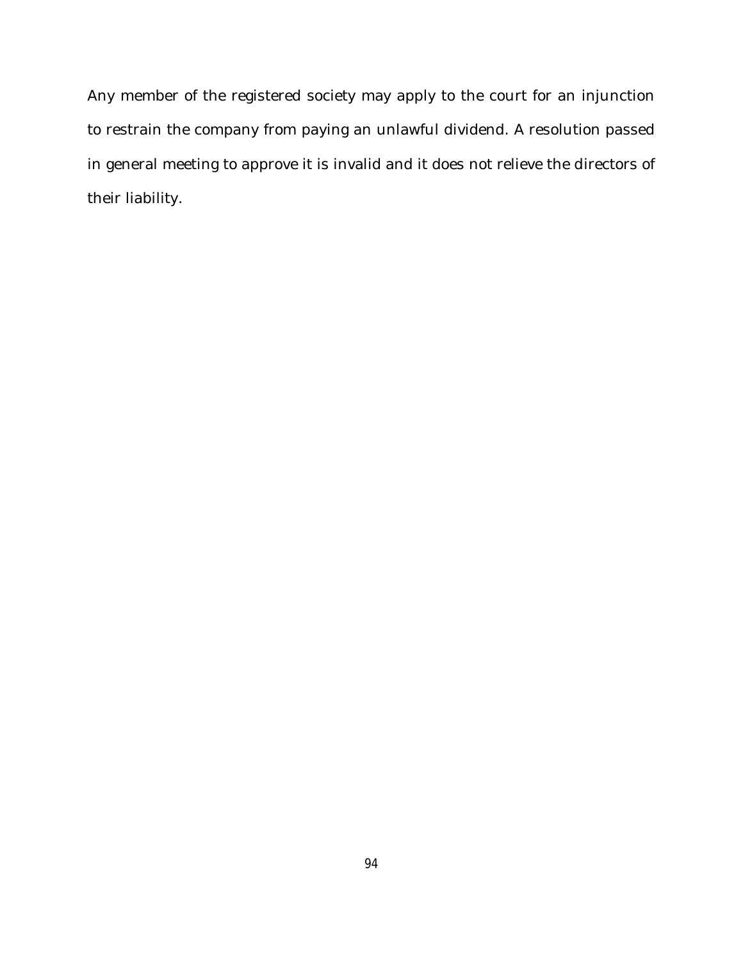Any member of the registered society may apply to the court for an injunction to restrain the company from paying an unlawful dividend. A resolution passed in general meeting to approve it is invalid and it does not relieve the directors of their liability.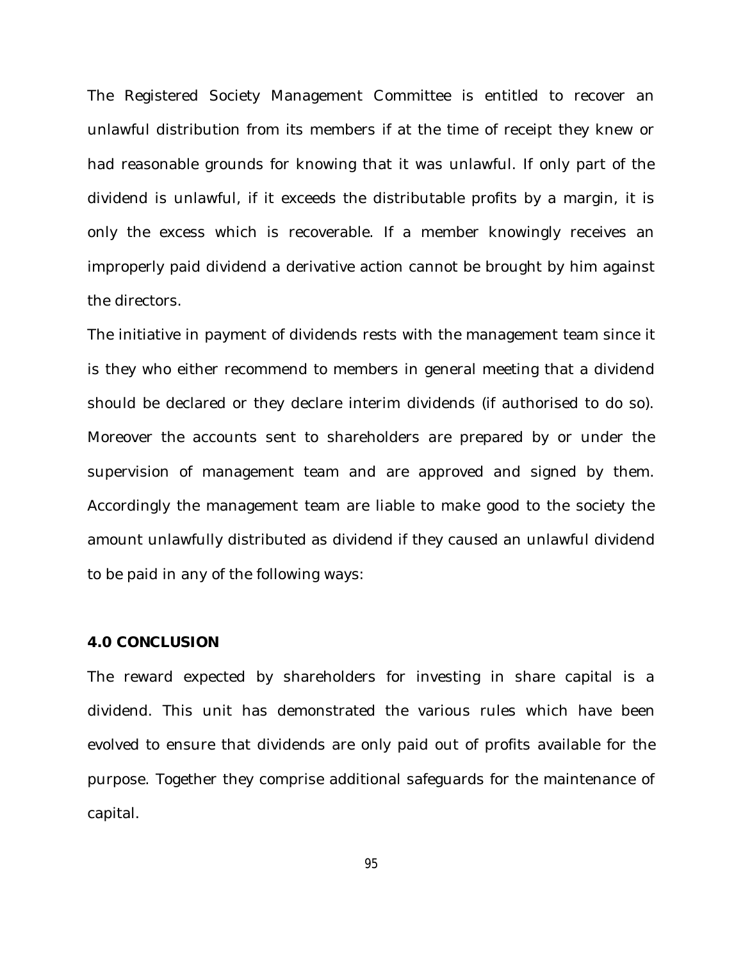The Registered Society Management Committee is entitled to recover an unlawful distribution from its members if at the time of receipt they knew or had reasonable grounds for knowing that it was unlawful. If only part of the dividend is unlawful, if it exceeds the distributable profits by a margin, it is only the excess which is recoverable. If a member knowingly receives an improperly paid dividend a derivative action cannot be brought by him against the directors.

The initiative in payment of dividends rests with the management team since it is they who either recommend to members in general meeting that a dividend should be declared or they declare interim dividends (if authorised to do so). Moreover the accounts sent to shareholders are prepared by or under the supervision of management team and are approved and signed by them. Accordingly the management team are liable to make good to the society the amount unlawfully distributed as dividend if they caused an unlawful dividend to be paid in any of the following ways:

#### **4.0 CONCLUSION**

The reward expected by shareholders for investing in share capital is a dividend. This unit has demonstrated the various rules which have been evolved to ensure that dividends are only paid out of profits available for the purpose. Together they comprise additional safeguards for the maintenance of capital.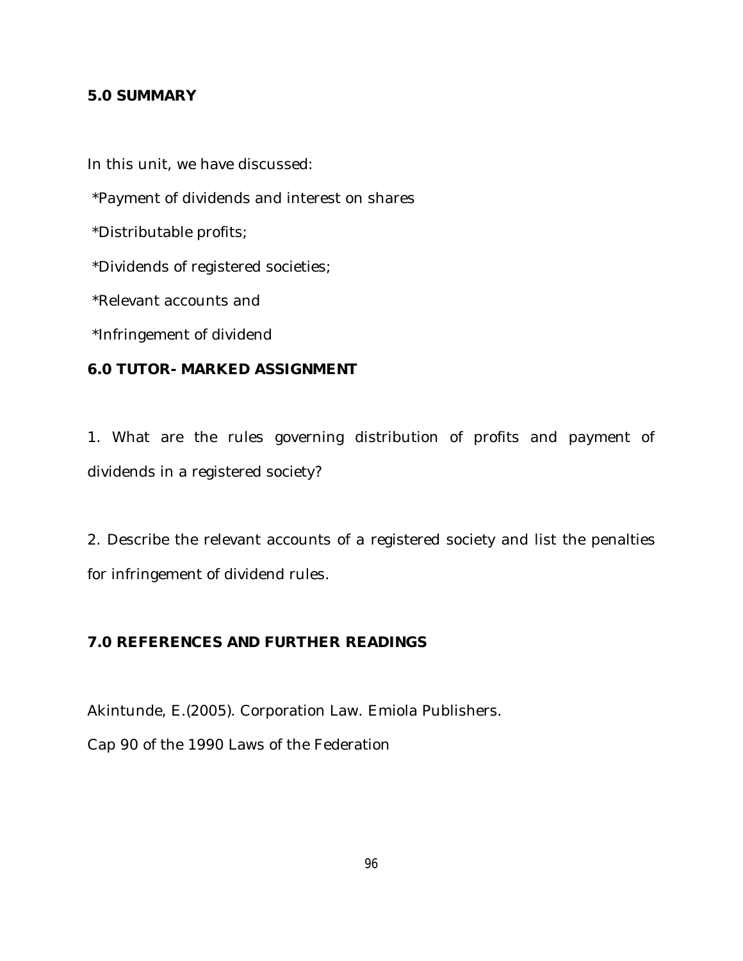# **5.0 SUMMARY**

In this unit, we have discussed:

\*Payment of dividends and interest on shares

\*Distributable profits;

\*Dividends of registered societies;

\*Relevant accounts and

\*Infringement of dividend

# **6.0 TUTOR- MARKED ASSIGNMENT**

1. What are the rules governing distribution of profits and payment of dividends in a registered society?

2. Describe the relevant accounts of a registered society and list the penalties for infringement of dividend rules.

# **7.0 REFERENCES AND FURTHER READINGS**

Akintunde, E.(2005). Corporation Law. Emiola Publishers. Cap 90 of the 1990 Laws of the Federation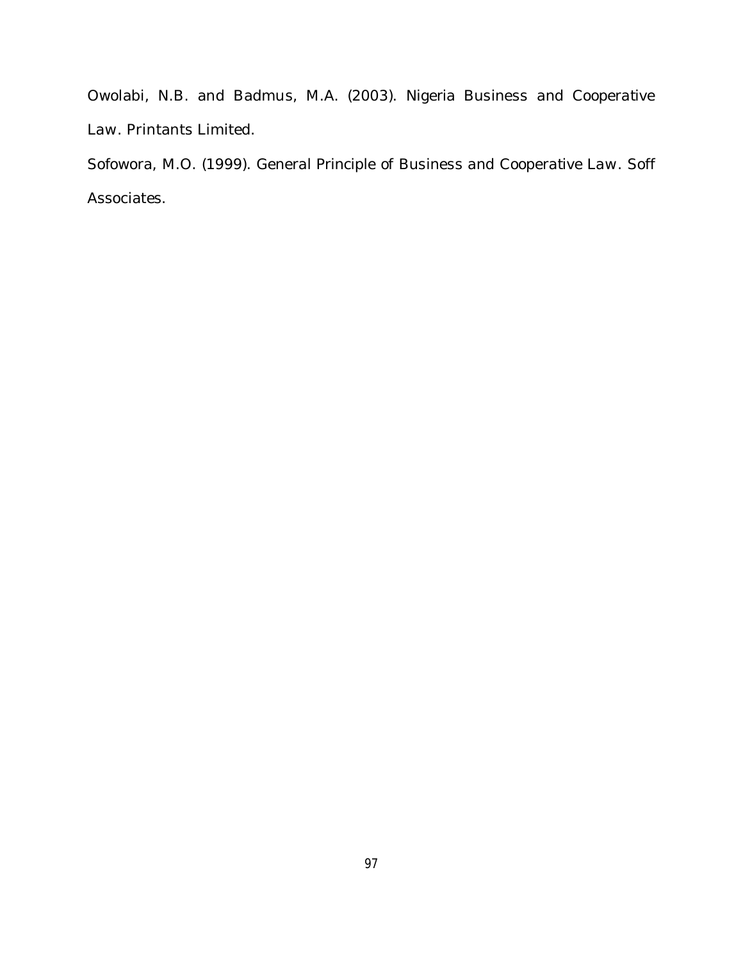Owolabi, N.B. and Badmus, M.A. (2003). *Nigeria Business and Cooperative Law*. Printants Limited.

Sofowora, M.O. (1999). *General Principle of Business and Cooperative Law*. Soff Associates.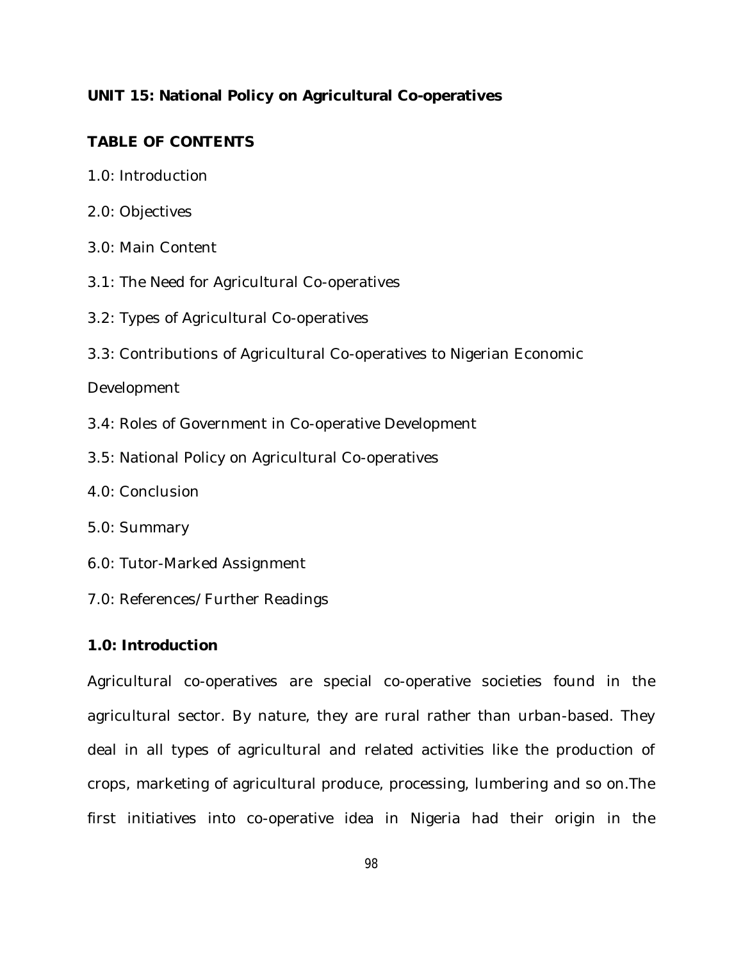# **UNIT 15: National Policy on Agricultural Co-operatives**

# **TABLE OF CONTENTS**

- 1.0: Introduction
- 2.0: Objectives
- 3.0: Main Content
- 3.1: The Need for Agricultural Co-operatives
- 3.2: Types of Agricultural Co-operatives
- 3.3: Contributions of Agricultural Co-operatives to Nigerian Economic

## Development

- 3.4: Roles of Government in Co-operative Development
- 3.5: National Policy on Agricultural Co-operatives
- 4.0: Conclusion
- 5.0: Summary
- 6.0: Tutor-Marked Assignment
- 7.0: References/Further Readings

## **1.0: Introduction**

Agricultural co-operatives are special co-operative societies found in the agricultural sector. By nature, they are rural rather than urban-based. They deal in all types of agricultural and related activities like the production of crops, marketing of agricultural produce, processing, lumbering and so on.The first initiatives into co-operative idea in Nigeria had their origin in the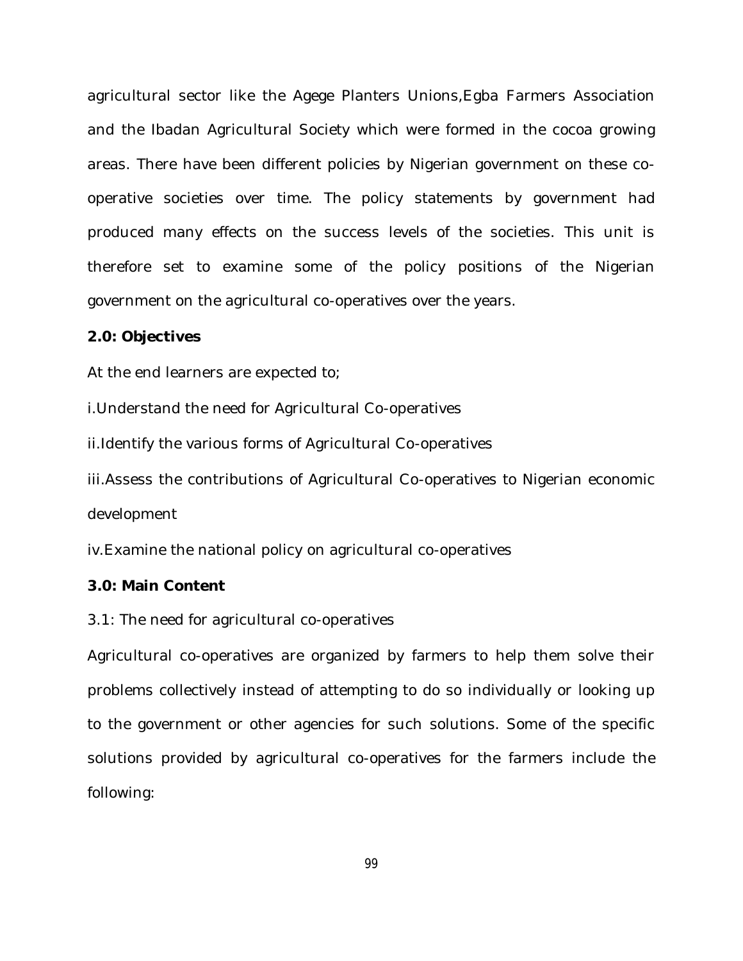agricultural sector like the Agege Planters Unions,Egba Farmers Association and the Ibadan Agricultural Society which were formed in the cocoa growing areas. There have been different policies by Nigerian government on these cooperative societies over time. The policy statements by government had produced many effects on the success levels of the societies. This unit is therefore set to examine some of the policy positions of the Nigerian government on the agricultural co-operatives over the years.

#### **2.0: Objectives**

At the end learners are expected to;

i.Understand the need for Agricultural Co-operatives

ii.Identify the various forms of Agricultural Co-operatives

iii.Assess the contributions of Agricultural Co-operatives to Nigerian economic development

iv.Examine the national policy on agricultural co-operatives

#### **3.0: Main Content**

3.1: The need for agricultural co-operatives

Agricultural co-operatives are organized by farmers to help them solve their problems collectively instead of attempting to do so individually or looking up to the government or other agencies for such solutions. Some of the specific solutions provided by agricultural co-operatives for the farmers include the following: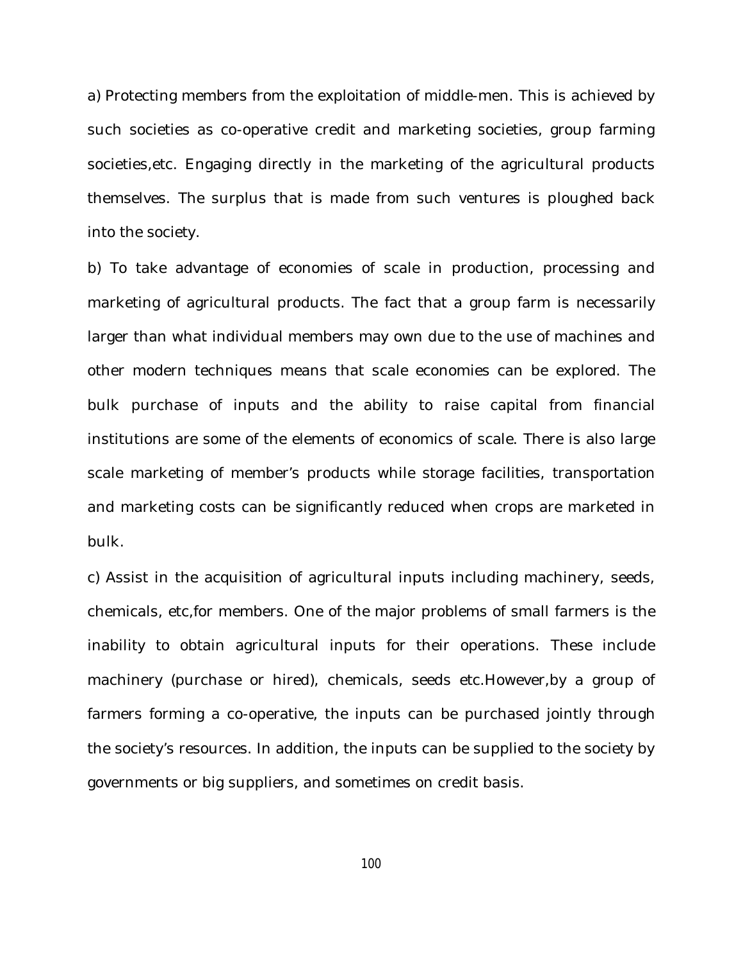a) Protecting members from the exploitation of middle-men. This is achieved by such societies as co-operative credit and marketing societies, group farming societies,etc. Engaging directly in the marketing of the agricultural products themselves. The surplus that is made from such ventures is ploughed back into the society.

b) To take advantage of economies of scale in production, processing and marketing of agricultural products. The fact that a group farm is necessarily larger than what individual members may own due to the use of machines and other modern techniques means that scale economies can be explored. The bulk purchase of inputs and the ability to raise capital from financial institutions are some of the elements of economics of scale. There is also large scale marketing of member's products while storage facilities, transportation and marketing costs can be significantly reduced when crops are marketed in bulk.

c) Assist in the acquisition of agricultural inputs including machinery, seeds, chemicals, etc,for members. One of the major problems of small farmers is the inability to obtain agricultural inputs for their operations. These include machinery (purchase or hired), chemicals, seeds etc.However,by a group of farmers forming a co-operative, the inputs can be purchased jointly through the society's resources. In addition, the inputs can be supplied to the society by governments or big suppliers, and sometimes on credit basis.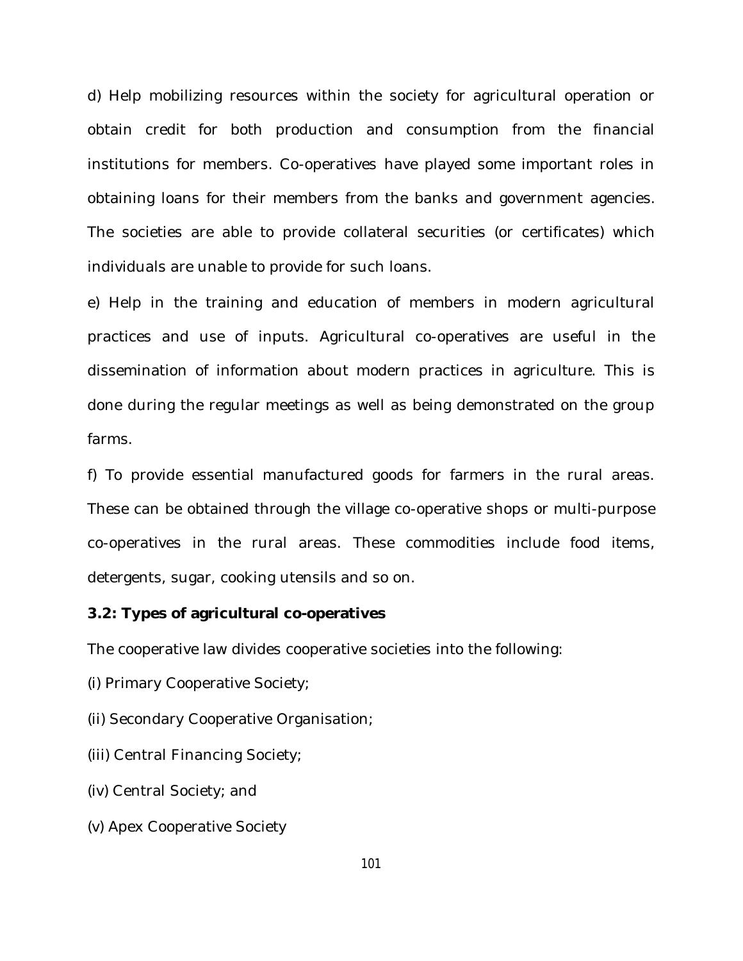d) Help mobilizing resources within the society for agricultural operation or obtain credit for both production and consumption from the financial institutions for members. Co-operatives have played some important roles in obtaining loans for their members from the banks and government agencies. The societies are able to provide collateral securities (or certificates) which individuals are unable to provide for such loans.

e) Help in the training and education of members in modern agricultural practices and use of inputs. Agricultural co-operatives are useful in the dissemination of information about modern practices in agriculture. This is done during the regular meetings as well as being demonstrated on the group farms.

f) To provide essential manufactured goods for farmers in the rural areas. These can be obtained through the village co-operative shops or multi-purpose co-operatives in the rural areas. These commodities include food items, detergents, sugar, cooking utensils and so on.

## **3.2: Types of agricultural co-operatives**

The cooperative law divides cooperative societies into the following:

(i) Primary Cooperative Society;

(ii) Secondary Cooperative Organisation;

- (iii) Central Financing Society;
- (iv) Central Society; and
- (v) Apex Cooperative Society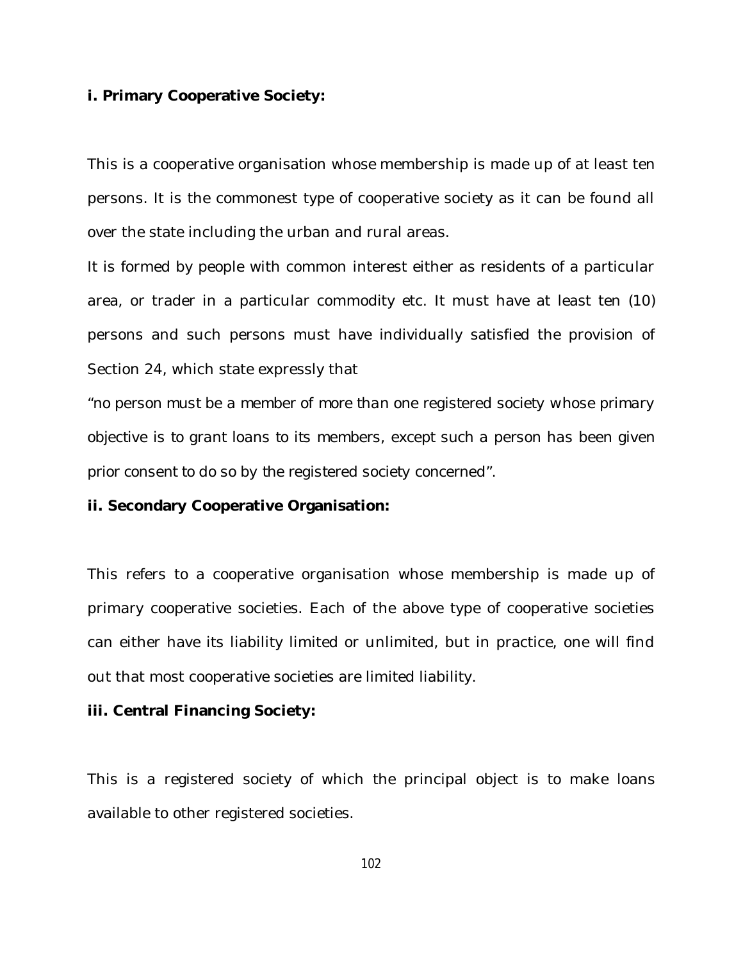#### **i. Primary Cooperative Society:**

This is a cooperative organisation whose membership is made up of at least ten persons. It is the commonest type of cooperative society as it can be found all over the state including the urban and rural areas.

It is formed by people with common interest either as residents of a particular area, or trader in a particular commodity etc. It must have at least ten (10) persons and such persons must have individually satisfied the provision of Section 24, which state expressly that

"*no person must be a member of more than one registered society whose primary objective is to grant loans to its members, except such a person has been given prior consent to do so by the registered society concerned*".

## **ii. Secondary Cooperative Organisation:**

This refers to a cooperative organisation whose membership is made up of primary cooperative societies. Each of the above type of cooperative societies can either have its liability limited or unlimited, but in practice, one will find out that most cooperative societies are limited liability.

#### **iii. Central Financing Society:**

This is a registered society of which the principal object is to make loans available to other registered societies.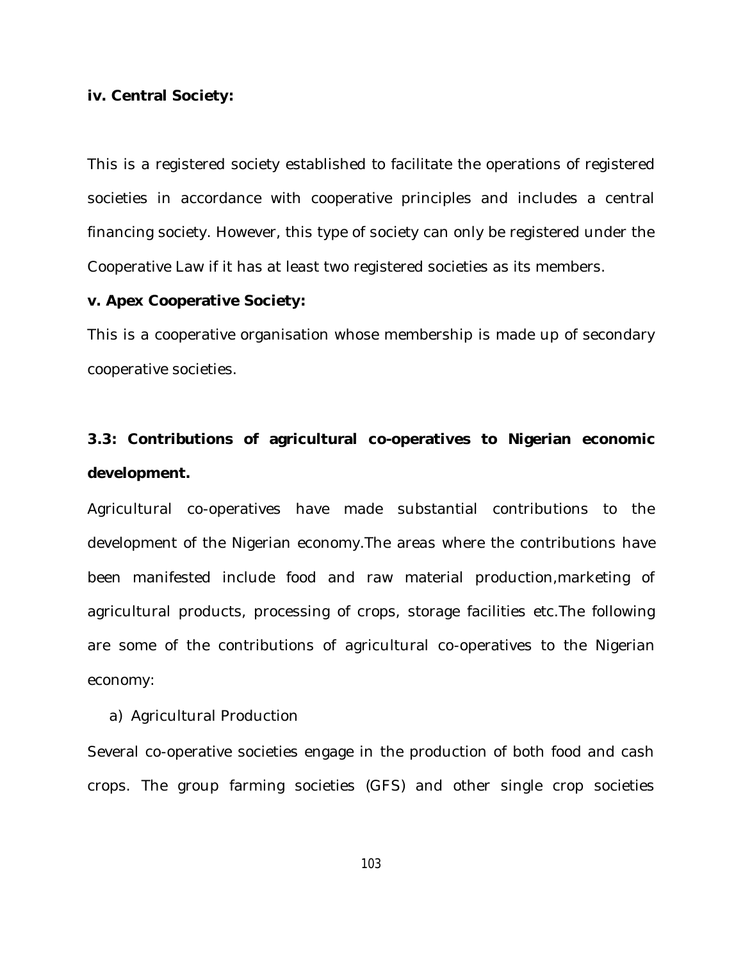#### **iv. Central Society:**

This is a registered society established to facilitate the operations of registered societies in accordance with cooperative principles and includes a central financing society. However, this type of society can only be registered under the Cooperative Law if it has at least two registered societies as its members.

#### **v. Apex Cooperative Society:**

This is a cooperative organisation whose membership is made up of secondary cooperative societies.

# **3.3: Contributions of agricultural co-operatives to Nigerian economic development.**

Agricultural co-operatives have made substantial contributions to the development of the Nigerian economy.The areas where the contributions have been manifested include food and raw material production,marketing of agricultural products, processing of crops, storage facilities etc.The following are some of the contributions of agricultural co-operatives to the Nigerian economy:

a) Agricultural Production

Several co-operative societies engage in the production of both food and cash crops. The group farming societies (GFS) and other single crop societies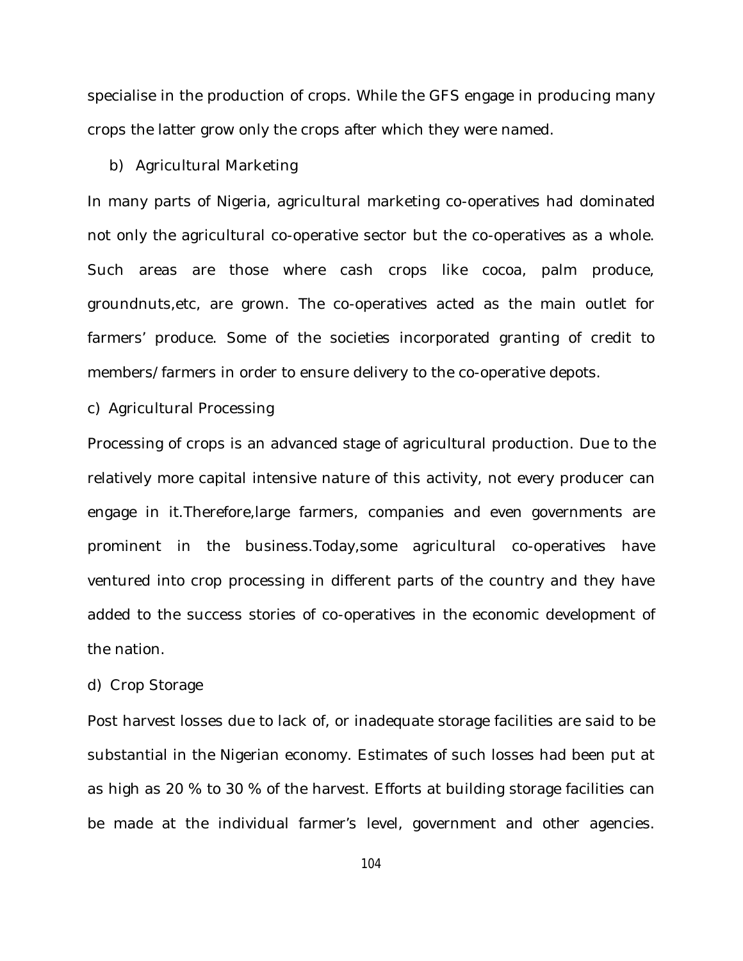specialise in the production of crops. While the GFS engage in producing many crops the latter grow only the crops after which they were named.

#### b) Agricultural Marketing

In many parts of Nigeria, agricultural marketing co-operatives had dominated not only the agricultural co-operative sector but the co-operatives as a whole. Such areas are those where cash crops like cocoa, palm produce, groundnuts,etc, are grown. The co-operatives acted as the main outlet for farmers' produce. Some of the societies incorporated granting of credit to members/farmers in order to ensure delivery to the co-operative depots.

c) Agricultural Processing

Processing of crops is an advanced stage of agricultural production. Due to the relatively more capital intensive nature of this activity, not every producer can engage in it.Therefore,large farmers, companies and even governments are prominent in the business.Today,some agricultural co-operatives have ventured into crop processing in different parts of the country and they have added to the success stories of co-operatives in the economic development of the nation.

### d) Crop Storage

Post harvest losses due to lack of, or inadequate storage facilities are said to be substantial in the Nigerian economy. Estimates of such losses had been put at as high as 20 % to 30 % of the harvest. Efforts at building storage facilities can be made at the individual farmer's level, government and other agencies.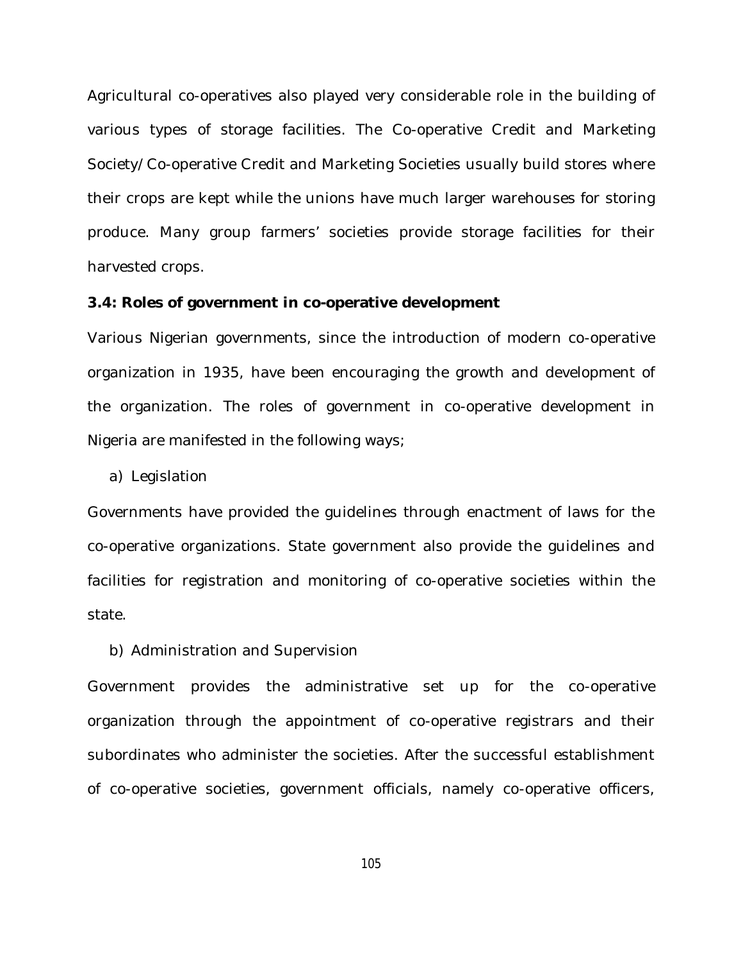Agricultural co-operatives also played very considerable role in the building of various types of storage facilities. The Co-operative Credit and Marketing Society/Co-operative Credit and Marketing Societies usually build stores where their crops are kept while the unions have much larger warehouses for storing produce. Many group farmers' societies provide storage facilities for their harvested crops.

#### **3.4: Roles of government in co-operative development**

Various Nigerian governments, since the introduction of modern co-operative organization in 1935, have been encouraging the growth and development of the organization. The roles of government in co-operative development in Nigeria are manifested in the following ways;

a) Legislation

Governments have provided the guidelines through enactment of laws for the co-operative organizations. State government also provide the guidelines and facilities for registration and monitoring of co-operative societies within the state.

b) Administration and Supervision

Government provides the administrative set up for the co-operative organization through the appointment of co-operative registrars and their subordinates who administer the societies. After the successful establishment of co-operative societies, government officials, namely co-operative officers,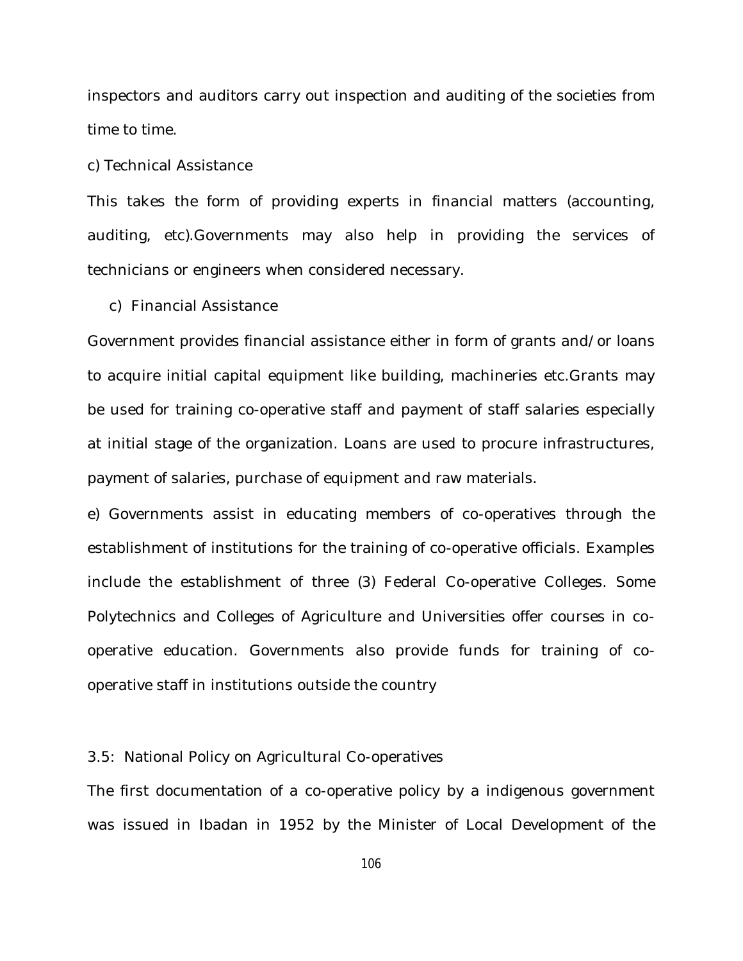inspectors and auditors carry out inspection and auditing of the societies from time to time.

#### c) Technical Assistance

This takes the form of providing experts in financial matters (accounting, auditing, etc).Governments may also help in providing the services of technicians or engineers when considered necessary.

c) Financial Assistance

Government provides financial assistance either in form of grants and/or loans to acquire initial capital equipment like building, machineries etc.Grants may be used for training co-operative staff and payment of staff salaries especially at initial stage of the organization. Loans are used to procure infrastructures, payment of salaries, purchase of equipment and raw materials.

e) Governments assist in educating members of co-operatives through the establishment of institutions for the training of co-operative officials. Examples include the establishment of three (3) Federal Co-operative Colleges. Some Polytechnics and Colleges of Agriculture and Universities offer courses in cooperative education. Governments also provide funds for training of cooperative staff in institutions outside the country

#### 3.5: National Policy on Agricultural Co-operatives

The first documentation of a co-operative policy by a indigenous government was issued in Ibadan in 1952 by the Minister of Local Development of the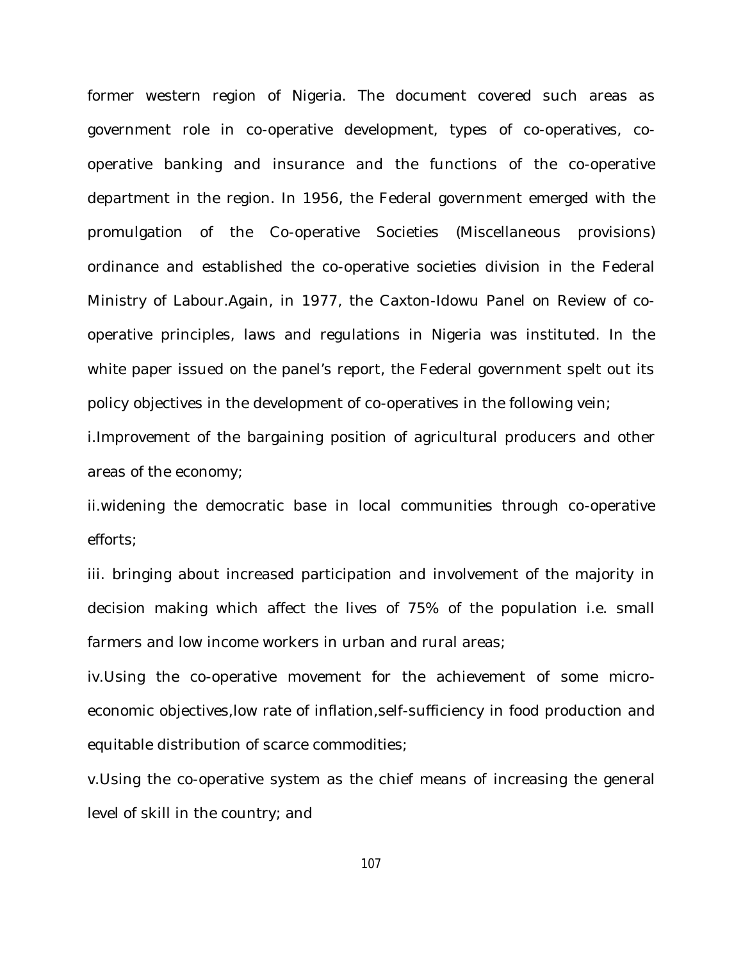former western region of Nigeria. The document covered such areas as government role in co-operative development, types of co-operatives, cooperative banking and insurance and the functions of the co-operative department in the region. In 1956, the Federal government emerged with the promulgation of the Co-operative Societies (Miscellaneous provisions) ordinance and established the co-operative societies division in the Federal Ministry of Labour.Again, in 1977, the Caxton-Idowu Panel on Review of cooperative principles, laws and regulations in Nigeria was instituted. In the white paper issued on the panel's report, the Federal government spelt out its policy objectives in the development of co-operatives in the following vein;

i.Improvement of the bargaining position of agricultural producers and other areas of the economy;

ii.widening the democratic base in local communities through co-operative efforts;

iii. bringing about increased participation and involvement of the majority in decision making which affect the lives of 75% of the population i.e. small farmers and low income workers in urban and rural areas;

iv.Using the co-operative movement for the achievement of some microeconomic objectives,low rate of inflation,self-sufficiency in food production and equitable distribution of scarce commodities;

v.Using the co-operative system as the chief means of increasing the general level of skill in the country; and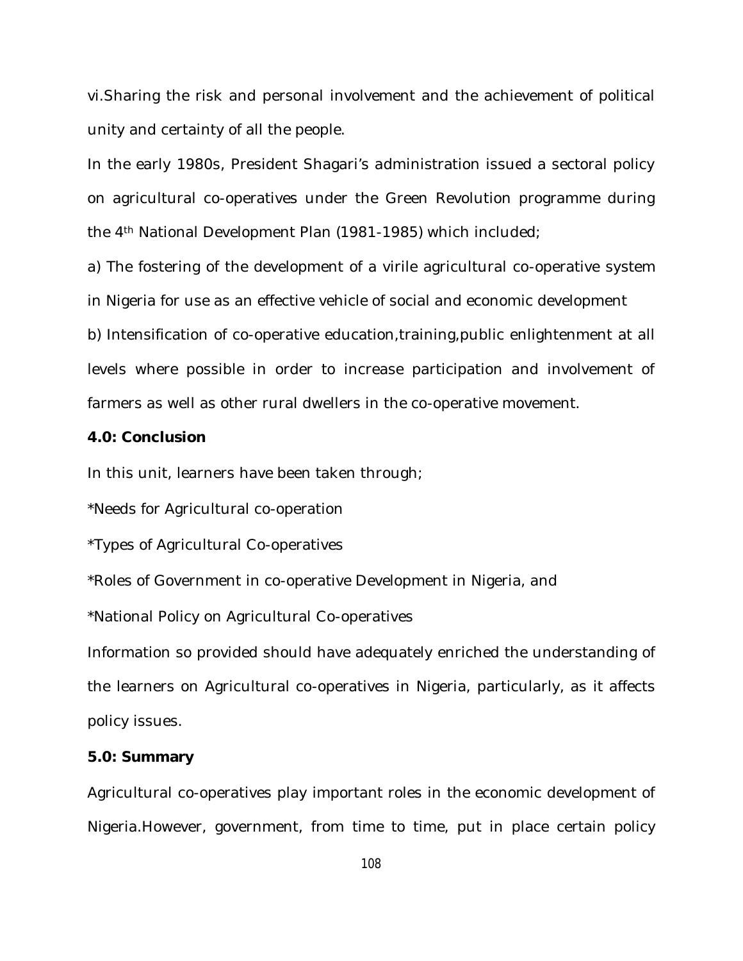vi.Sharing the risk and personal involvement and the achievement of political unity and certainty of all the people.

In the early 1980s, President Shagari's administration issued a sectoral policy on agricultural co-operatives under the Green Revolution programme during the 4th National Development Plan (1981-1985) which included;

a) The fostering of the development of a virile agricultural co-operative system in Nigeria for use as an effective vehicle of social and economic development

b) Intensification of co-operative education,training,public enlightenment at all levels where possible in order to increase participation and involvement of farmers as well as other rural dwellers in the co-operative movement.

### **4.0: Conclusion**

In this unit, learners have been taken through;

\*Needs for Agricultural co-operation

\*Types of Agricultural Co-operatives

\*Roles of Government in co-operative Development in Nigeria, and

\*National Policy on Agricultural Co-operatives

Information so provided should have adequately enriched the understanding of the learners on Agricultural co-operatives in Nigeria, particularly, as it affects policy issues.

## **5.0: Summary**

Agricultural co-operatives play important roles in the economic development of Nigeria.However, government, from time to time, put in place certain policy